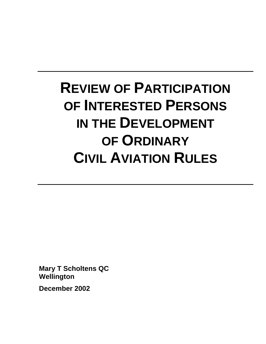# **REVIEW OF PARTICIPATION OF INTERESTED PERSONS IN THE DEVELOPMENT OF ORDINARY CIVIL AVIATION RULES**

**Mary T Scholtens QC Wellington** 

**December 2002**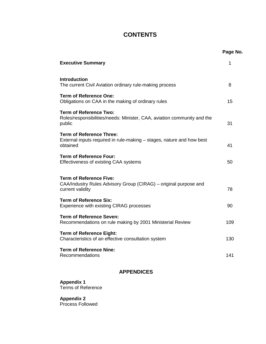# **CONTENTS**

|                                                                                                                        | Page No. |
|------------------------------------------------------------------------------------------------------------------------|----------|
| <b>Executive Summary</b>                                                                                               | 1        |
| <b>Introduction</b><br>The current Civil Aviation ordinary rule-making process                                         | 8        |
| <b>Term of Reference One:</b><br>Obligations on CAA in the making of ordinary rules                                    | 15       |
| <b>Term of Reference Two:</b><br>Roles/responsibilities/needs: Minister, CAA, aviation community and the<br>public     | 31       |
| <b>Term of Reference Three:</b><br>External inputs required in rule-making – stages, nature and how best<br>obtained   | 41       |
| <b>Term of Reference Four:</b><br>Effectiveness of existing CAA systems                                                | 50       |
| <b>Term of Reference Five:</b><br>CAA/Industry Rules Advisory Group (CIRAG) – original purpose and<br>current validity | 78       |
| <b>Term of Reference Six:</b><br>Experience with existing CIRAG processes                                              | 90       |
| <b>Term of Reference Seven:</b><br>Recommendations on rule making by 2001 Ministerial Review                           | 109      |
| <b>Term of Reference Eight:</b><br>Characteristics of an effective consultation system                                 | 130      |
| <b>Term of Reference Nine:</b><br>Recommendations                                                                      | 141      |

## **APPENDICES**

**Appendix 1**  Terms of Reference

**Appendix 2**  Process Followed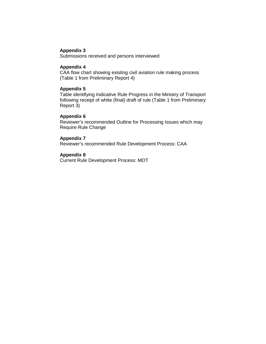## **Appendix 3**

Submissions received and persons interviewed

## **Appendix 4**

CAA flow chart showing existing civil aviation rule making process (Table 1 from Preliminary Report 4)

#### **Appendix 5**

Table identifying Indicative Rule Progress in the Ministry of Transport following receipt of white (final) draft of rule (Table 1 from Preliminary Report 3)

#### **Appendix 6**

Reviewer's recommended Outline for Processing Issues which may Require Rule Change

#### **Appendix 7**

Reviewer's recommended Rule Development Process: CAA

#### **Appendix 8**

Current Rule Development Process: MOT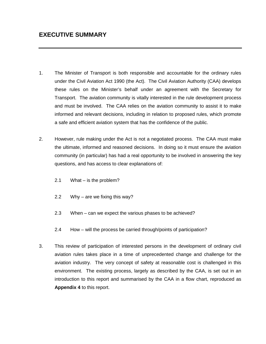- 1. The Minister of Transport is both responsible and accountable for the ordinary rules under the Civil Aviation Act 1990 (the Act). The Civil Aviation Authority (CAA) develops these rules on the Minister's behalf under an agreement with the Secretary for Transport. The aviation community is vitally interested in the rule development process and must be involved. The CAA relies on the aviation community to assist it to make informed and relevant decisions, including in relation to proposed rules, which promote a safe and efficient aviation system that has the confidence of the public.
- 2. However, rule making under the Act is not a negotiated process. The CAA must make the ultimate, informed and reasoned decisions. In doing so it must ensure the aviation community (in particular) has had a real opportunity to be involved in answering the key questions, and has access to clear explanations of:
	- 2.1 What is the problem?
	- 2.2 Why are we fixing this way?
	- 2.3 When can we expect the various phases to be achieved?
	- 2.4 How will the process be carried through/points of participation?
- 3. This review of participation of interested persons in the development of ordinary civil aviation rules takes place in a time of unprecedented change and challenge for the aviation industry. The very concept of safety at reasonable cost is challenged in this environment. The existing process, largely as described by the CAA, is set out in an introduction to this report and summarised by the CAA in a flow chart, reproduced as **Appendix 4** to this report.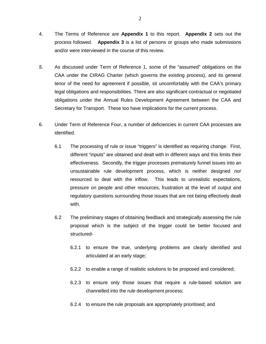- 4. The Terms of Reference are **Appendix 1** to this report. **Appendix 2** sets out the process followed. **Appendix 3** is a list of persons or groups who made submissions and/or were interviewed in the course of this review.
- *5.* As discussed under Term of Reference 1, some of the "assumed" obligations on the CAA under the CIRAG Charter (which governs the existing process), and its general tenor of the need for agreement if possible, sit uncomfortably with the CAA's primary legal obligations and responsibilities. There are also significant contractual or negotiated obligations under the Annual Rules Development Agreement between the CAA and Secretary for Transport. These too have implications for the current process.
- 6. Under Term of Reference Four, a number of deficiencies in current CAA processes are identified.
	- 6.1 The processing of rule or issue "triggers" is identified as requiring change. First, different "inputs" are obtained and dealt with in different ways and this limits their effectiveness. Secondly, the trigger processes prematurely funnel issues into an unsustainable rule development process, which is neither designed nor resourced to deal with the inflow. This leads to unrealistic expectations, pressure on people and other resources, frustration at the level of output and regulatory questions surrounding those issues that are not being effectively dealt with.
	- 6.2 The preliminary stages of obtaining feedback and strategically assessing the rule proposal which is the subject of the trigger could be better focused and structured-
		- 6.2.1 to ensure the true, underlying problems are clearly identified and articulated at an early stage;
		- 6.2.2 to enable a range of realistic solutions to be proposed and considered;
		- 6.2.3 to ensure only those issues that require a rule-based solution are channelled into the rule development process;
		- 6.2.4 to ensure the rule proposals are appropriately prioritised; and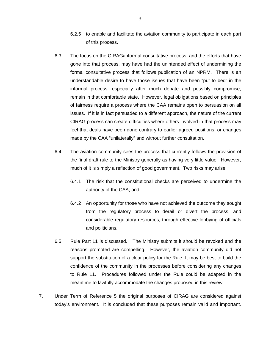- 6.2.5 to enable and facilitate the aviation community to participate in each part of this process.
- 6.3 The focus on the CIRAG/informal consultative process, and the efforts that have gone into that process, may have had the unintended effect of undermining the formal consultative process that follows publication of an NPRM. There is an understandable desire to have those issues that have been "put to bed" in the informal process, especially after much debate and possibly compromise, remain in that comfortable state. However, legal obligations based on principles of fairness require a process where the CAA remains open to persuasion on all issues. If it is in fact persuaded to a different approach, the nature of the current CIRAG process can create difficulties where others involved in that process may feel that deals have been done contrary to earlier agreed positions, or changes made by the CAA "unilaterally" and without further consultation.
- 6.4 The aviation community sees the process that currently follows the provision of the final draft rule to the Ministry generally as having very little value. However, much of it is simply a reflection of good government. Two risks may arise;
	- 6.4.1 The risk that the constitutional checks are perceived to undermine the authority of the CAA; and
	- 6.4.2 An opportunity for those who have not achieved the outcome they sought from the regulatory process to derail or divert the process, and considerable regulatory resources, through effective lobbying of officials and politicians.
- 6.5 Rule Part 11 is discussed. The Ministry submits it should be revoked and the reasons promoted are compelling. However, the aviation community did not support the substitution of a clear policy for the Rule. It may be best to build the confidence of the community in the processes before considering any changes to Rule 11. Procedures followed under the Rule could be adapted in the meantime to lawfully accommodate the changes proposed in this review.
- 7. Under Term of Reference 5 the original purposes of CIRAG are considered against today's environment. It is concluded that these purposes remain valid and important.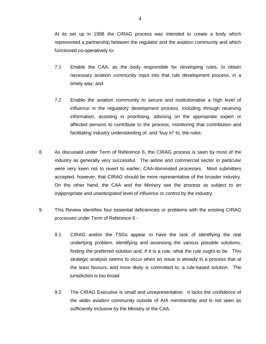At its set up in 1998 the CIRAG process was intended to create a body which represented a partnership between the regulator and the aviation community and which functioned co-operatively to-

- 7.1 Enable the CAA, as the body responsible for developing rules, to obtain necessary aviation community input into that rule development process, in a timely way; and
- 7.2 Enable the aviation community to secure and institutionalise a high level of influence in the regulatory development process, including through receiving information, assisting in prioritising, advising on the appropriate expert or affected persons to contribute to the process, monitoring that contribution and facilitating industry understanding of, and "buy in" to, the rules.
- 8. As discussed under Term of Reference 6, the CIRAG process is seen by most of the industry as generally very successful. The airline and commercial sector in particular were very keen not to revert to earlier, CAA-dominated processes. Most submitters accepted, however, that CIRAG should be more representative of the broader industry. On the other hand, the CAA and the Ministry see the process as subject to an inappropriate and unanticipated level of influence or control by the industry.
- 9. This Review identifies four essential deficiencies or problems with the existing CIRAG processes under Term of Reference 6 -
	- 9.1 CIRAG and/or the TSGs appear to have the task of identifying the real underlying problem, identifying and assessing the various possible solutions, finding the preferred solution and, if it is a rule, what the rule ought to be. This strategic analysis seems to occur when an issue is already in a process that at the least favours, and more likely is committed to, a rule-based solution. The jurisdiction is too broad.
	- 9.2 The CIRAG Executive is small and unrepresentative. It lacks the confidence of the wider aviation community outside of AIA membership and is not seen as sufficiently inclusive by the Ministry or the CAA.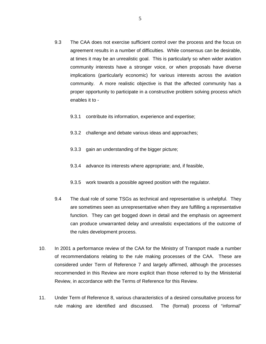- 9.3 The CAA does not exercise sufficient control over the process and the focus on agreement results in a number of difficulties. While consensus can be desirable, at times it may be an unrealistic goal. This is particularly so when wider aviation community interests have a stronger voice, or when proposals have diverse implications (particularly economic) for various interests across the aviation community. A more realistic objective is that the affected community has a proper opportunity to participate in a constructive problem solving process which enables it to -
	- 9.3.1 contribute its information, experience and expertise;
	- 9.3.2 challenge and debate various ideas and approaches;
	- 9.3.3 gain an understanding of the bigger picture;
	- 9.3.4 advance its interests where appropriate; and, if feasible,
	- 9.3.5 work towards a possible agreed position with the regulator.
- 9.4 The dual role of some TSGs as technical and representative is unhelpful. They are sometimes seen as unrepresentative when they are fulfilling a representative function. They can get bogged down in detail and the emphasis on agreement can produce unwarranted delay and unrealistic expectations of the outcome of the rules development process.
- 10. In 2001 a performance review of the CAA for the Ministry of Transport made a number of recommendations relating to the rule making processes of the CAA. These are considered under Term of Reference 7 and largely affirmed, although the processes recommended in this Review are more explicit than those referred to by the Ministerial Review, in accordance with the Terms of Reference for this Review.
- 11. Under Term of Reference 8, various characteristics of a desired consultative process for rule making are identified and discussed. The (formal) process of "informal"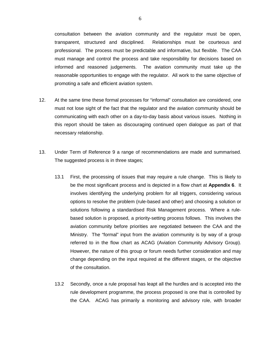consultation between the aviation community and the regulator must be open, transparent, structured and disciplined. Relationships must be courteous and professional. The process must be predictable and informative, but flexible. The CAA must manage and control the process and take responsibility for decisions based on informed and reasoned judgements. The aviation community must take up the reasonable opportunities to engage with the regulator. All work to the same objective of promoting a safe and efficient aviation system.

- 12. At the same time these formal processes for "informal" consultation are considered, one must not lose sight of the fact that the regulator and the aviation community should be communicating with each other on a day-to-day basis about various issues. Nothing in this report should be taken as discouraging continued open dialogue as part of that necessary relationship.
- 13. Under Term of Reference 9 a range of recommendations are made and summarised. The suggested process is in three stages;
	- 13.1 First, the processing of issues that may require a rule change. This is likely to be the most significant process and is depicted in a flow chart at **Appendix 6**. It involves identifying the underlying problem for all triggers, considering various options to resolve the problem (rule-based and other) and choosing a solution or solutions following a standardised Risk Management process. Where a rulebased solution is proposed, a priority-setting process follows. This involves the aviation community before priorities are negotiated between the CAA and the Ministry. The "formal" input from the aviation community is by way of a group referred to in the flow chart as ACAG (Aviation Community Advisory Group). However, the nature of this group or forum needs further consideration and may change depending on the input required at the different stages, or the objective of the consultation.
	- 13.2 Secondly, once a rule proposal has leapt all the hurdles and is accepted into the rule development programme, the process proposed is one that is controlled by the CAA. ACAG has primarily a monitoring and advisory role, with broader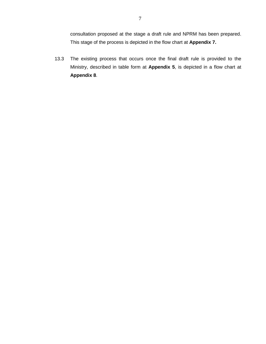consultation proposed at the stage a draft rule and NPRM has been prepared. This stage of the process is depicted in the flow chart at **Appendix 7.** 

13.3 The existing process that occurs once the final draft rule is provided to the Ministry, described in table form at **Appendix 5**, is depicted in a flow chart at **Appendix 8**.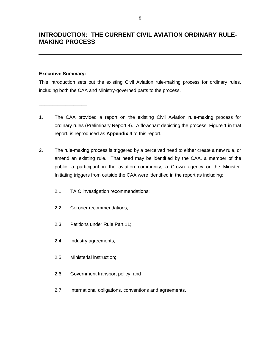# **INTRODUCTION: THE CURRENT CIVIL AVIATION ORDINARY RULE-MAKING PROCESS**

#### **Executive Summary:**

**\_\_\_\_\_\_\_\_\_\_\_\_\_\_\_\_\_\_** 

This introduction sets out the existing Civil Aviation rule-making process for ordinary rules, including both the CAA and Ministry-governed parts to the process.

- 1. The CAA provided a report on the existing Civil Aviation rule-making process for ordinary rules (Preliminary Report 4). A flowchart depicting the process, Figure 1 in that report, is reproduced as **Appendix 4** to this report.
- 2. The rule-making process is triggered by a perceived need to either create a new rule, or amend an existing rule. That need may be identified by the CAA, a member of the public, a participant in the aviation community, a Crown agency or the Minister. Initiating triggers from outside the CAA were identified in the report as including:
	- 2.1 TAIC investigation recommendations;
	- 2.2 Coroner recommendations;
	- 2.3 Petitions under Rule Part 11;
	- 2.4 Industry agreements;
	- 2.5 Ministerial instruction;
	- 2.6 Government transport policy; and
	- 2.7 International obligations, conventions and agreements.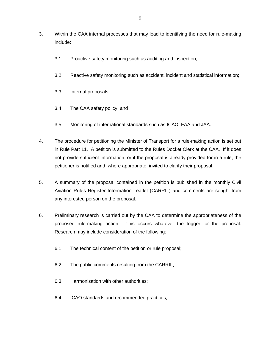- 3. Within the CAA internal processes that may lead to identifying the need for rule-making include:
	- 3.1 Proactive safety monitoring such as auditing and inspection;
	- 3.2 Reactive safety monitoring such as accident, incident and statistical information;
	- 3.3 Internal proposals;
	- 3.4 The CAA safety policy; and
	- 3.5 Monitoring of international standards such as ICAO, FAA and JAA.
- 4. The procedure for petitioning the Minister of Transport for a rule-making action is set out in Rule Part 11. A petition is submitted to the Rules Docket Clerk at the CAA. If it does not provide sufficient information, or if the proposal is already provided for in a rule, the petitioner is notified and, where appropriate, invited to clarify their proposal.
- 5. A summary of the proposal contained in the petition is published in the monthly Civil Aviation Rules Register Information Leaflet (CARRIL) and comments are sought from any interested person on the proposal.
- 6. Preliminary research is carried out by the CAA to determine the appropriateness of the proposed rule-making action. This occurs whatever the trigger for the proposal. Research may include consideration of the following:
	- 6.1 The technical content of the petition or rule proposal;
	- 6.2 The public comments resulting from the CARRIL;
	- 6.3 Harmonisation with other authorities;
	- 6.4 ICAO standards and recommended practices;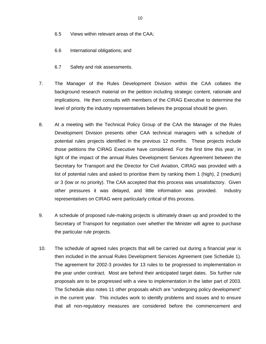- 6.5 Views within relevant areas of the CAA;
- 6.6 International obligations; and
- 6.7 Safety and risk assessments.
- 7. The Manager of the Rules Development Division within the CAA collates the background research material on the petition including strategic content, rationale and implications. He then consults with members of the CIRAG Executive to determine the level of priority the industry representatives believes the proposal should be given.
- 8. At a meeting with the Technical Policy Group of the CAA the Manager of the Rules Development Division presents other CAA technical managers with a schedule of potential rules projects identified in the previous 12 months. These projects include those petitions the CIRAG Executive have considered. For the first time this year, in light of the impact of the annual Rules Development Services Agreement between the Secretary for Transport and the Director for Civil Aviation, CIRAG was provided with a list of potential rules and asked to prioritise them by ranking them 1 (high), 2 (medium) or 3 (low or no priority). The CAA accepted that this process was unsatisfactory. Given other pressures it was delayed, and little information was provided. Industry representatives on CIRAG were particularly critical of this process.
- 9. A schedule of proposed rule-making projects is ultimately drawn up and provided to the Secretary of Transport for negotiation over whether the Minister will agree to purchase the particular rule projects.
- 10. The schedule of agreed rules projects that will be carried out during a financial year is then included in the annual Rules Development Services Agreement (see Schedule 1). The agreement for 2002-3 provides for 13 rules to be progressed to implementation in the year under contract. Most are behind their anticipated target dates. Six further rule proposals are to be progressed with a view to implementation in the latter part of 2003. The Schedule also notes 11 other proposals which are "undergoing policy development" in the current year. This includes work to identify problems and issues and to ensure that all non-regulatory measures are considered before the commencement and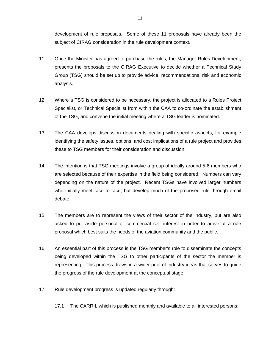development of rule proposals. Some of these 11 proposals have already been the subject of CIRAG consideration in the rule development context.

- 11. Once the Minister has agreed to purchase the rules, the Manager Rules Development, presents the proposals to the CIRAG Executive to decide whether a Technical Study Group (TSG) should be set up to provide advice, recommendations, risk and economic analysis.
- 12. Where a TSG is considered to be necessary, the project is allocated to a Rules Project Specialist, or Technical Specialist from within the CAA to co-ordinate the establishment of the TSG, and convene the initial meeting where a TSG leader is nominated.
- 13. The CAA develops discussion documents dealing with specific aspects, for example identifying the safety issues, options, and cost implications of a rule project and provides these to TSG members for their consideration and discussion.
- 14. The intention is that TSG meetings involve a group of ideally around 5-6 members who are selected because of their expertise in the field being considered. Numbers can vary depending on the nature of the project. Recent TSGs have involved larger numbers who initially meet face to face, but develop much of the proposed rule through email debate.
- 15. The members are to represent the views of their sector of the industry, but are also asked to put aside personal or commercial self interest in order to arrive at a rule proposal which best suits the needs of the aviation community and the public.
- 16. An essential part of this process is the TSG member's role to disseminate the concepts being developed within the TSG to other participants of the sector the member is representing. This process draws in a wider pool of industry ideas that serves to guide the progress of the rule development at the conceptual stage.
- 17. Rule development progress is updated regularly through:
	- 17.1 The CARRIL which is published monthly and available to all interested persons;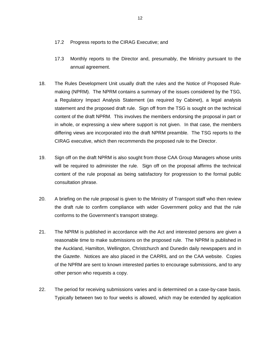- 17.2 Progress reports to the CIRAG Executive; and
- 17.3 Monthly reports to the Director and, presumably, the Ministry pursuant to the annual agreement.
- 18. The Rules Development Unit usually draft the rules and the Notice of Proposed Rulemaking (NPRM). The NPRM contains a summary of the issues considered by the TSG, a Regulatory Impact Analysis Statement (as required by Cabinet), a legal analysis statement and the proposed draft rule. Sign off from the TSG is sought on the technical content of the draft NPRM. This involves the members endorsing the proposal in part or in whole, or expressing a view where support is not given. In that case, the members differing views are incorporated into the draft NPRM preamble. The TSG reports to the CIRAG executive, which then recommends the proposed rule to the Director.
- 19. Sign off on the draft NPRM is also sought from those CAA Group Managers whose units will be required to administer the rule. Sign off on the proposal affirms the technical content of the rule proposal as being satisfactory for progression to the formal public consultation phrase.
- 20. A briefing on the rule proposal is given to the Ministry of Transport staff who then review the draft rule to confirm compliance with wider Government policy and that the rule conforms to the Government's transport strategy.
- 21. The NPRM is published in accordance with the Act and interested persons are given a reasonable time to make submissions on the proposed rule. The NPRM is published in the Auckland, Hamilton, Wellington, Christchurch and Dunedin daily newspapers and in the *Gazette*. Notices are also placed in the CARRIL and on the CAA website. Copies of the NPRM are sent to known interested parties to encourage submissions, and to any other person who requests a copy.
- 22. The period for receiving submissions varies and is determined on a case-by-case basis. Typically between two to four weeks is allowed, which may be extended by application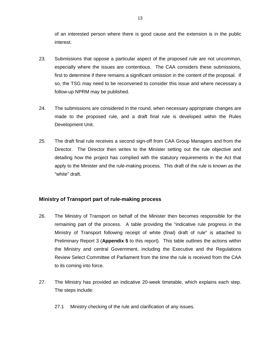of an interested person where there is good cause and the extension is in the public interest.

- 23. Submissions that oppose a particular aspect of the proposed rule are not uncommon, especially where the issues are contentious. The CAA considers these submissions, first to determine if there remains a significant omission in the content of the proposal. If so, the TSG may need to be reconvened to consider this issue and where necessary a follow-up NPRM may be published.
- 24. The submissions are considered in the round, when necessary appropriate changes are made to the proposed rule, and a draft final rule is developed within the Rules Development Unit.
- 25. The draft final rule receives a second sign-off from CAA Group Managers and from the Director. The Director then writes to the Minister setting out the rule objective and detailing how the project has complied with the statutory requirements in the Act that apply to the Minister and the rule-making process. This draft of the rule is known as the "white" draft.

## **Ministry of Transport part of rule-making process**

- 26. The Ministry of Transport on behalf of the Minister then becomes responsible for the remaining part of the process. A table providing the "indicative rule progress in the Ministry of Transport following receipt of white (final) draft of rule" is attached to Preliminary Report 3 (**Appendix 5** to this report). This table outlines the actions within the Ministry and central Government, including the Executive and the Regulations Review Select Committee of Parliament from the time the rule is received from the CAA to its coming into force.
- 27. The Ministry has provided an indicative 20-week timetable, which explains each step. The steps include:
	- 27.1 Ministry checking of the rule and clarification of any issues.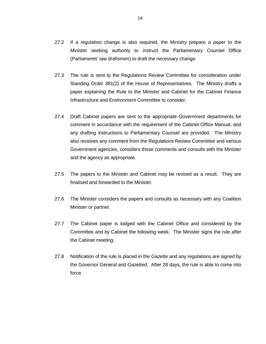- 27.2 If a regulation change is also required, the Ministry prepare a paper to the Minister seeking authority to instruct the Parliamentary Counsel Office (Parliaments' law draftsmen) to draft the necessary change.
- 27.3 The rule is sent to the Regulations Review Committee for consideration under Standing Order 381(2) of the House of Representatives. The Ministry drafts a paper explaining the Rule to the Minister and Cabinet for the Cabinet Finance Infrastructure and Environment Committee to consider.
- 27.4 Draft Cabinet papers are sent to the appropriate Government departments for comment in accordance with the requirement of the Cabinet Office Manual, and any drafting instructions to Parliamentary Counsel are provided. The Ministry also receives any comment from the Regulations Review Committee and various Government agencies, considers those comments and consults with the Minister and the agency as appropriate.
- 27.5 The papers to the Minister and Cabinet may be revised as a result. They are finalised and forwarded to the Minister.
- 27.6 The Minister considers the papers and consults as necessary with any Coalition Minister or partner.
- 27.7 The Cabinet paper is lodged with the Cabinet Office and considered by the Committee and by Cabinet the following week. The Minister signs the rule after the Cabinet meeting.
- 27.8 Notification of the rule is placed in the *Gazette* and any regulations are signed by the Governor General and *Gazetted*. After 28 days, the rule is able to come into force.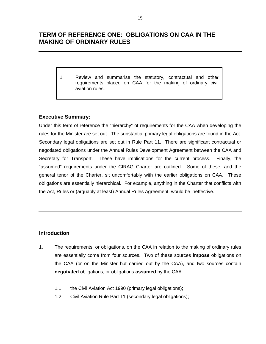# **TERM OF REFERENCE ONE: OBLIGATIONS ON CAA IN THE MAKING OF ORDINARY RULES**

1. Review and summarise the statutory, contractual and other requirements placed on CAA for the making of ordinary civil aviation rules.

## **Executive Summary:**

Under this term of reference the "hierarchy" of requirements for the CAA when developing the rules for the Minister are set out. The substantial primary legal obligations are found in the Act. Secondary legal obligations are set out in Rule Part 11. There are significant contractual or negotiated obligations under the Annual Rules Development Agreement between the CAA and Secretary for Transport. These have implications for the current process. Finally, the "assumed" requirements under the CIRAG Charter are outlined. Some of these, and the general tenor of the Charter, sit uncomfortably with the earlier obligations on CAA. These obligations are essentially hierarchical. For example, anything in the Charter that conflicts with the Act, Rules or (arguably at least) Annual Rules Agreement, would be ineffective.

## **Introduction**

- 1. The requirements, or obligations, on the CAA in relation to the making of ordinary rules are essentially come from four sources. Two of these sources **impose** obligations on the CAA (or on the Minister but carried out by the CAA), and two sources contain **negotiated** obligations, or obligations **assumed** by the CAA.
	- 1.1 the Civil Aviation Act 1990 (primary legal obligations);
	- 1.2 Civil Aviation Rule Part 11 (secondary legal obligations);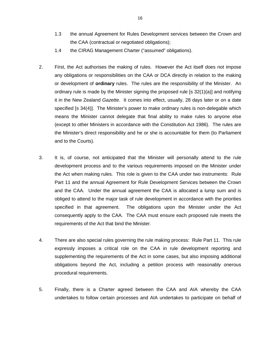- 1.3 the annual Agreement for Rules Development services between the Crown and the CAA (contractual or negotiated obligations);
- 1.4 the CIRAG Management Charter ("assumed" obligations).
- 2. First, the Act authorises the making of rules. However the Act itself does not impose any obligations or responsibilities on the CAA or DCA directly in relation to the making or development of **ordinary** rules. The rules are the responsibility of the Minister. An ordinary rule is made by the Minister signing the proposed rule [s 32(1)(a)] and notifying it in the New Zealand *Gazette*. It comes into effect, usually, 28 days later or on a date specified [s 34(4)]. The Minister's power to make ordinary rules is non-delegable which means the Minister cannot delegate that final ability to make rules to anyone else (except to other Ministers in accordance with the Constitution Act 1986). The rules are the Minister's direct responsibility and he or she is accountable for them (to Parliament and to the Courts).
- 3. It is, of course, not anticipated that the Minister will personally attend to the rule development process and to the various requirements imposed on the Minister under the Act when making rules. This role is given to the CAA under two instruments: Rule Part 11 and the annual Agreement for Rule Development Services between the Crown and the CAA. Under the annual agreement the CAA is allocated a lump sum and is obliged to attend to the major task of rule development in accordance with the priorities specified in that agreement. The obligations upon the Minister under the Act consequently apply to the CAA. The CAA must ensure each proposed rule meets the requirements of the Act that bind the Minister.
- 4. There are also special rules governing the rule making process: Rule Part 11. This rule expressly imposes a critical role on the CAA in rule development reporting and supplementing the requirements of the Act in some cases, but also imposing additional obligations beyond the Act, including a petition process with reasonably onerous procedural requirements.
- 5. Finally, there is a Charter agreed between the CAA and AIA whereby the CAA undertakes to follow certain processes and AIA undertakes to participate on behalf of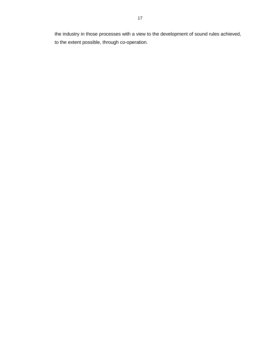the industry in those processes with a view to the development of sound rules achieved, to the extent possible, through co-operation.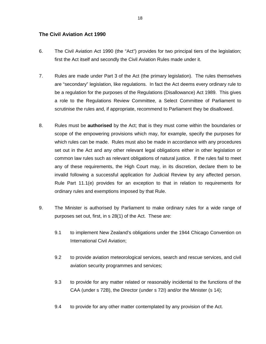## **The Civil Aviation Act 1990**

- 6. The Civil Aviation Act 1990 (the "Act") provides for two principal tiers of the legislation; first the Act itself and secondly the Civil Aviation Rules made under it.
- 7. Rules are made under Part 3 of the Act (the primary legislation). The rules themselves are "secondary" legislation, like regulations. In fact the Act deems every ordinary rule to be a regulation for the purposes of the Regulations (Disallowance) Act 1989. This gives a role to the Regulations Review Committee, a Select Committee of Parliament to scrutinise the rules and, if appropriate, recommend to Parliament they be disallowed.
- 8. Rules must be **authorised** by the Act; that is they must come within the boundaries or scope of the empowering provisions which may, for example, specify the purposes for which rules can be made. Rules must also be made in accordance with any procedures set out in the Act and any other relevant legal obligations either in other legislation or common law rules such as relevant obligations of natural justice. If the rules fail to meet any of these requirements, the High Court may, in its discretion, declare them to be invalid following a successful application for Judicial Review by any affected person. Rule Part 11.1(e) provides for an exception to that in relation to requirements for ordinary rules and exemptions imposed by that Rule.
- 9. The Minister is authorised by Parliament to make ordinary rules for a wide range of purposes set out, first, in s 28(1) of the Act. These are:
	- 9.1 to implement New Zealand's obligations under the 1944 Chicago Convention on International Civil Aviation;
	- 9.2 to provide aviation meteorological services, search and rescue services, and civil aviation security programmes and services;
	- 9.3 to provide for any matter related or reasonably incidental to the functions of the CAA (under s 72B), the Director (under s 72I) and/or the Minister (s 14);
	- 9.4 to provide for any other matter contemplated by any provision of the Act.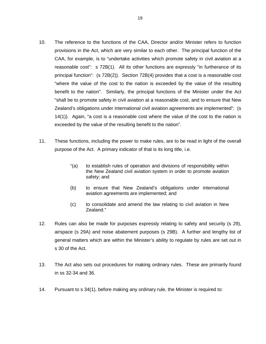- 10. The reference to the functions of the CAA, Director and/or Minister refers to function provisions in the Act, which are very similar to each other. The principal function of the CAA, for example, is to "undertake activities which promote safety in civil aviation at a reasonable cost": s 72B(1). All its other functions are expressly "in furtherance of its principal function": (s 72B(2)). Section 72B(4) provides that a cost is a reasonable cost "where the value of the cost to the nation is exceeded by the value of the resulting benefit to the nation". Similarly, the principal functions of the Minister under the Act "shall be to promote safety in civil aviation at a reasonable cost, and to ensure that New Zealand's obligations under international civil aviation agreements are implemented": (s 14(1)). Again, "a cost is a reasonable cost where the value of the cost to the nation is exceeded by the value of the resulting benefit to the nation".
- 11. These functions, including the power to make rules, are to be read in light of the overall purpose of the Act. A primary indicator of that is its long title, i.e.
	- "(a) to establish rules of operation and divisions of responsibility within the New Zealand civil aviation system in order to promote aviation safety; and
	- (b) to ensure that New Zealand's obligations under international aviation agreements are implemented; and
	- (c) to consolidate and amend the law relating to civil aviation in New Zealand."
- 12. Rules can also be made for purposes expressly relating to safety and security (s 29), airspace (s 29A) and noise abatement purposes (s 29B). A further and lengthy list of general matters which are within the Minister's ability to regulate by rules are set out in s 30 of the Act.
- 13. The Act also sets out procedures for making ordinary rules. These are primarily found in ss 32-34 and 36.
- 14. Pursuant to s 34(1), before making any ordinary rule, the Minister is required to: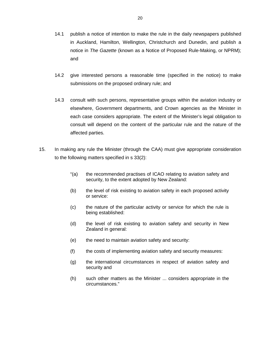- 14.1 publish a notice of intention to make the rule in the daily newspapers published in Auckland, Hamilton, Wellington, Christchurch and Dunedin, and publish a notice in *The Gazette* (known as a Notice of Proposed Rule-Making, or NPRM); and
- 14.2 give interested persons a reasonable time (specified in the notice) to make submissions on the proposed ordinary rule; and
- 14.3 consult with such persons, representative groups within the aviation industry or elsewhere, Government departments, and Crown agencies as the Minister in each case considers appropriate. The extent of the Minister's legal obligation to consult will depend on the content of the particular rule and the nature of the affected parties.
- 15. In making any rule the Minister (through the CAA) must give appropriate consideration to the following matters specified in s 33(2):
	- "(a) the recommended practises of ICAO relating to aviation safety and security, to the extent adopted by New Zealand:
	- (b) the level of risk existing to aviation safety in each proposed activity or service:
	- (c) the nature of the particular activity or service for which the rule is being established:
	- (d) the level of risk existing to aviation safety and security in New Zealand in general:
	- (e) the need to maintain aviation safety and security:
	- (f) the costs of implementing aviation safety and security measures:
	- (g) the international circumstances in respect of aviation safety and security and
	- (h) such other matters as the Minister ... considers appropriate in the circumstances."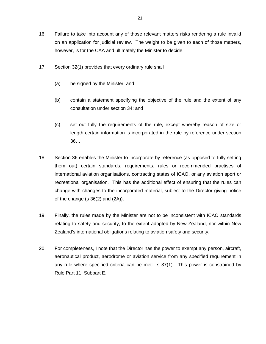- 16. Failure to take into account any of those relevant matters risks rendering a rule invalid on an application for judicial review. The weight to be given to each of those matters, however, is for the CAA and ultimately the Minister to decide.
- 17. Section 32(1) provides that every ordinary rule shall
	- (a) be signed by the Minister; and
	- (b) contain a statement specifying the objective of the rule and the extent of any consultation under section 34; and
	- (c) set out fully the requirements of the rule, except whereby reason of size or length certain information is incorporated in the rule by reference under section 36…
- 18. Section 36 enables the Minister to incorporate by reference (as opposed to fully setting them out) certain standards, requirements, rules or recommended practises of international aviation organisations, contracting states of ICAO, or any aviation sport or recreational organisation. This has the additional effect of ensuring that the rules can change with changes to the incorporated material, subject to the Director giving notice of the change  $(s \ 36(2)$  and  $(2A)$ ).
- 19. Finally, the rules made by the Minister are not to be inconsistent with ICAO standards relating to safety and security, to the extent adopted by New Zealand, nor within New Zealand's international obligations relating to aviation safety and security.
- 20. For completeness, I note that the Director has the power to exempt any person, aircraft, aeronautical product, aerodrome or aviation service from any specified requirement in any rule where specified criteria can be met: s 37(1). This power is constrained by Rule Part 11; Subpart E.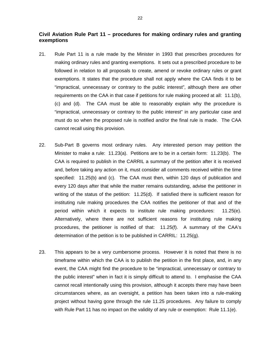## **Civil Aviation Rule Part 11 – procedures for making ordinary rules and granting exemptions**

- 21. Rule Part 11 is a rule made by the Minister in 1993 that prescribes procedures for making ordinary rules and granting exemptions. It sets out a prescribed procedure to be followed in relation to all proposals to create, amend or revoke ordinary rules or grant exemptions. It states that the procedure shall not apply where the CAA finds it to be "impractical, unnecessary or contrary to the public interest", although there are other requirements on the CAA in that case if petitions for rule making proceed at all: 11.1(b), (c) and (d). The CAA must be able to reasonably explain why the procedure is "impractical, unnecessary or contrary to the public interest" in any particular case and must do so when the proposed rule is notified and/or the final rule is made. The CAA cannot recall using this provision.
- 22. Sub-Part B governs most ordinary rules. Any interested person may petition the Minister to make a rule: 11.23(a). Petitions are to be in a certain form: 11.23(b). The CAA is required to publish in the CARRIL a summary of the petition after it is received and, before taking any action on it, must consider all comments received within the time specified: 11.25(b) and (c). The CAA must then, within 120 days of publication and every 120 days after that while the matter remains outstanding, advise the petitioner in writing of the status of the petition: 11.25(d). If satisfied there is sufficient reason for instituting rule making procedures the CAA notifies the petitioner of that and of the period within which it expects to institute rule making procedures: 11.25(e). Alternatively, where there are not sufficient reasons for instituting rule making procedures, the petitioner is notified of that: 11.25(f). A summary of the CAA's determination of the petition is to be published in CARRIL: 11.25(g).
- 23. This appears to be a very cumbersome process. However it is noted that there is no timeframe within which the CAA is to publish the petition in the first place, and, in any event, the CAA might find the procedure to be "impractical, unnecessary or contrary to the public interest" when in fact it is simply difficult to attend to. I emphasise the CAA cannot recall intentionally using this provision, although it accepts there may have been circumstances where, as an oversight, a petition has been taken into a rule-making project without having gone through the rule 11.25 procedures. Any failure to comply with Rule Part 11 has no impact on the validity of any rule or exemption: Rule 11.1(e).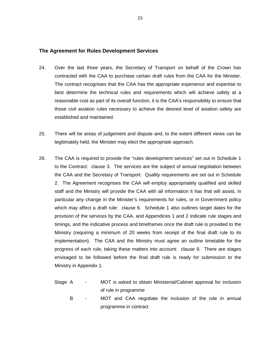#### **The Agreement for Rules Development Services**

- 24. Over the last three years, the Secretary of Transport on behalf of the Crown has contracted with the CAA to purchase certain draft rules from the CAA for the Minister. The contract recognises that the CAA has the appropriate experience and expertise to best determine the technical rules and requirements which will achieve safety at a reasonable cost as part of its overall function, it is the CAA's responsibility to ensure that those civil aviation rules necessary to achieve the desired level of aviation safety are established and maintained.
- 25. There will be areas of judgement and dispute and, to the extent different views can be legitimately held, the Minister may elect the appropriate approach.
- 26. The CAA is required to provide the "rules development services" set out in Schedule 1 to the Contract: clause 3. The services are the subject of annual negotiation between the CAA and the Secretary of Transport. Quality requirements are set out in Schedule 2. The Agreement recognises the CAA will employ appropriately qualified and skilled staff and the Ministry will provide the CAA with all information it has that will assist, in particular any change in the Minister's requirements for rules, or in Government policy which may affect a draft rule: clause 6. Schedule 1 also outlines target dates for the provision of the services by the CAA, and Appendices 1 and 2 indicate rule stages and timings, and the indicative process and timeframes once the draft rule is provided to the Ministry (requiring a minimum of 20 weeks from receipt of the final draft rule to its implementation). The CAA and the Ministry must agree an outline timetable for the progress of each rule, taking these matters into account: clause 9. There are stages envisaged to be followed before the final draft rule is ready for submission to the Ministry in Appendix 1.
	- Stage A MOT is asked to obtain Ministerial/Cabinet approval for inclusion of rule in programme
		- B MOT and CAA negotiate the inclusion of the rule in annual programme in contract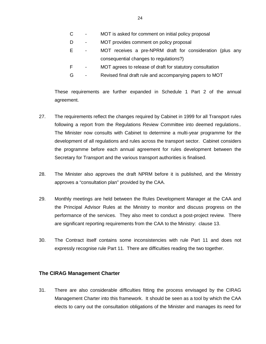- C MOT is asked for comment on initial policy proposal
- D MOT provides comment on policy proposal
- E MOT receives a pre-NPRM draft for consideration (plus any consequential changes to regulations?)
- F MOT agrees to release of draft for statutory consultation
- G Revised final draft rule and accompanying papers to MOT

These requirements are further expanded in Schedule 1 Part 2 of the annual agreement.

- 27. The requirements reflect the changes required by Cabinet in 1999 for all Transport rules following a report from the Regulations Review Committee into deemed regulations.. The Minister now consults with Cabinet to determine a multi-year programme for the development of all regulations and rules across the transport sector. Cabinet considers the programme before each annual agreement for rules development between the Secretary for Transport and the various transport authorities is finalised.
- 28. The Minister also approves the draft NPRM before it is published, and the Ministry approves a "consultation plan" provided by the CAA.
- 29. Monthly meetings are held between the Rules Development Manager at the CAA and the Principal Advisor Rules at the Ministry to monitor and discuss progress on the performance of the services. They also meet to conduct a post-project review. There are significant reporting requirements from the CAA to the Ministry: clause 13.
- 30. The Contract itself contains some inconsistencies with rule Part 11 and does not expressly recognise rule Part 11. There are difficulties reading the two together.

## **The CIRAG Management Charter**

31. There are also considerable difficulties fitting the process envisaged by the CIRAG Management Charter into this framework. It should be seen as a tool by which the CAA elects to carry out the consultation obligations of the Minister and manages its need for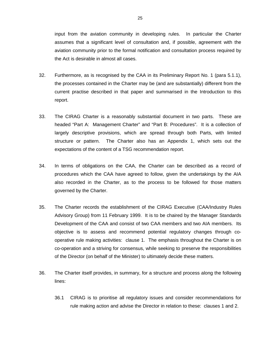input from the aviation community in developing rules. In particular the Charter assumes that a significant level of consultation and, if possible, agreement with the aviation community prior to the formal notification and consultation process required by the Act is desirable in almost all cases.

- 32. Furthermore, as is recognised by the CAA in its Preliminary Report No. 1 (para 5.1.1), the processes contained in the Charter may be (and are substantially) different from the current practise described in that paper and summarised in the Introduction to this report.
- 33. The CIRAG Charter is a reasonably substantial document in two parts. These are headed "Part A: Management Charter" and "Part B: Procedures". It is a collection of largely descriptive provisions, which are spread through both Parts, with limited structure or pattern. The Charter also has an Appendix 1, which sets out the expectations of the content of a TSG recommendation report.
- 34. In terms of obligations on the CAA, the Charter can be described as a record of procedures which the CAA have agreed to follow, given the undertakings by the AIA also recorded in the Charter, as to the process to be followed for those matters governed by the Charter.
- 35. The Charter records the establishment of the CIRAG Executive (CAA/Industry Rules Advisory Group) from 11 February 1999. It is to be chaired by the Manager Standards Development of the CAA and consist of two CAA members and two AIA members. Its objective is to assess and recommend potential regulatory changes through cooperative rule making activities: clause 1. The emphasis throughout the Charter is on co-operation and a striving for consensus, while seeking to preserve the responsibilities of the Director (on behalf of the Minister) to ultimately decide these matters.
- 36. The Charter itself provides, in summary, for a structure and process along the following lines:
	- 36.1 CIRAG is to prioritise all regulatory issues and consider recommendations for rule making action and advise the Director in relation to these: clauses 1 and 2.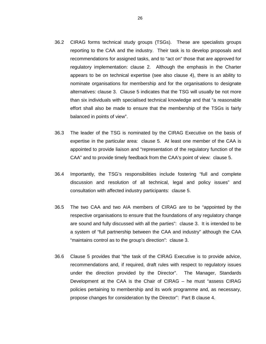- 36.2 CIRAG forms technical study groups (TSGs). These are specialists groups reporting to the CAA and the industry. Their task is to develop proposals and recommendations for assigned tasks, and to "act on" those that are approved for regulatory implementation: clause 2. Although the emphasis in the Charter appears to be on technical expertise (see also clause 4), there is an ability to nominate organisations for membership and for the organisations to designate alternatives: clause 3. Clause 5 indicates that the TSG will usually be not more than six individuals with specialised technical knowledge and that "a reasonable effort shall also be made to ensure that the membership of the TSGs is fairly balanced in points of view".
- 36.3 The leader of the TSG is nominated by the CIRAG Executive on the basis of expertise in the particular area: clause 5. At least one member of the CAA is appointed to provide liaison and "representation of the regulatory function of the CAA" and to provide timely feedback from the CAA's point of view: clause 5.
- 36.4 Importantly, the TSG's responsibilities include fostering "full and complete discussion and resolution of all technical, legal and policy issues" and consultation with affected industry participants: clause 5.
- 36.5 The two CAA and two AIA members of CIRAG are to be "appointed by the respective organisations to ensure that the foundations of any regulatory change are sound and fully discussed with all the parties": clause 3. It is intended to be a system of "full partnership between the CAA and industry" although the CAA "maintains control as to the group's direction": clause 3.
- 36.6 Clause 5 provides that "the task of the CIRAG Executive is to provide advice, recommendations and, if required, draft rules with respect to regulatory issues under the direction provided by the Director". The Manager, Standards Development at the CAA is the Chair of CIRAG – he must "assess CIRAG policies pertaining to membership and its work programme and, as necessary, propose changes for consideration by the Director": Part B clause 4.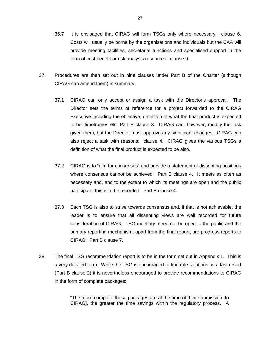- 36.7 It is envisaged that CIRAG will form TSGs only where necessary: clause 6. Costs will usually be borne by the organisations and individuals but the CAA will provide meeting facilities, secretarial functions and specialised support in the form of cost benefit or risk analysis resources: clause 9.
- 37. Procedures are then set out in nine clauses under Part B of the Charter (although CIRAG can amend them) in summary:
	- 37.1 CIRAG can only accept or assign a task with the Director's approval. The Director sets the terms of reference for a project forwarded to the CIRAG Executive including the objective, definition of what the final product is expected to be, timeframes etc: Part B clause 3. CIRAG can, however, modify the task given them, but the Director must approve any significant changes. CIRAG can also reject a task with reasons: clause 4. CIRAG gives the various TSGs a definition of what the final product is expected to be also.
	- 37.2 CIRAG is to "aim for consensus" and provide a statement of dissenting positions where consensus cannot be achieved: Part B clause 4. It meets as often as necessary and, and to the extent to which its meetings are open and the public participate, this is to be recorded: Part B clause 4.
	- 37.3 Each TSG is also to strive towards consensus and, if that is not achievable, the leader is to ensure that all dissenting views are well recorded for future consideration of CIRAG. TSG meetings need not be open to the public and the primary reporting mechanism, apart from the final report, are progress reports to CIRAG: Part B clause 7.
- 38. The final TSG recommendation report is to be in the form set out in Appendix 1. This is a very detailed form. While the TSG is encouraged to find rule solutions as a last resort (Part B clause 2) it is nevertheless encouraged to provide recommendations to CIRAG in the form of complete packages:

"The more complete these packages are at the time of their submission [to CIRAG], the greater the time savings within the regulatory process. A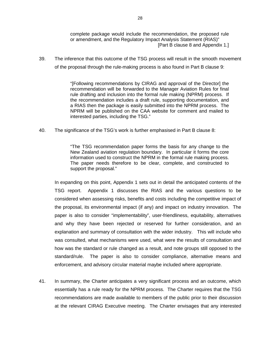complete package would include the recommendation, the proposed rule or amendment, and the Regulatory Impact Analysis Statement (RIAS)" [Part B clause 8 and Appendix 1.]

39. The inference that this outcome of the TSG process will result in the smooth movement of the proposal through the rule-making process is also found in Part B clause 9:

> "[Following recommendations by CIRAG and approval of the Director] the recommendation will be forwarded to the Manager Aviation Rules for final rule drafting and inclusion into the formal rule making (NPRM) process. If the recommendation includes a draft rule, supporting documentation, and a RIAS then the package is easily submitted into the NPRM process. The NPRM will be published on the CAA website for comment and mailed to interested parties, including the TSG."

40. The significance of the TSG's work is further emphasised in Part B clause 8:

"The TSG recommendation paper forms the basis for any change to the New Zealand aviation regulation boundary. In particular it forms the core information used to construct the NPRM in the formal rule making process. The paper needs therefore to be clear, complete, and constructed to support the proposal."

In expanding on this point, Appendix 1 sets out in detail the anticipated contents of the TSG report. Appendix 1 discusses the RIAS and the various questions to be considered when assessing risks, benefits and costs including the competitive impact of the proposal, its environmental impact (if any) and impact on industry innovation. The paper is also to consider "implementability", user-friendliness, equitability, alternatives and why they have been rejected or reserved for further consideration, and an explanation and summary of consultation with the wider industry. This will include who was consulted, what mechanisms were used, what were the results of consultation and how was the standard or rule changed as a result, and note groups still opposed to the standard/rule. The paper is also to consider compliance, alternative means and enforcement, and advisory circular material maybe included where appropriate.

41. In summary, the Charter anticipates a very significant process and an outcome, which essentially has a rule ready for the NPRM process. The Charter requires that the TSG recommendations are made available to members of the public prior to their discussion at the relevant CIRAG Executive meeting. The Charter envisages that any interested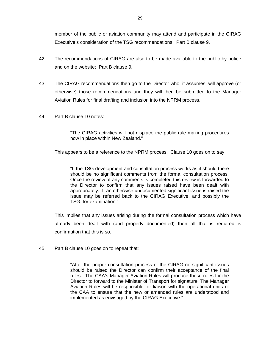member of the public or aviation community may attend and participate in the CIRAG Executive's consideration of the TSG recommendations: Part B clause 9.

- 42. The recommendations of CIRAG are also to be made available to the public by notice and on the website: Part B clause 9.
- 43. The CIRAG recommendations then go to the Director who, it assumes, will approve (or otherwise) those recommendations and they will then be submitted to the Manager Aviation Rules for final drafting and inclusion into the NPRM process.
- 44. Part B clause 10 notes:

"The CIRAG activities will not displace the public rule making procedures now in place within New Zealand."

This appears to be a reference to the NPRM process. Clause 10 goes on to say:

"If the TSG development and consultation process works as it should there should be no significant comments from the formal consultation process. Once the review of any comments is completed this review is forwarded to the Director to confirm that any issues raised have been dealt with appropriately. If an otherwise undocumented significant issue is raised the issue may be referred back to the CIRAG Executive, and possibly the TSG, for examination."

This implies that any issues arising during the formal consultation process which have already been dealt with (and properly documented) then all that is required is confirmation that this is so.

45. Part B clause 10 goes on to repeat that:

"After the proper consultation process of the CIRAG no significant issues should be raised the Director can confirm their acceptance of the final rules. The CAA's Manager Aviation Rules will produce those rules for the Director to forward to the Minister of Transport for signature. The Manager Aviation Rules will be responsible for liaison with the operational units of the CAA to ensure that the new or amended rules are understood and implemented as envisaged by the CIRAG Executive."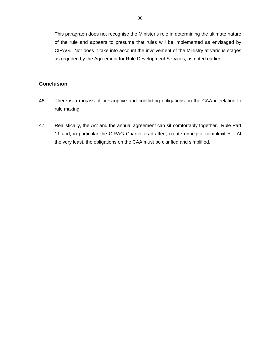This paragraph does not recognise the Minister's role in determining the ultimate nature of the rule and appears to presume that rules will be implemented as envisaged by CIRAG. Nor does it take into account the involvement of the Ministry at various stages as required by the Agreement for Rule Development Services, as noted earlier.

## **Conclusion**

- 46. There is a morass of prescriptive and conflicting obligations on the CAA in relation to rule making.
- 47. Realistically, the Act and the annual agreement can sit comfortably together. Rule Part 11 and, in particular the CIRAG Charter as drafted, create unhelpful complexities. At the very least, the obligations on the CAA must be clarified and simplified.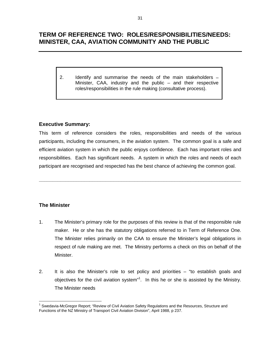# **TERM OF REFERENCE TWO: ROLES/RESPONSIBILITIES/NEEDS: MINISTER, CAA, AVIATION COMMUNITY AND THE PUBLIC**

2. Identify and summarise the needs of the main stakeholders – Minister, CAA, industry and the public – and their respective roles/responsibilities in the rule making (consultative process).

## **Executive Summary:**

This term of reference considers the roles, responsibilities and needs of the various participants, including the consumers, in the aviation system. The common goal is a safe and efficient aviation system in which the public enjoys confidence. Each has important roles and responsibilities. Each has significant needs. A system in which the roles and needs of each participant are recognised and respected has the best chance of achieving the common goal.

**\_\_\_\_\_\_\_\_\_\_\_\_\_\_\_\_\_\_\_\_\_\_\_\_\_\_\_\_\_\_\_\_\_\_\_\_\_\_\_\_\_\_\_\_\_\_\_\_\_\_\_\_\_\_\_\_\_\_\_\_\_\_\_\_\_\_\_\_\_\_\_\_\_\_\_\_** 

## **The Minister**

 $\overline{a}$ 

- 1. The Minister's primary role for the purposes of this review is that of the responsible rule maker. He or she has the statutory obligations referred to in Term of Reference One. The Minister relies primarily on the CAA to ensure the Minister's legal obligations in respect of rule making are met. The Ministry performs a check on this on behalf of the Minister.
- 2. It is also the Minister's role to set policy and priorities "to establish goals and objectives for the civil aviation system"<sup>1</sup>. In this he or she is assisted by the Ministry. The Minister needs

<sup>&</sup>lt;sup>1</sup> Swedavia-McGregor Report; "Review of Civil Aviation Safety Regulations and the Resources, Structure and Functions of the NZ Ministry of Transport Civil Aviation Division", April 1988, p 237.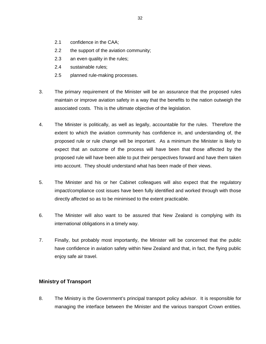- 2.1 confidence in the CAA;
- 2.2 the support of the aviation community;
- 2.3 an even quality in the rules;
- 2.4 sustainable rules;
- 2.5 planned rule-making processes.
- 3. The primary requirement of the Minister will be an assurance that the proposed rules maintain or improve aviation safety in a way that the benefits to the nation outweigh the associated costs. This is the ultimate objective of the legislation.
- 4. The Minister is politically, as well as legally, accountable for the rules. Therefore the extent to which the aviation community has confidence in, and understanding of, the proposed rule or rule change will be important. As a minimum the Minister is likely to expect that an outcome of the process will have been that those affected by the proposed rule will have been able to put their perspectives forward and have them taken into account. They should understand what has been made of their views.
- 5. The Minister and his or her Cabinet colleagues will also expect that the regulatory impact/compliance cost issues have been fully identified and worked through with those directly affected so as to be minimised to the extent practicable.
- 6. The Minister will also want to be assured that New Zealand is complying with its international obligations in a timely way.
- 7. Finally, but probably most importantly, the Minister will be concerned that the public have confidence in aviation safety within New Zealand and that, in fact, the flying public enjoy safe air travel.

## **Ministry of Transport**

8. The Ministry is the Government's principal transport policy advisor. It is responsible for managing the interface between the Minister and the various transport Crown entities.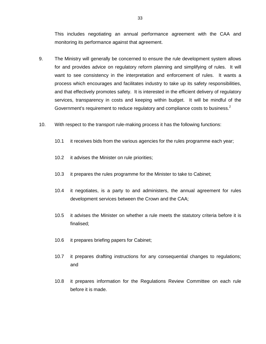This includes negotiating an annual performance agreement with the CAA and monitoring its performance against that agreement.

- 9. The Ministry will generally be concerned to ensure the rule development system allows for and provides advice on regulatory reform planning and simplifying of rules. It will want to see consistency in the interpretation and enforcement of rules. It wants a process which encourages and facilitates industry to take up its safety responsibilities, and that effectively promotes safety. It is interested in the efficient delivery of regulatory services, transparency in costs and keeping within budget. It will be mindful of the Government's requirement to reduce regulatory and compliance costs to business.<sup>2</sup>
- 10. With respect to the transport rule-making process it has the following functions:
	- 10.1 it receives bids from the various agencies for the rules programme each year;
	- 10.2 it advises the Minister on rule priorities;
	- 10.3 it prepares the rules programme for the Minister to take to Cabinet;
	- 10.4 it negotiates, is a party to and administers, the annual agreement for rules development services between the Crown and the CAA;
	- 10.5 it advises the Minister on whether a rule meets the statutory criteria before it is finalised;
	- 10.6 it prepares briefing papers for Cabinet;
	- 10.7 it prepares drafting instructions for any consequential changes to regulations; and
	- 10.8 it prepares information for the Regulations Review Committee on each rule before it is made.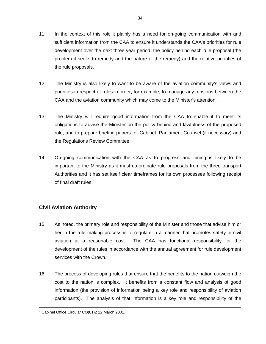- 11. In the context of this role it plainly has a need for on-going communication with and sufficient information from the CAA to ensure it understands the CAA's priorities for rule development over the next three year period; the policy behind each rule proposal (the problem it seeks to remedy and the nature of the remedy) and the relative priorities of the rule proposals.
- 12. The Ministry is also likely to want to be aware of the aviation community's views and priorities in respect of rules in order, for example, to manage any tensions between the CAA and the aviation community which may come to the Minister's attention.
- 13. The Ministry will require good information from the CAA to enable it to meet its obligations to advise the Minister on the policy behind and lawfulness of the proposed rule, and to prepare briefing papers for Cabinet, Parliament Counsel (if necessary) and the Regulations Review Committee.
- 14. On-going communication with the CAA as to progress and timing is likely to be important to the Ministry as it must co-ordinate rule proposals from the three transport Authorities and it has set itself clear timeframes for its own processes following receipt of final draft rules.

# **Civil Aviation Authority**

- 15. As noted, the primary role and responsibility of the Minister and those that advise him or her in the rule making process is to regulate in a manner that promotes safety in civil aviation at a reasonable cost. The CAA has functional responsibility for the development of the rules in accordance with the annual agreement for rule development services with the Crown.
- 16. The process of developing rules that ensure that the benefits to the nation outweigh the cost to the nation is complex. It benefits from a constant flow and analysis of good information (the provision of information being a key role and responsibility of aviation participants). The analysis of that information is a key role and responsibility of the

 $\frac{1}{2}$  $2$  Cabinet Office Circular CO(01)2 12 March 2001.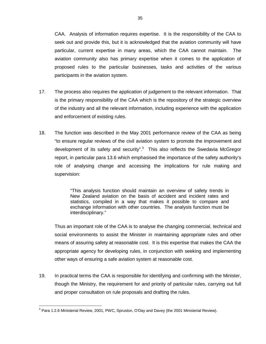CAA. Analysis of information requires expertise. It is the responsibility of the CAA to seek out and provide this, but it is acknowledged that the aviation community will have particular, current expertise in many areas, which the CAA cannot maintain. The aviation community also has primary expertise when it comes to the application of proposed rules to the particular businesses, tasks and activities of the various participants in the aviation system.

- 17. The process also requires the application of judgement to the relevant information. That is the primary responsibility of the CAA which is the repository of the strategic overview of the industry and all the relevant information, including experience with the application and enforcement of existing rules.
- 18. The function was described in the May 2001 performance review of the CAA as being "to ensure regular reviews of the civil aviation system to promote the improvement and development of its safety and security".<sup>3</sup> This also reflects the Swedavia McGregor report, in particular para 13.6 which emphasised the importance of the safety authority's role of analysing change and accessing the implications for rule making and supervision:

"This analysis function should maintain an overview of safety trends in New Zealand aviation on the basis of accident and incident rates and statistics, compiled in a way that makes it possible to compare and exchange information with other countries. The analysis function must be interdisciplinary."

Thus an important role of the CAA is to analyse the changing commercial, technical and social environments to assist the Minister in maintaining appropriate rules and other means of assuring safety at reasonable cost. It is this expertise that makes the CAA the appropriate agency for developing rules, in conjunction with seeking and implementing other ways of ensuring a safe aviation system at reasonable cost.

19. In practical terms the CAA is responsible for identifying and confirming with the Minister, though the Ministry, the requirement for and priority of particular rules, carrying out full and proper consultation on rule proposals and drafting the rules.

 $\overline{a}$  $3$  Para 1.2.6 Ministerial Review, 2001, PWC, Spruston, O'Day and Davey (the 2001 Ministerial Review).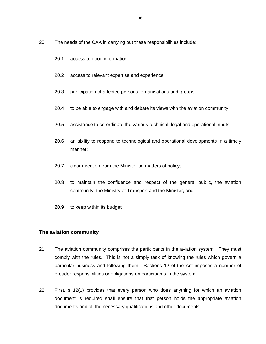- 20. The needs of the CAA in carrying out these responsibilities include:
	- 20.1 access to good information;
	- 20.2 access to relevant expertise and experience;
	- 20.3 participation of affected persons, organisations and groups;
	- 20.4 to be able to engage with and debate its views with the aviation community;
	- 20.5 assistance to co-ordinate the various technical, legal and operational inputs;
	- 20.6 an ability to respond to technological and operational developments in a timely manner;
	- 20.7 clear direction from the Minister on matters of policy;
	- 20.8 to maintain the confidence and respect of the general public, the aviation community, the Ministry of Transport and the Minister, and
	- 20.9 to keep within its budget.

### **The aviation community**

- 21. The aviation community comprises the participants in the aviation system. They must comply with the rules. This is not a simply task of knowing the rules which govern a particular business and following them. Sections 12 of the Act imposes a number of broader responsibilities or obligations on participants in the system.
- 22. First, s 12(1) provides that every person who does anything for which an aviation document is required shall ensure that that person holds the appropriate aviation documents and all the necessary qualifications and other documents.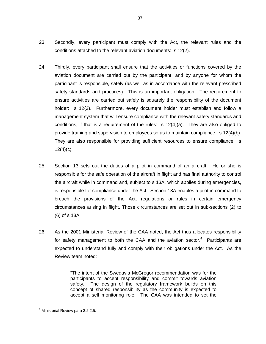- 23. Secondly, every participant must comply with the Act, the relevant rules and the conditions attached to the relevant aviation documents: s 12(2).
- 24. Thirdly, every participant shall ensure that the activities or functions covered by the aviation document are carried out by the participant, and by anyone for whom the participant is responsible, safely (as well as in accordance with the relevant prescribed safety standards and practices). This is an important obligation. The requirement to ensure activities are carried out safely is squarely the responsibility of the document holder: s 12(3). Furthermore, every document holder must establish and follow a management system that will ensure compliance with the relevant safety standards and conditions, if that is a requirement of the rules:  $s 12(4)(a)$ . They are also obliged to provide training and supervision to employees so as to maintain compliance: s 12(4)(b). They are also responsible for providing sufficient resources to ensure compliance: s  $12(4)(c)$ .
- 25. Section 13 sets out the duties of a pilot in command of an aircraft. He or she is responsible for the safe operation of the aircraft in flight and has final authority to control the aircraft while in command and, subject to s 13A, which applies during emergencies, is responsible for compliance under the Act. Section 13A enables a pilot in command to breach the provisions of the Act, regulations or rules in certain emergency circumstances arising in flight. Those circumstances are set out in sub-sections (2) to (6) of s 13A.
- 26. As the 2001 Ministerial Review of the CAA noted, the Act thus allocates responsibility for safety management to both the CAA and the aviation sector. $4$  Participants are expected to understand fully and comply with their obligations under the Act. As the Review team noted:

"The intent of the Swedavia McGregor recommendation was for the participants to accept responsibility and commit towards aviation safety. The design of the regulatory framework builds on this concept of shared responsibility as the community is expected to accept a self monitoring role. The CAA was intended to set the

 $\overline{a}$ 4 Ministerial Review para 3.2.2.5.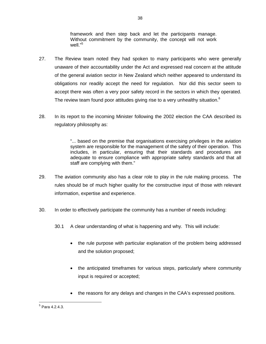framework and then step back and let the participants manage. Without commitment by the community, the concept will not work well."<sup>5</sup>

38

- 27. The Review team noted they had spoken to many participants who were generally unaware of their accountability under the Act and expressed real concern at the attitude of the general aviation sector in New Zealand which neither appeared to understand its obligations nor readily accept the need for regulation. Nor did this sector seem to accept there was often a very poor safety record in the sectors in which they operated. The review team found poor attitudes giving rise to a very unhealthy situation. $6$
- 28. In its report to the incoming Minister following the 2002 election the CAA described its regulatory philosophy as:

"... based on the premise that organisations exercising privileges in the aviation system are responsible for the management of the safety of their operation. This includes, in particular, ensuring that their standards and procedures are adequate to ensure compliance with appropriate safety standards and that all staff are complying with them."

- 29. The aviation community also has a clear role to play in the rule making process. The rules should be of much higher quality for the constructive input of those with relevant information, expertise and experience.
- 30. In order to effectively participate the community has a number of needs including:
	- 30.1 A clear understanding of what is happening and why. This will include:
		- the rule purpose with particular explanation of the problem being addressed and the solution proposed;
		- $\bullet$  the anticipated timeframes for various steps, particularly where community input is required or accepted;
		- the reasons for any delays and changes in the CAA's expressed positions.

<sup>&</sup>lt;u>5</u><br><sup>5</sup> Para 4.2.4.3.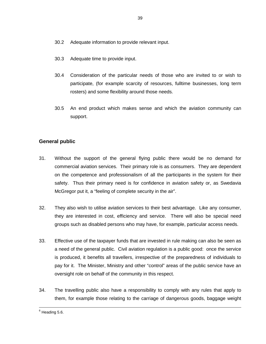- 30.2 Adequate information to provide relevant input.
- 30.3 Adequate time to provide input.
- 30.4 Consideration of the particular needs of those who are invited to or wish to participate, (for example scarcity of resources, fulltime businesses, long term rosters) and some flexibility around those needs.
- 30.5 An end product which makes sense and which the aviation community can support.

# **General public**

- 31. Without the support of the general flying public there would be no demand for commercial aviation services. Their primary role is as consumers. They are dependent on the competence and professionalism of all the participants in the system for their safety. Thus their primary need is for confidence in aviation safety or, as Swedavia McGregor put it, a "feeling of complete security in the air".
- 32. They also wish to utilise aviation services to their best advantage. Like any consumer, they are interested in cost, efficiency and service. There will also be special need groups such as disabled persons who may have, for example, particular access needs.
- 33. Effective use of the taxpayer funds that are invested in rule making can also be seen as a need of the general public. Civil aviation regulation is a public good: once the service is produced, it benefits all travellers, irrespective of the preparedness of individuals to pay for it. The Minister, Ministry and other "control" areas of the public service have an oversight role on behalf of the community in this respect.
- 34. The travelling public also have a responsibility to comply with any rules that apply to them, for example those relating to the carriage of dangerous goods, baggage weight

<sup>—&</sup>lt;br>6  $6$  Heading 5.6.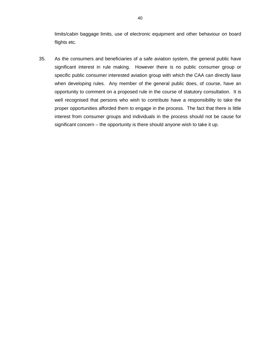limits/cabin baggage limits, use of electronic equipment and other behaviour on board flights etc.

35. As the consumers and beneficiaries of a safe aviation system, the general public have significant interest in rule making. However there is no public consumer group or specific public consumer interested aviation group with which the CAA can directly liase when developing rules. Any member of the general public does, of course, have an opportunity to comment on a proposed rule in the course of statutory consultation. It is well recognised that persons who wish to contribute have a responsibility to take the proper opportunities afforded them to engage in the process. The fact that there is little interest from consumer groups and individuals in the process should not be cause for significant concern – the opportunity is there should anyone wish to take it up.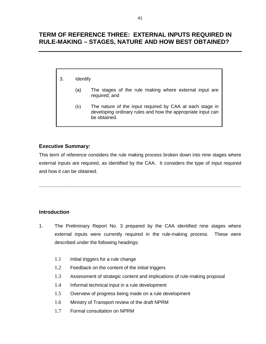# **TERM OF REFERENCE THREE: EXTERNAL INPUTS REQUIRED IN RULE-MAKING – STAGES, NATURE AND HOW BEST OBTAINED?**

- 3. Identify
	- (a) The stages of the rule making where external input are required; and
	- (b) The nature of the input required by CAA at each stage in developing ordinary rules and how the appropriate input can be obtained.

# **Executive Summary:**

This term of reference considers the rule making process broken down into nine stages where external inputs are required, as identified by the CAA. It considers the type of input required and how it can be obtained.

**\_\_\_\_\_\_\_\_\_\_\_\_\_\_\_\_\_\_\_\_\_\_\_\_\_\_\_\_\_\_\_\_\_\_\_\_\_\_\_\_\_\_\_\_\_\_\_\_\_\_\_\_\_\_\_\_\_\_\_\_\_\_\_\_\_\_\_\_\_\_\_\_\_\_\_\_** 

# **Introduction**

- 1. The Preliminary Report No. 3 prepared by the CAA identified nine stages where external inputs were currently required in the rule-making process. These were described under the following headings:
	- 1.1 Initial triggers for a rule change
	- 1.2 Feedback on the content of the initial triggers
	- 1.3 Assessment of strategic content and implications of rule-making proposal
	- 1.4 Informal technical input in a rule development
	- 1.5 Overview of progress being made on a rule development
	- 1.6 Ministry of Transport review of the draft NPRM
	- 1.7 Formal consultation on NPRM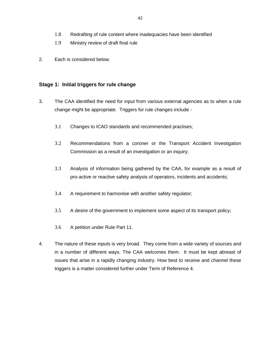- 1.9 Ministry review of draft final rule
- 2. Each is considered below.

## **Stage 1: Initial triggers for rule change**

- 3. The CAA identified the need for input from various external agencies as to when a rule change might be appropriate. Triggers for rule changes include -
	- 3.1 Changes to ICAO standards and recommended practises;
	- 3.2 Recommendations from a coroner or the Transport Accident Investigation Commission as a result of an investigation or an inquiry;
	- 3.3 Analysis of information being gathered by the CAA, for example as a result of pro-active or reactive safety analysis of operators, incidents and accidents;
	- 3.4 A requirement to harmonise with another safety regulator;
	- 3.5 A desire of the government to implement some aspect of its transport policy;
	- 3.6 A petition under Rule Part 11.
- 4. The nature of these inputs is very broad. They come from a wide variety of sources and in a number of different ways. The CAA welcomes them. It must be kept abreast of issues that arise in a rapidly changing industry. How best to receive and channel these triggers is a matter considered further under Term of Reference 4.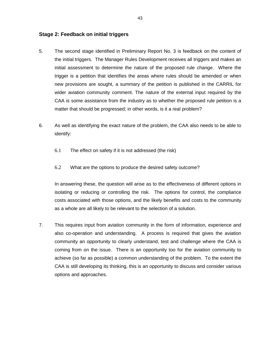## **Stage 2: Feedback on initial triggers**

- 5. The second stage identified in Preliminary Report No. 3 is feedback on the content of the initial triggers. The Manager Rules Development receives all triggers and makes an initial assessment to determine the nature of the proposed rule change. Where the trigger is a petition that identifies the areas where rules should be amended or when new provisions are sought, a summary of the petition is published in the CARRIL for wider aviation community comment. The nature of the external input required by the CAA is some assistance from the industry as to whether the proposed rule petition is a matter that should be progressed; in other words, is it a real problem?
- 6. As well as identifying the exact nature of the problem, the CAA also needs to be able to identify:
	- 6.1 The effect on safety if it is not addressed (the risk)
	- 6.2 What are the options to produce the desired safety outcome?

In answering these, the question will arise as to the effectiveness of different options in isolating or reducing or controlling the risk. The options for control, the compliance costs associated with those options, and the likely benefits and costs to the community as a whole are all likely to be relevant to the selection of a solution.

7. This requires input from aviation community in the form of information, experience and also co-operation and understanding. A process is required that gives the aviation community an opportunity to clearly understand, test and challenge where the CAA is coming from on the issue. There is an opportunity too for the aviation community to achieve (so far as possible) a common understanding of the problem. To the extent the CAA is still developing its thinking, this is an opportunity to discuss and consider various options and approaches.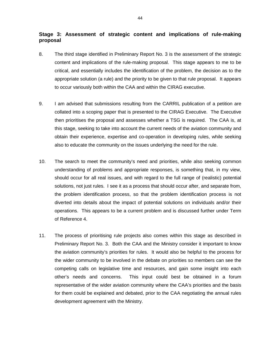# **Stage 3: Assessment of strategic content and implications of rule-making proposal**

- 8. The third stage identified in Preliminary Report No. 3 is the assessment of the strategic content and implications of the rule-making proposal. This stage appears to me to be critical, and essentially includes the identification of the problem, the decision as to the appropriate solution (a rule) and the priority to be given to that rule proposal. It appears to occur variously both within the CAA and within the CIRAG executive.
- 9. I am advised that submissions resulting from the CARRIL publication of a petition are collated into a scoping paper that is presented to the CIRAG Executive. The Executive then prioritises the proposal and assesses whether a TSG is required. The CAA is, at this stage, seeking to take into account the current needs of the aviation community and obtain their experience, expertise and co-operation in developing rules, while seeking also to educate the community on the issues underlying the need for the rule.
- 10. The search to meet the community's need and priorities, while also seeking common understanding of problems and appropriate responses, is something that, in my view, should occur for all real issues, and with regard to the full range of (realistic) potential solutions, not just rules. I see it as a process that should occur after, and separate from, the problem identification process, so that the problem identification process is not diverted into details about the impact of potential solutions on individuals and/or their operations. This appears to be a current problem and is discussed further under Term of Reference 4.
- 11. The process of prioritising rule projects also comes within this stage as described in Preliminary Report No. 3. Both the CAA and the Ministry consider it important to know the aviation community's priorities for rules. It would also be helpful to the process for the wider community to be involved in the debate on priorities so members can see the competing calls on legislative time and resources, and gain some insight into each other's needs and concerns. This input could best be obtained in a forum representative of the wider aviation community where the CAA's priorities and the basis for them could be explained and debated, prior to the CAA negotiating the annual rules development agreement with the Ministry.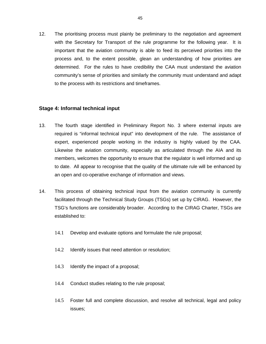12. The prioritising process must plainly be preliminary to the negotiation and agreement with the Secretary for Transport of the rule programme for the following year. It is important that the aviation community is able to feed its perceived priorities into the process and, to the extent possible, glean an understanding of how priorities are determined. For the rules to have credibility the CAA must understand the aviation community's sense of priorities and similarly the community must understand and adapt to the process with its restrictions and timeframes.

## **Stage 4: Informal technical input**

- 13. The fourth stage identified in Preliminary Report No. 3 where external inputs are required is "informal technical input" into development of the rule. The assistance of expert, experienced people working in the industry is highly valued by the CAA. Likewise the aviation community, especially as articulated through the AIA and its members, welcomes the opportunity to ensure that the regulator is well informed and up to date. All appear to recognise that the quality of the ultimate rule will be enhanced by an open and co-operative exchange of information and views.
- 14. This process of obtaining technical input from the aviation community is currently facilitated through the Technical Study Groups (TSGs) set up by CIRAG. However, the TSG's functions are considerably broader. According to the CIRAG Charter, TSGs are established to:
	- 14.1 Develop and evaluate options and formulate the rule proposal;
	- 14.2 Identify issues that need attention or resolution;
	- 14.3 Identify the impact of a proposal;
	- 14.4 Conduct studies relating to the rule proposal;
	- 14.5 Foster full and complete discussion, and resolve all technical, legal and policy issues;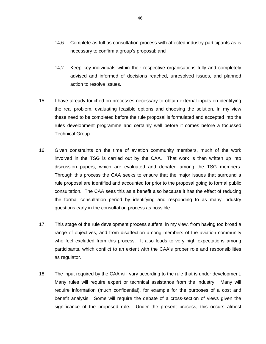- 14.6 Complete as full as consultation process with affected industry participants as is necessary to confirm a group's proposal; and
- 14.7 Keep key individuals within their respective organisations fully and completely advised and informed of decisions reached, unresolved issues, and planned action to resolve issues.
- 15. I have already touched on processes necessary to obtain external inputs on identifying the real problem, evaluating feasible options and choosing the solution. In my view these need to be completed before the rule proposal is formulated and accepted into the rules development programme and certainly well before it comes before a focussed Technical Group.
- 16. Given constraints on the time of aviation community members, much of the work involved in the TSG is carried out by the CAA. That work is then written up into discussion papers, which are evaluated and debated among the TSG members. Through this process the CAA seeks to ensure that the major issues that surround a rule proposal are identified and accounted for prior to the proposal going to formal public consultation. The CAA sees this as a benefit also because it has the effect of reducing the formal consultation period by identifying and responding to as many industry questions early in the consultation process as possible.
- 17. This stage of the rule development process suffers, in my view, from having too broad a range of objectives, and from disaffection among members of the aviation community who feel excluded from this process. It also leads to very high expectations among participants, which conflict to an extent with the CAA's proper role and responsibilities as regulator.
- 18. The input required by the CAA will vary according to the rule that is under development. Many rules will require expert or technical assistance from the industry. Many will require information (much confidential), for example for the purposes of a cost and benefit analysis. Some will require the debate of a cross-section of views given the significance of the proposed rule. Under the present process, this occurs almost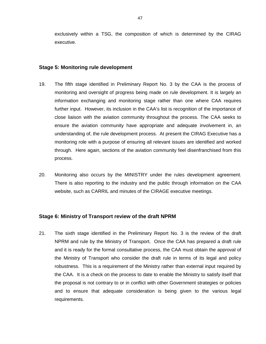exclusively within a TSG, the composition of which is determined by the CIRAG executive.

### **Stage 5: Monitoring rule development**

- 19. The fifth stage identified in Preliminary Report No. 3 by the CAA is the process of monitoring and oversight of progress being made on rule development. It is largely an information exchanging and monitoring stage rather than one where CAA requires further input. However, its inclusion in the CAA's list is recognition of the importance of close liaison with the aviation community throughout the process. The CAA seeks to ensure the aviation community have appropriate and adequate involvement in, an understanding of, the rule development process. At present the CIRAG Executive has a monitoring role with a purpose of ensuring all relevant issues are identified and worked through. Here again, sections of the aviation community feel disenfranchised from this process.
- 20. Monitoring also occurs by the MINISTRY under the rules development agreement. There is also reporting to the industry and the public through information on the CAA website, such as CARRIL and minutes of the CIRAGE executive meetings.

## **Stage 6: Ministry of Transport review of the draft NPRM**

21. The sixth stage identified in the Preliminary Report No. 3 is the review of the draft NPRM and rule by the Ministry of Transport. Once the CAA has prepared a draft rule and it is ready for the formal consultative process, the CAA must obtain the approval of the Ministry of Transport who consider the draft rule in terms of its legal and policy robustness. This is a requirement of the Ministry rather than external input required by the CAA. It is a check on the process to date to enable the Ministry to satisfy itself that the proposal is not contrary to or in conflict with other Government strategies or policies and to ensure that adequate consideration is being given to the various legal requirements.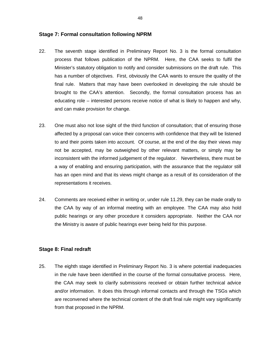### **Stage 7: Formal consultation following NPRM**

- 22. The seventh stage identified in Preliminary Report No. 3 is the formal consultation process that follows publication of the NPRM. Here, the CAA seeks to fulfil the Minister's statutory obligation to notify and consider submissions on the draft rule. This has a number of objectives. First, obviously the CAA wants to ensure the quality of the final rule. Matters that may have been overlooked in developing the rule should be brought to the CAA's attention. Secondly, the formal consultation process has an educating role – interested persons receive notice of what is likely to happen and why, and can make provision for change.
- 23. One must also not lose sight of the third function of consultation; that of ensuring those affected by a proposal can voice their concerns with confidence that they will be listened to and their points taken into account. Of course, at the end of the day their views may not be accepted, may be outweighed by other relevant matters, or simply may be inconsistent with the informed judgement of the regulator. Nevertheless, there must be a way of enabling and ensuring participation, with the assurance that the regulator still has an open mind and that its views might change as a result of its consideration of the representations it receives.
- 24. Comments are received either in writing or, under rule 11.29, they can be made orally to the CAA by way of an informal meeting with an employee. The CAA may also hold public hearings or any other procedure it considers appropriate. Neither the CAA nor the Ministry is aware of public hearings ever being held for this purpose.

## **Stage 8: Final redraft**

25. The eighth stage identified in Preliminary Report No. 3 is where potential inadequacies in the rule have been identified in the course of the formal consultative process. Here, the CAA may seek to clarify submissions received or obtain further technical advice and/or information. It does this through informal contacts and through the TSGs which are reconvened where the technical content of the draft final rule might vary significantly from that proposed in the NPRM.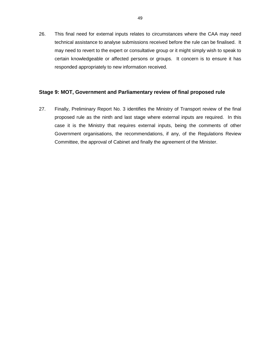26. This final need for external inputs relates to circumstances where the CAA may need technical assistance to analyse submissions received before the rule can be finalised. It may need to revert to the expert or consultative group or it might simply wish to speak to certain knowledgeable or affected persons or groups. It concern is to ensure it has responded appropriately to new information received.

## **Stage 9: MOT, Government and Parliamentary review of final proposed rule**

27. Finally, Preliminary Report No. 3 identifies the Ministry of Transport review of the final proposed rule as the ninth and last stage where external inputs are required. In this case it is the Ministry that requires external inputs, being the comments of other Government organisations, the recommendations, if any, of the Regulations Review Committee, the approval of Cabinet and finally the agreement of the Minister.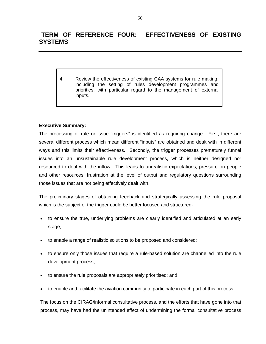# **TERM OF REFERENCE FOUR: EFFECTIVENESS OF EXISTING SYSTEMS**

4. Review the effectiveness of existing CAA systems for rule making, including the setting of rules development programmes and priorities, with particular regard to the management of external inputs.

## **Executive Summary:**

The processing of rule or issue "triggers" is identified as requiring change. First, there are several different process which mean different "inputs" are obtained and dealt with in different ways and this limits their effectiveness. Secondly, the trigger processes prematurely funnel issues into an unsustainable rule development process, which is neither designed nor resourced to deal with the inflow. This leads to unrealistic expectations, pressure on people and other resources, frustration at the level of output and regulatory questions surrounding those issues that are not being effectively dealt with.

The preliminary stages of obtaining feedback and strategically assessing the rule proposal which is the subject of the trigger could be better focused and structured-

- to ensure the true, underlying problems are clearly identified and articulated at an early stage;
- to enable a range of realistic solutions to be proposed and considered;
- to ensure only those issues that require a rule-based solution are channelled into the rule development process;
- to ensure the rule proposals are appropriately prioritised; and
- to enable and facilitate the aviation community to participate in each part of this process.

The focus on the CIRAG/informal consultative process, and the efforts that have gone into that process, may have had the unintended effect of undermining the formal consultative process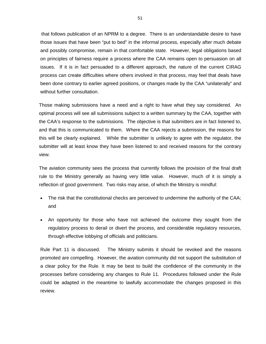that follows publication of an NPRM to a degree. There is an understandable desire to have those issues that have been "put to bed" in the informal process, especially after much debate and possibly compromise, remain in that comfortable state. However, legal obligations based on principles of fairness require a process where the CAA remains open to persuasion on all issues. If it is in fact persuaded to a different approach, the nature of the current CIRAG process can create difficulties where others involved in that process, may feel that deals have been done contrary to earlier agreed positions, or changes made by the CAA "unilaterally" and without further consultation.

Those making submissions have a need and a right to have what they say considered. An optimal process will see all submissions subject to a written summary by the CAA, together with the CAA's response to the submissions. The objective is that submitters are in fact listened to, and that this is communicated to them. Where the CAA rejects a submission, the reasons for this will be clearly explained. While the submitter is unlikely to agree with the regulator, the submitter will at least know they have been listened to and received reasons for the contrary view.

The aviation community sees the process that currently follows the provision of the final draft rule to the Ministry generally as having very little value. However, much of it is simply a reflection of good government. Two risks may arise, of which the Ministry is mindful:

- The risk that the constitutional checks are perceived to undermine the authority of the CAA; and
- An opportunity for those who have not achieved the outcome they sought from the regulatory process to derail or divert the process, and considerable regulatory resources, through effective lobbying of officials and politicians.

Rule Part 11 is discussed. The Ministry submits it should be revoked and the reasons promoted are compelling. However, the aviation community did not support the substitution of a clear policy for the Rule. It may be best to build the confidence of the community in the processes before considering any changes to Rule 11. Procedures followed under the Rule could be adapted in the meantime to lawfully accommodate the changes proposed in this review.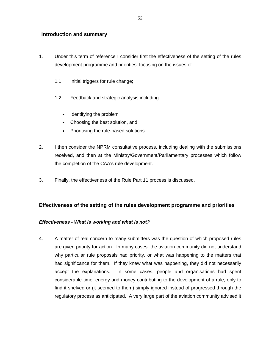## **Introduction and summary**

- 1. Under this term of reference I consider first the effectiveness of the setting of the rules development programme and priorities, focusing on the issues of
	- 1.1 Initial triggers for rule change;
	- 1.2 Feedback and strategic analysis including-
		- $\bullet$ Identifying the problem
		- $\bullet$ Choosing the best solution, and
		- $\bullet$ Prioritising the rule-based solutions.
- 2. I then consider the NPRM consultative process, including dealing with the submissions received, and then at the Ministry/Government/Parliamentary processes which follow the completion of the CAA's rule development.
- 3. Finally, the effectiveness of the Rule Part 11 process is discussed.

# **Effectiveness of the setting of the rules development programme and priorities**

## *Effectiveness - What is working and what is not?*

4. A matter of real concern to many submitters was the question of which proposed rules are given priority for action. In many cases, the aviation community did not understand why particular rule proposals had priority, or what was happening to the matters that had significance for them. If they knew what was happening, they did not necessarily accept the explanations. In some cases, people and organisations had spent considerable time, energy and money contributing to the development of a rule, only to find it shelved or (it seemed to them) simply ignored instead of progressed through the regulatory process as anticipated. A very large part of the aviation community advised it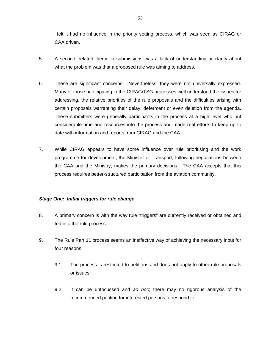felt it had no influence in the priority setting process, which was seen as CIRAG or CAA driven.

- 5. A second, related theme in submissions was a lack of understanding or clarity about what the problem was that a proposed rule was aiming to address.
- 6. These are significant concerns. Nevertheless, they were not universally expressed. Many of those participating in the CIRAG/TSG processes well understood the issues for addressing, the relative priorities of the rule proposals and the difficulties arising with certain proposals warranting their delay, deferment or even deletion from the agenda. These submitters were generally participants in the process at a high level who put considerable time and resources into the process and made real efforts to keep up to date with information and reports from CIRAG and the CAA.
- 7. While CIRAG appears to have some influence over rule prioritising and the work programme for development, the Minister of Transport, following negotiations between the CAA and the Ministry, makes the primary decisions. The CAA accepts that this process requires better-structured participation from the aviation community.

## *Stage One: Initial triggers for rule change*

- 8. A primary concern is with the way rule "triggers" are currently received or obtained and fed into the rule process.
- 9. The Rule Part 11 process seems an ineffective way of achieving the necessary input for four reasons;
	- 9.1 The process is restricted to petitions and does not apply to other rule proposals or issues;
	- 9.2 It can be unfocussed and *ad hoc*; there may no rigorous analysis of the recommended petition for interested persons to respond to;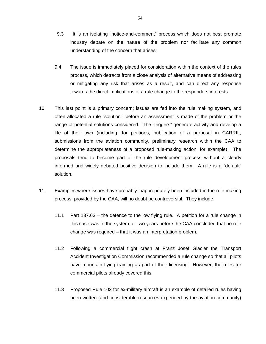- 9.3 It is an isolating "notice-and-comment" process which does not best promote industry debate on the nature of the problem nor facilitate any common understanding of the concern that arises;
- 9.4 The issue is immediately placed for consideration within the context of the rules process, which detracts from a close analysis of alternative means of addressing or mitigating any risk that arises as a result, and can direct any response towards the direct implications of a rule change to the responders interests.
- 10. This last point is a primary concern; issues are fed into the rule making system, and often allocated a rule "solution", before an assessment is made of the problem or the range of potential solutions considered. The "triggers" generate activity and develop a life of their own (including, for petitions, publication of a proposal in CARRIL, submissions from the aviation community, preliminary research within the CAA to determine the appropriateness of a proposed rule-making action, for example). The proposals tend to become part of the rule development process without a clearly informed and widely debated positive decision to include them. A rule is a "default" solution.
- 11. Examples where issues have probably inappropriately been included in the rule making process, provided by the CAA, will no doubt be controversial. They include:
	- 11.1 Part 137.63 the defence to the low flying rule. A petition for a rule change in this case was in the system for two years before the CAA concluded that no rule change was required – that it was an interpretation problem.
	- 11.2 Following a commercial flight crash at Franz Josef Glacier the Transport Accident Investigation Commission recommended a rule change so that all pilots have mountain flying training as part of their licensing. However, the rules for commercial pilots already covered this.
	- 11.3 Proposed Rule 102 for ex-military aircraft is an example of detailed rules having been written (and considerable resources expended by the aviation community)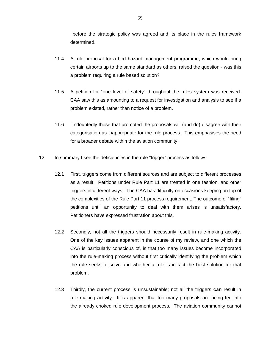before the strategic policy was agreed and its place in the rules framework determined.

- 11.4 A rule proposal for a bird hazard management programme, which would bring certain airports up to the same standard as others, raised the question - was this a problem requiring a rule based solution?
- 11.5 A petition for "one level of safety" throughout the rules system was received. CAA saw this as amounting to a request for investigation and analysis to see if a problem existed, rather than notice of a problem.
- 11.6 Undoubtedly those that promoted the proposals will (and do) disagree with their categorisation as inappropriate for the rule process. This emphasises the need for a broader debate within the aviation community.
- 12. In summary I see the deficiencies in the rule "trigger" process as follows:
	- 12.1 First, triggers come from different sources and are subject to different processes as a result. Petitions under Rule Part 11 are treated in one fashion, and other triggers in different ways. The CAA has difficulty on occasions keeping on top of the complexities of the Rule Part 11 process requirement. The outcome of "filing" petitions until an opportunity to deal with them arises is unsatisfactory. Petitioners have expressed frustration about this.
	- 12.2 Secondly, not all the triggers should necessarily result in rule-making activity. One of the key issues apparent in the course of my review, and one which the CAA is particularly conscious of, is that too many issues become incorporated into the rule-making process without first critically identifying the problem which the rule seeks to solve and whether a rule is in fact the best solution for that problem.
	- 12.3 Thirdly, the current process is unsustainable; not all the triggers **can** result in rule-making activity. It is apparent that too many proposals are being fed into the already choked rule development process. The aviation community cannot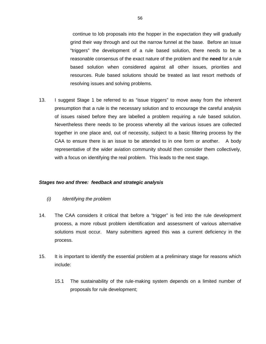continue to lob proposals into the hopper in the expectation they will gradually grind their way through and out the narrow funnel at the base. Before an issue "triggers" the development of a rule based solution, there needs to be a reasonable consensus of the exact nature of the problem and the **need** for a rule based solution when considered against all other issues, priorities and resources. Rule based solutions should be treated as last resort methods of resolving issues and solving problems.

13. I suggest Stage 1 be referred to as "issue triggers" to move away from the inherent presumption that a rule is the necessary solution and to encourage the careful analysis of issues raised before they are labelled a problem requiring a rule based solution. Nevertheless there needs to be process whereby all the various issues are collected together in one place and, out of necessity, subject to a basic filtering process by the CAA to ensure there is an issue to be attended to in one form or another. A body representative of the wider aviation community should then consider them collectively, with a focus on identifying the real problem. This leads to the next stage.

### *Stages two and three: feedback and strategic analysis*

- *(i) Identifying the problem*
- 14. The CAA considers it critical that before a "trigger" is fed into the rule development process, a more robust problem identification and assessment of various alternative solutions must occur. Many submitters agreed this was a current deficiency in the process.
- 15. It is important to identify the essential problem at a preliminary stage for reasons which include:
	- 15.1 The sustainability of the rule-making system depends on a limited number of proposals for rule development;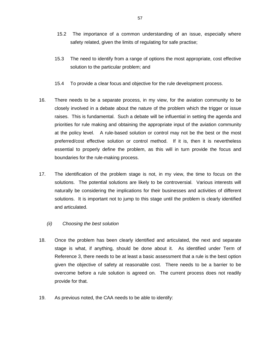- 15.2 The importance of a common understanding of an issue, especially where safety related, given the limits of regulating for safe practise;
- 15.3 The need to identify from a range of options the most appropriate, cost effective solution to the particular problem; and
- 15.4 To provide a clear focus and objective for the rule development process.
- 16. There needs to be a separate process, in my view, for the aviation community to be closely involved in a debate about the nature of the problem which the trigger or issue raises. This is fundamental. Such a debate will be influential in setting the agenda and priorities for rule making and obtaining the appropriate input of the aviation community at the policy level. A rule-based solution or control may not be the best or the most preferred/cost effective solution or control method. If it is, then it is nevertheless essential to properly define the problem, as this will in turn provide the focus and boundaries for the rule-making process.
- 17. The identification of the problem stage is not, in my view, the time to focus on the solutions. The potential solutions are likely to be controversial. Various interests will naturally be considering the implications for their businesses and activities of different solutions. It is important not to jump to this stage until the problem is clearly identified and articulated.
	- *(ii) Choosing the best solution*
- 18. Once the problem has been clearly identified and articulated, the next and separate stage is what, if anything, should be done about it. As identified under Term of Reference 3, there needs to be at least a basic assessment that a rule is the best option given the objective of safety at reasonable cost. There needs to be a barrier to be overcome before a rule solution is agreed on. The current process does not readily provide for that.
- 19. As previous noted, the CAA needs to be able to identify: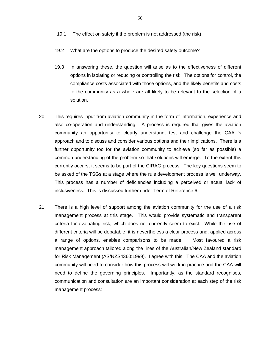- 19.1 The effect on safety if the problem is not addressed (the risk)
- 19.2 What are the options to produce the desired safety outcome?
- 19.3 In answering these, the question will arise as to the effectiveness of different options in isolating or reducing or controlling the risk. The options for control, the compliance costs associated with those options, and the likely benefits and costs to the community as a whole are all likely to be relevant to the selection of a solution.
- 20. This requires input from aviation community in the form of information, experience and also co-operation and understanding. A process is required that gives the aviation community an opportunity to clearly understand, test and challenge the CAA 's approach and to discuss and consider various options and their implications. There is a further opportunity too for the aviation community to achieve (so far as possible) a common understanding of the problem so that solutions will emerge. To the extent this currently occurs, it seems to be part of the CIRAG process. The key questions seem to be asked of the TSGs at a stage where the rule development process is well underway. This process has a number of deficiencies including a perceived or actual lack of inclusiveness. This is discussed further under Term of Reference 6.
- 21. There is a high level of support among the aviation community for the use of a risk management process at this stage. This would provide systematic and transparent criteria for evaluating risk, which does not currently seem to exist. While the use of different criteria will be debatable, it is nevertheless a clear process and, applied across a range of options, enables comparisons to be made. Most favoured a risk management approach tailored along the lines of the Australian/New Zealand standard for Risk Management (AS/NZS4360:1999). I agree with this. The CAA and the aviation community will need to consider how this process will work in practice and the CAA will need to define the governing principles. Importantly, as the standard recognises, communication and consultation are an important consideration at each step of the risk management process: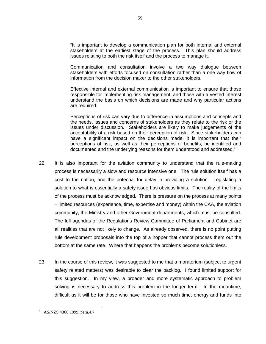"It is important to develop a communication plan for both internal and external stakeholders at the earliest stage of the process. This plan should address issues relating to both the risk itself and the process to manage it.

Communication and consultation involve a two way dialogue between stakeholders with efforts focused on consultation rather than a one way flow of information from the decision maker to the other stakeholders.

Effective internal and external communication is important to ensure that those responsible for implementing risk management, and those with a vested interest understand the basis on which decisions are made and why particular actions are required.

Perceptions of risk can vary due to difference in assumptions and concepts and the needs, issues and concerns of stakeholders as they relate to the risk or the issues under discussion. Stakeholders are likely to make judgements of the acceptability of a risk based on their perception of risk. Since stakeholders can have a significant impact on the decisions made, it is important that their perceptions of risk, as well as their perceptions of benefits, be identified and documented and the underlying reasons for them understood and addressed."<sup>1</sup>

- 22. It is also important for the aviation community to understand that the rule-making process is necessarily a slow and resource intensive one. The rule solution itself has a cost to the nation, and the potential for delay in providing a solution. Legislating a solution to what is essentially a safety issue has obvious limits. The reality of the limits of the process must be acknowledged. There is pressure on the process at many points – limited resources (experience, time, expertise and money) within the CAA, the aviation community, the Ministry and other Government departments, which must be consulted. The full agendas of the Regulations Review Committee of Parliament and Cabinet are all realities that are not likely to change. As already observed, there is no point putting rule development proposals into the top of a hopper that cannot process them out the bottom at the same rate. Where that happens the problems become solutionless.
- 23. In the course of this review, it was suggested to me that a moratorium (subject to urgent safety related matters) was desirable to clear the backlog. I found limited support for this suggestion. In my view, a broader and more systematic approach to problem solving is necessary to address this problem in the longer term. In the meantime, difficult as it will be for those who have invested so much time, energy and funds into

 $\overline{a}$ 1 AS/NZS 4360:1999, para.4.7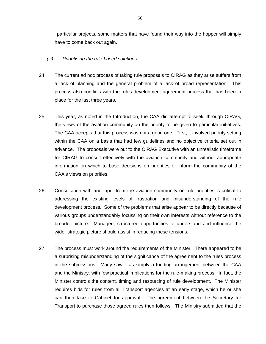particular projects, some matters that have found their way into the hopper will simply have to come back out again.

### *(iii) Prioritising the rule-based solutions*

- 24. The current ad hoc process of taking rule proposals to CIRAG as they arise suffers from a lack of planning and the general problem of a lack of broad representation. This process also conflicts with the rules development agreement process that has been in place for the last three years.
- 25. This year, as noted in the Introduction, the CAA did attempt to seek, through CIRAG, the views of the aviation community on the priority to be given to particular initiatives. The CAA accepts that this process was not a good one. First, it involved priority setting within the CAA on a basis that had few guidelines and no objective criteria set out in advance. The proposals were put to the CIRAG Executive with an unrealistic timeframe for CIRAG to consult effectively with the aviation community and without appropriate information on which to base decisions on priorities or inform the community of the CAA's views on priorities.
- 26. Consultation with and input from the aviation community on rule priorities is critical to addressing the existing levels of frustration and misunderstanding of the rule development process. Some of the problems that arise appear to be directly because of various groups understandably focussing on their own interests without reference to the broader picture. Managed, structured opportunities to understand and influence the wider strategic picture should assist in reducing these tensions.
- 27. The process must work around the requirements of the Minister. There appeared to be a surprising misunderstanding of the significance of the agreement to the rules process in the submissions. Many saw it as simply a funding arrangement between the CAA and the Ministry, with few practical implications for the rule-making process. In fact, the Minister controls the content, timing and resourcing of rule development. The Minister requires bids for rules from all Transport agencies at an early stage, which he or she can then take to Cabinet for approval. The agreement between the Secretary for Transport to purchase those agreed rules then follows. The Ministry submitted that the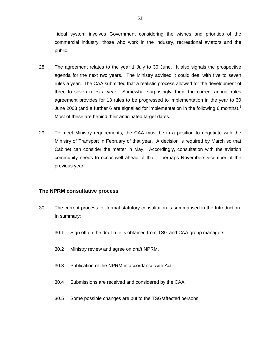ideal system involves Government considering the wishes and priorities of the commercial industry, those who work in the industry, recreational aviators and the public.

- 28. The agreement relates to the year 1 July to 30 June. It also signals the prospective agenda for the next two years. The Ministry advised it could deal with five to seven rules a year. The CAA submitted that a realistic process allowed for the development of three to seven rules a year. Somewhat surprisingly, then, the current annual rules agreement provides for 13 rules to be progressed to implementation in the year to 30 June 2003 (and a further 6 are signalled for implementation in the following 6 months).<sup>2</sup> Most of these are behind their anticipated target dates.
- 29. To meet Ministry requirements, the CAA must be in a position to negotiate with the Ministry of Transport in February of that year. A decision is required by March so that Cabinet can consider the matter in May. Accordingly, consultation with the aviation community needs to occur well ahead of that – perhaps November/December of the previous year.

## **The NPRM consultative process**

- 30. The current process for formal statutory consultation is summarised in the Introduction. In summary:
	- 30.1 Sign off on the draft rule is obtained from TSG and CAA group managers.
	- 30.2 Ministry review and agree on draft NPRM.
	- 30.3 Publication of the NPRM in accordance with Act.
	- 30.4 Submissions are received and considered by the CAA.
	- 30.5 Some possible changes are put to the TSG/affected persons.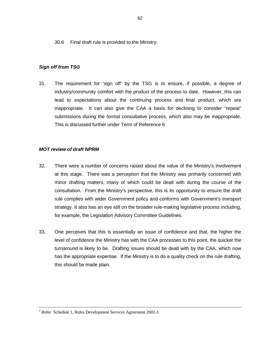30.6 Final draft rule is provided to the Ministry.

### *Sign off from TSG*

31. The requirement for 'sign off' by the TSG is to ensure, if possible, a degree of industry/community comfort with the product of the process to date. However, this can lead to expectations about the continuing process and final product, which are inappropriate. It can also give the CAA a basis for declining to consider "repeat" submissions during the formal consultative process, which also may be inappropriate. This is discussed further under Term of Reference 6

## *MOT review of draft NPRM*

- 32. There were a number of concerns raised about the value of the Ministry's involvement at this stage. There was a perception that the Ministry was primarily concerned with minor drafting matters, many of which could be dealt with during the course of the consultation. From the Ministry's perspective, this is its opportunity to ensure the draft rule complies with wider Government policy and conforms with Government's transport strategy. It also has an eye still on the broader rule-making legislative process including, for example, the Legislation Advisory Committee Guidelines.
- 33. One perceives that this is essentially an issue of confidence and that, the higher the level of confidence the Ministry has with the CAA processes to this point, the quicker the turnaround is likely to be. Drafting issues should be dealt with by the CAA, which now has the appropriate expertise. If the Ministry is to do a quality check on the rule drafting, this should be made plain.

 $\frac{1}{2}$  $2^2$  Refer Schedule 1, Rules Development Services Agreement 2002-3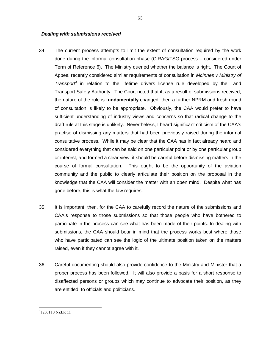#### *Dealing with submissions received*

- 34. The current process attempts to limit the extent of consultation required by the work done during the informal consultation phase (CIRAG/TSG process – considered under Term of Reference 6). The Ministry queried whether the balance is right. The Court of Appeal recently considered similar requirements of consultation in *McInnes v Ministry of Transport*<sup>3</sup> in relation to the lifetime drivers license rule developed by the Land Transport Safety Authority. The Court noted that if, as a result of submissions received, the nature of the rule is **fundamentally** changed, then a further NPRM and fresh round of consultation is likely to be appropriate. Obviously, the CAA would prefer to have sufficient understanding of industry views and concerns so that radical change to the draft rule at this stage is unlikely. Nevertheless, I heard significant criticism of the CAA's practise of dismissing any matters that had been previously raised during the informal consultative process. While it may be clear that the CAA has in fact already heard and considered everything that can be said on one particular point or by one particular group or interest, and formed a clear view, it should be careful before dismissing matters in the course of formal consultation. This ought to be the opportunity of the aviation community and the public to clearly articulate their position on the proposal in the knowledge that the CAA will consider the matter with an open mind. Despite what has gone before, this is what the law requires.
- 35. It is important, then, for the CAA to carefully record the nature of the submissions and CAA's response to those submissions so that those people who have bothered to participate in the process can see what has been made of their points. In dealing with submissions, the CAA should bear in mind that the process works best where those who have participated can see the logic of the ultimate position taken on the matters raised, even if they cannot agree with it.
- 36. Careful documenting should also provide confidence to the Ministry and Minister that a proper process has been followed. It will also provide a basis for a short response to disaffected persons or groups which may continue to advocate their position, as they are entitled, to officials and politicians.

 $\overline{a}$ 

<sup>&</sup>lt;sup>3</sup> [2001] 3 NZLR 11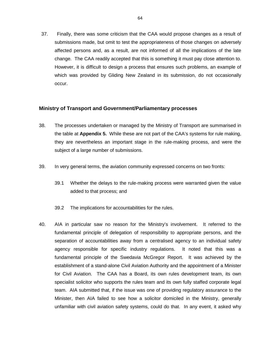37. Finally, there was some criticism that the CAA would propose changes as a result of submissions made, but omit to test the appropriateness of those changes on adversely affected persons and, as a result, are not informed of all the implications of the late change. The CAA readily accepted that this is something it must pay close attention to. However, it is difficult to design a process that ensures such problems, an example of which was provided by Gliding New Zealand in its submission, do not occasionally occur.

### **Ministry of Transport and Government/Parliamentary processes**

- 38. The processes undertaken or managed by the Ministry of Transport are summarised in the table at **Appendix 5.** While these are not part of the CAA's systems for rule making, they are nevertheless an important stage in the rule-making process, and were the subject of a large number of submissions.
- 39. In very general terms, the aviation community expressed concerns on two fronts:
	- 39.1 Whether the delays to the rule-making process were warranted given the value added to that process; and
	- 39.2 The implications for accountabilities for the rules.
- 40. AIA in particular saw no reason for the Ministry's involvement. It referred to the fundamental principle of delegation of responsibility to appropriate persons, and the separation of accountabilities away from a centralised agency to an individual safety agency responsible for specific industry regulations. It noted that this was a fundamental principle of the Swedavia McGregor Report. It was achieved by the establishment of a stand-alone Civil Aviation Authority and the appointment of a Minister for Civil Aviation. The CAA has a Board, its own rules development team, its own specialist solicitor who supports the rules team and its own fully staffed corporate legal team. AIA submitted that, if the issue was one of providing regulatory assurance to the Minister, then AIA failed to see how a solicitor domiciled in the Ministry, generally unfamiliar with civil aviation safety systems, could do that. In any event, it asked why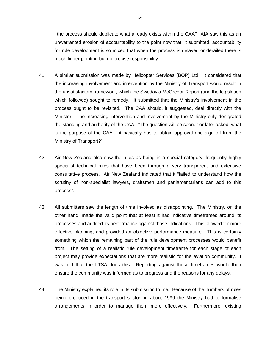the process should duplicate what already exists within the CAA? AIA saw this as an unwarranted erosion of accountability to the point now that, it submitted, accountability for rule development is so mixed that when the process is delayed or derailed there is much finger pointing but no precise responsibility.

- 41. A similar submission was made by Helicopter Services (BOP) Ltd. It considered that the increasing involvement and intervention by the Ministry of Transport would result in the unsatisfactory framework, which the Swedavia McGregor Report (and the legislation which followed) sought to remedy. It submitted that the Ministry's involvement in the process ought to be revisited. The CAA should, it suggested, deal directly with the Minister. The increasing intervention and involvement by the Ministry only denigrated the standing and authority of the CAA. "The question will be sooner or later asked, what is the purpose of the CAA if it basically has to obtain approval and sign off from the Ministry of Transport?"
- 42. Air New Zealand also saw the rules as being in a special category, frequently highly specialist technical rules that have been through a very transparent and extensive consultative process. Air New Zealand indicated that it "failed to understand how the scrutiny of non-specialist lawyers, draftsmen and parliamentarians can add to this process".
- 43. All submitters saw the length of time involved as disappointing. The Ministry, on the other hand, made the valid point that at least it had indicative timeframes around its processes and audited its performance against those indications. This allowed for more effective planning, and provided an objective performance measure. This is certainly something which the remaining part of the rule development processes would benefit from. The setting of a realistic rule development timeframe for each stage of each project may provide expectations that are more realistic for the aviation community. I was told that the LTSA does this. Reporting against those timeframes would then ensure the community was informed as to progress and the reasons for any delays.
- 44. The Ministry explained its role in its submission to me. Because of the numbers of rules being produced in the transport sector, in about 1999 the Ministry had to formalise arrangements in order to manage them more effectively. Furthermore, existing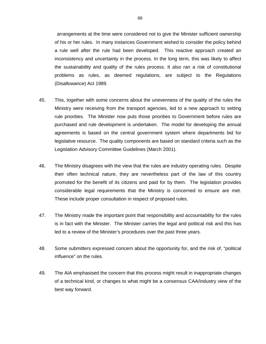arrangements at the time were considered not to give the Minister sufficient ownership of his or her rules. In many instances Government wished to consider the policy behind a rule well after the rule had been developed. This reactive approach created an inconsistency and uncertainty in the process. In the long term, this was likely to affect the sustainability and quality of the rules process. It also ran a risk of constitutional problems as rules, as deemed regulations, are subject to the Regulations (Disallowance) Act 1989.

- 45. This, together with some concerns about the unevenness of the quality of the rules the Ministry were receiving from the transport agencies, led to a new approach to setting rule priorities. The Minister now puts those priorities to Government before rules are purchased and rule development is undertaken. The model for developing the annual agreements is based on the central government system where departments bid for legislative resource. The quality components are based on standard criteria such as the Legislation Advisory Committee Guidelines (March 2001).
- 46. The Ministry disagrees with the view that the rules are industry operating rules. Despite their often technical nature, they are nevertheless part of the law of this country promoted for the benefit of its citizens and paid for by them. The legislation provides considerable legal requirements that the Ministry is concerned to ensure are met. These include proper consultation in respect of proposed rules.
- 47. The Ministry made the important point that responsibility and accountability for the rules is in fact with the Minister. The Minister carries the legal and political risk and this has led to a review of the Minister's procedures over the past three years.
- 48. Some submitters expressed concern about the opportunity for, and the risk of, "political influence" on the rules.
- 49. The AIA emphasised the concern that this process might result in inappropriate changes of a technical kind, or changes to what might be a consensus CAA/industry view of the best way forward.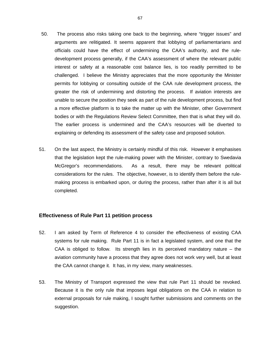- 50. The process also risks taking one back to the beginning, where "trigger issues" and arguments are relitigated. It seems apparent that lobbying of parliamentarians and officials could have the effect of undermining the CAA's authority, and the ruledevelopment process generally, if the CAA's assessment of where the relevant public interest or safety at a reasonable cost balance lies, is too readily permitted to be challenged. I believe the Ministry appreciates that the more opportunity the Minister permits for lobbying or consulting outside of the CAA rule development process, the greater the risk of undermining and distorting the process. If aviation interests are unable to secure the position they seek as part of the rule development process, but find a more effective platform is to take the matter up with the Minister, other Government bodies or with the Regulations Review Select Committee, then that is what they will do. The earlier process is undermined and the CAA's resources will be diverted to explaining or defending its assessment of the safety case and proposed solution.
- 51. On the last aspect, the Ministry is certainly mindful of this risk. However it emphasises that the legislation kept the rule-making power with the Minister, contrary to Swedavia McGregor's recommendations. As a result, there may be relevant political considerations for the rules. The objective, however, is to identify them before the rulemaking process is embarked upon, or during the process, rather than after it is all but completed.

### **Effectiveness of Rule Part 11 petition process**

- 52. I am asked by Term of Reference 4 to consider the effectiveness of existing CAA systems for rule making. Rule Part 11 is in fact a legislated system, and one that the CAA is obliged to follow. Its strength lies in its perceived mandatory nature – the aviation community have a process that they agree does not work very well, but at least the CAA cannot change it. It has, in my view, many weaknesses.
- 53. The Ministry of Transport expressed the view that rule Part 11 should be revoked. Because it is the only rule that imposes legal obligations on the CAA in relation to external proposals for rule making, I sought further submissions and comments on the suggestion.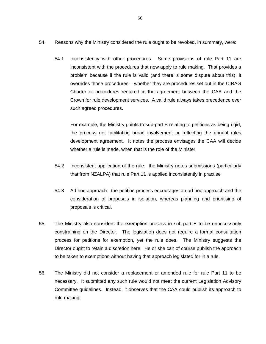- 54. Reasons why the Ministry considered the rule ought to be revoked, in summary, were:
	- 54.1 Inconsistency with other procedures: Some provisions of rule Part 11 are inconsistent with the procedures that now apply to rule making. That provides a problem because if the rule is valid (and there is some dispute about this), it overrides those procedures – whether they are procedures set out in the CIRAG Charter or procedures required in the agreement between the CAA and the Crown for rule development services. A valid rule always takes precedence over such agreed procedures.

For example, the Ministry points to sub-part B relating to petitions as being rigid, the process not facilitating broad involvement or reflecting the annual rules development agreement. It notes the process envisages the CAA will decide whether a rule is made, when that is the role of the Minister.

- 54.2 Inconsistent application of the rule: the Ministry notes submissions (particularly that from NZALPA) that rule Part 11 is applied inconsistently in practise
- 54.3 Ad hoc approach: the petition process encourages an ad hoc approach and the consideration of proposals in isolation, whereas planning and prioritising of proposals is critical.
- 55. The Ministry also considers the exemption process in sub-part E to be unnecessarily constraining on the Director. The legislation does not require a formal consultation process for petitions for exemption, yet the rule does. The Ministry suggests the Director ought to retain a discretion here. He or she can of course publish the approach to be taken to exemptions without having that approach legislated for in a rule.
- 56. The Ministry did not consider a replacement or amended rule for rule Part 11 to be necessary. It submitted any such rule would not meet the current Legislation Advisory Committee guidelines. Instead, it observes that the CAA could publish its approach to rule making.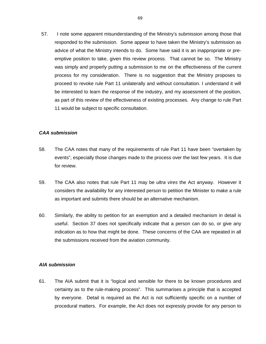57. I note some apparent misunderstanding of the Ministry's submission among those that responded to the submission. Some appear to have taken the Ministry's submission as advice of what the Ministry intends to do. Some have said it is an inappropriate or preemptive position to take, given this review process. That cannot be so. The Ministry was simply and properly putting a submission to me on the effectiveness of the current process for my consideration. There is no suggestion that the Ministry proposes to proceed to revoke rule Part 11 unilaterally and without consultation. I understand it will be interested to learn the response of the industry, and my assessment of the position, as part of this review of the effectiveness of existing processes. Any change to rule Part 11 would be subject to specific consultation.

#### *CAA submission*

- 58. The CAA notes that many of the requirements of rule Part 11 have been "overtaken by events", especially those changes made to the process over the last few years. It is due for review.
- 59. The CAA also notes that rule Part 11 may be *ultra vires* the Act anyway. However it considers the availability for any interested person to petition the Minister to make a rule as important and submits there should be an alternative mechanism.
- 60. Similarly, the ability to petition for an exemption and a detailed mechanism in detail is useful. Section 37 does not specifically indicate that a person can do so, or give any indication as to how that might be done. These concerns of the CAA are repeated in all the submissions received from the aviation community.

#### *AIA submission*

61. The AIA submit that it is "logical and sensible for there to be known procedures and certainty as to the rule-making process". This summarises a principle that is accepted by everyone. Detail is required as the Act is not sufficiently specific on a number of procedural matters. For example, the Act does not expressly provide for any person to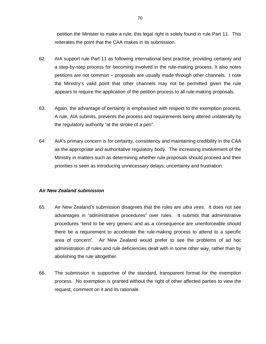petition the Minister to make a rule; this legal right is solely found in rule Part 11. This reiterates the point that the CAA makes in its submission.

- 62. AIA support rule Part 11 as following international best practise, providing certainty and a step-by-step process for becoming involved in the rule-making process. It also notes petitions are not common – proposals are usually made through other channels. I note the Ministry's valid point that other channels may not be permitted given the rule appears to require the application of the petition process to all rule-making proposals.
- 63. Again, the advantage of certainty is emphasised with respect to the exemption process. A rule, AIA submits, prevents the process and requirements being altered unilaterally by the regulatory authority "at the stroke of a pen".
- 64. AIA's primary concern is for certainty, consistency and maintaining credibility in the CAA as the appropriate and authoritative regulatory body. The increasing involvement of the Ministry in matters such as determining whether rule proposals should proceed and their priorities is seen as introducing unnecessary delays, uncertainty and frustration.

#### *Air New Zealand submission*

- 65. Air New Zealand's submission disagrees that the rules are *ultra vires*. It does not see advantages in "administrative procedures" over rules. It submits that administrative procedures "tend to be very generic and as a consequence are unenforceable should there be a requirement to accelerate the rule-making process to attend to a specific area of concern". Air New Zealand would prefer to see the problems of ad hoc administration of rules and rule deficiencies dealt with in some other way, rather than by abolishing the rule altogether.
- 66. The submission is supportive of the standard, transparent format for the exemption process. No exemption is granted without the right of other affected parties to view the request, comment on it and its rationale.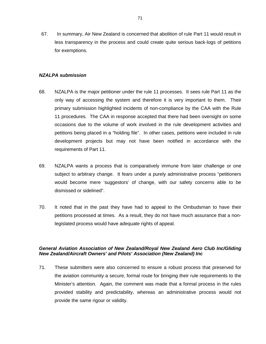67. In summary, Air New Zealand is concerned that abolition of rule Part 11 would result in less transparency in the process and could create quite serious back-logs of petitions for exemptions.

#### *NZALPA submission*

- 68. NZALPA is the major petitioner under the rule 11 processes. It sees rule Part 11 as the only way of accessing the system and therefore it is very important to them. Their primary submission highlighted incidents of non-compliance by the CAA with the Rule 11 procedures. The CAA in response accepted that there had been oversight on some occasions due to the volume of work involved in the rule development activities and petitions being placed in a "holding file". In other cases, petitions were included in rule development projects but may not have been notified in accordance with the requirements of Part 11.
- 69. NZALPA wants a process that is comparatively immune from later challenge or one subject to arbitrary change. It fears under a purely administrative process "petitioners would become mere 'suggestors' of change, with our safety concerns able to be dismissed or sidelined".
- 70. It noted that in the past they have had to appeal to the Ombudsman to have their petitions processed at times. As a result, they do not have much assurance that a nonlegislated process would have adequate rights of appeal.

# *General Aviation Association of New Zealand/Royal New Zealand Aero Club Inc/Gliding New Zealand/Aircraft Owners' and Pilots' Association (New Zealand) Inc*

71. These submitters were also concerned to ensure a robust process that preserved for the aviation community a secure, formal route for bringing their rule requirements to the Minister's attention. Again, the comment was made that a formal process in the rules provided stability and predictability, whereas an administrative process would not provide the same rigour or validity.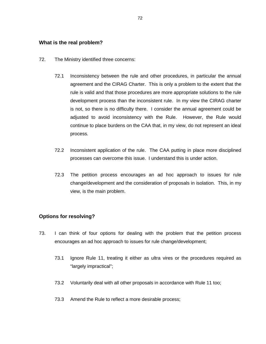### **What is the real problem?**

- 72. The Ministry identified three concerns:
	- 72.1 Inconsistency between the rule and other procedures, in particular the annual agreement and the CIRAG Charter. This is only a problem to the extent that the rule is valid and that those procedures are more appropriate solutions to the rule development process than the inconsistent rule. In my view the CIRAG charter is not, so there is no difficulty there. I consider the annual agreement could be adjusted to avoid inconsistency with the Rule. However, the Rule would continue to place burdens on the CAA that, in my view, do not represent an ideal process.
	- 72.2 Inconsistent application of the rule. The CAA putting in place more disciplined processes can overcome this issue. I understand this is under action.
	- 72.3 The petition process encourages an ad hoc approach to issues for rule change/development and the consideration of proposals in isolation. This, in my view, is the main problem.

## **Options for resolving?**

- 73. I can think of four options for dealing with the problem that the petition process encourages an ad hoc approach to issues for rule change/development;
	- 73.1 Ignore Rule 11, treating it either as ultra vires or the procedures required as "largely impractical";
	- 73.2 Voluntarily deal with all other proposals in accordance with Rule 11 too;
	- 73.3 Amend the Rule to reflect a more desirable process;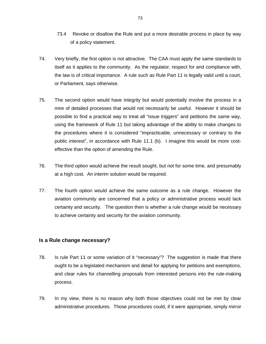- 73.4 Revoke or disallow the Rule and put a more desirable process in place by way of a policy statement.
- 74. Very briefly, the first option is not attractive. The CAA must apply the same standards to itself as it applies to the community. As the regulator, respect for and compliance with, the law is of critical importance. A rule such as Rule Part 11 is legally valid until a court, or Parliament, says otherwise.
- 75. The second option would have integrity but would potentially involve the process in a mire of detailed processes that would not necessarily be useful. However it should be possible to find a practical way to treat all "issue triggers" and petitions the same way, using the framework of Rule 11 but taking advantage of the ability to make changes to the procedures where it is considered "impracticable, unnecessary or contrary to the public interest", in accordance with Rule 11.1 (b). I imagine this would be more costeffective than the option of amending the Rule.
- 76. The third option would achieve the result sought, but not for some time, and presumably at a high cost. An interim solution would be required.
- 77. The fourth option would achieve the same outcome as a rule change. However the aviation community are concerned that a policy or administrative process would lack certainty and security. The question then is whether a rule change would be necessary to achieve certainty and security for the aviation community.

## **Is a Rule change necessary?**

- 78. Is rule Part 11 or some variation of it "necessary"? The suggestion is made that there ought to be a legislated mechanism and detail for applying for petitions and exemptions, and clear rules for channelling proposals from interested persons into the rule-making process.
- 79. In my view, there is no reason why both those objectives could not be met by clear administrative procedures. Those procedures could, if it were appropriate, simply mirror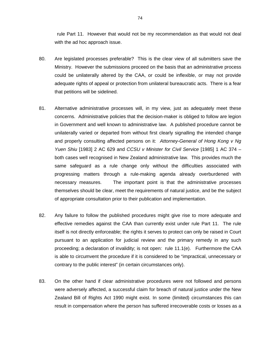rule Part 11. However that would not be my recommendation as that would not deal with the ad hoc approach issue.

- 80. Are legislated processes preferable? This is the clear view of all submitters save the Ministry. However the submissions proceed on the basis that an administrative process could be unilaterally altered by the CAA, or could be inflexible, or may not provide adequate rights of appeal or protection from unilateral bureaucratic acts. There is a fear that petitions will be sidelined.
- 81. Alternative administrative processes will, in my view, just as adequately meet these concerns. Administrative policies that the decision-maker is obliged to follow are legion in Government and well known to administrative law. A published procedure cannot be unilaterally varied or departed from without first clearly signalling the intended change and properly consulting affected persons on it: *Attorney-General of Hong Kong v Ng Yuen Shiu* [1983] 2 AC 629 and *CCSU v Minister for Civil Service* [1985] 1 AC 374 – both cases well recognised in New Zealand administrative law. This provides much the same safeguard as a rule change only without the difficulties associated with progressing matters through a rule-making agenda already overburdened with necessary measures. The important point is that the administrative processes themselves should be clear, meet the requirements of natural justice, and be the subject of appropriate consultation prior to their publication and implementation.
- 82. Any failure to follow the published procedures might give rise to more adequate and effective remedies against the CAA than currently exist under rule Part 11. The rule itself is not directly enforceable; the rights it serves to protect can only be raised in Court pursuant to an application for judicial review and the primary remedy in any such proceeding; a declaration of invalidity; is not open: rule 11.1(e). Furthermore the CAA is able to circumvent the procedure if it is considered to be "impractical, unnecessary or contrary to the public interest" (in certain circumstances only).
- 83. On the other hand if clear administrative procedures were not followed and persons were adversely affected, a successful claim for breach of natural justice under the New Zealand Bill of Rights Act 1990 might exist. In some (limited) circumstances this can result in compensation where the person has suffered irrecoverable costs or losses as a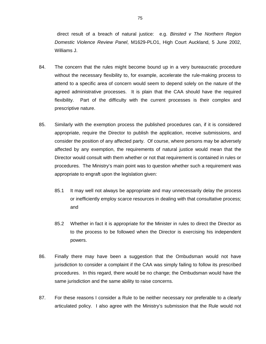direct result of a breach of natural justice: e.g. *Binsted v The Northern Region Domestic Violence Review Panel*, M1629-PLO1, High Court Auckland, 5 June 2002, Williams J.

- 84. The concern that the rules might become bound up in a very bureaucratic procedure without the necessary flexibility to, for example, accelerate the rule-making process to attend to a specific area of concern would seem to depend solely on the nature of the agreed administrative processes. It is plain that the CAA should have the required flexibility. Part of the difficulty with the current processes is their complex and prescriptive nature.
- 85. Similarly with the exemption process the published procedures can, if it is considered appropriate, require the Director to publish the application, receive submissions, and consider the position of any affected party. Of course, where persons may be adversely affected by any exemption, the requirements of natural justice would mean that the Director would consult with them whether or not that requirement is contained in rules or procedures. The Ministry's main point was to question whether such a requirement was appropriate to engraft upon the legislation given:
	- 85.1 It may well not always be appropriate and may unnecessarily delay the process or inefficiently employ scarce resources in dealing with that consultative process; and
	- 85.2 Whether in fact it is appropriate for the Minister in rules to direct the Director as to the process to be followed when the Director is exercising his independent powers.
- 86. Finally there may have been a suggestion that the Ombudsman would not have jurisdiction to consider a complaint if the CAA was simply failing to follow its prescribed procedures. In this regard, there would be no change; the Ombudsman would have the same jurisdiction and the same ability to raise concerns.
- 87. For these reasons I consider a Rule to be neither necessary nor preferable to a clearly articulated policy. I also agree with the Ministry's submission that the Rule would not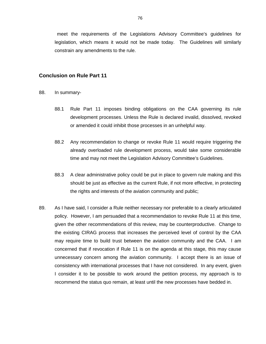meet the requirements of the Legislations Advisory Committee's guidelines for legislation, which means it would not be made today. The Guidelines will similarly constrain any amendments to the rule.

#### **Conclusion on Rule Part 11**

- 88. In summary-
	- 88.1 Rule Part 11 imposes binding obligations on the CAA governing its rule development processes. Unless the Rule is declared invalid, dissolved, revoked or amended it could inhibit those processes in an unhelpful way.
	- 88.2 Any recommendation to change or revoke Rule 11 would require triggering the already overloaded rule development process, would take some considerable time and may not meet the Legislation Advisory Committee's Guidelines.
	- 88.3 A clear administrative policy could be put in place to govern rule making and this should be just as effective as the current Rule, if not more effective, in protecting the rights and interests of the aviation community and public;
- 89. As I have said, I consider a Rule neither necessary nor preferable to a clearly articulated policy. However, I am persuaded that a recommendation to revoke Rule 11 at this time, given the other recommendations of this review, may be counterproductive. Change to the existing CIRAG process that increases the perceived level of control by the CAA may require time to build trust between the aviation community and the CAA. I am concerned that if revocation if Rule 11 is on the agenda at this stage, this may cause unnecessary concern among the aviation community. I accept there is an issue of consistency with international processes that I have not considered. In any event, given I consider it to be possible to work around the petition process, my approach is to recommend the status quo remain, at least until the new processes have bedded in.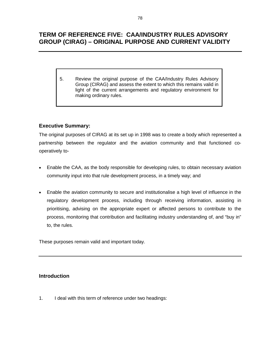# **TERM OF REFERENCE FIVE: CAA/INDUSTRY RULES ADVISORY GROUP (CIRAG) – ORIGINAL PURPOSE AND CURRENT VALIDITY**

5. Review the original purpose of the CAA/Industry Rules Advisory Group (CIRAG) and assess the extent to which this remains valid in light of the current arrangements and regulatory environment for making ordinary rules.

# **Executive Summary:**

The original purposes of CIRAG at its set up in 1998 was to create a body which represented a partnership between the regulator and the aviation community and that functioned cooperatively to-

- Enable the CAA, as the body responsible for developing rules, to obtain necessary aviation community input into that rule development process, in a timely way; and
- Enable the aviation community to secure and institutionalise a high level of influence in the regulatory development process, including through receiving information, assisting in prioritising, advising on the appropriate expert or affected persons to contribute to the process, monitoring that contribution and facilitating industry understanding of, and "buy in" to, the rules.

These purposes remain valid and important today.

## **Introduction**

1. I deal with this term of reference under two headings: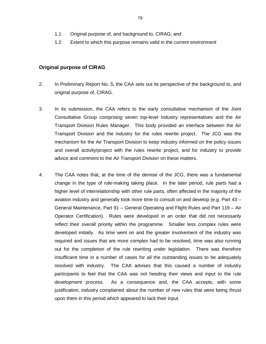- 1.1 Original purpose of, and background to, CIRAG; and
- 1.2 Extent to which this purpose remains valid in the current environment

### **Original purpose of CIRAG**

- 2. In Preliminary Report No. 5, the CAA sets out its perspective of the background to, and original purpose of, CIRAG.
- 3. In its submission, the CAA refers to the early consultative mechanism of the Joint Consultative Group comprising seven top-level industry representatives and the Air Transport Division Rules Manager. This body provided an interface between the Air Transport Division and the industry for the rules rewrite project. The JCG was the mechanism for the Air Transport Division to keep industry informed on the policy issues and overall activity/project with the rules rewrite project, and for industry to provide advice and comment to the Air Transport Division on these matters.
- 4. The CAA notes that, at the time of the demise of the JCG, there was a fundamental change in the type of rule-making taking place. In the later period, rule parts had a higher level of interrelationship with other rule parts, often affected in the majority of the aviation industry and generally took more time to consult on and develop (e.g. Part 43 – General Maintenance, Part 91 – General Operating and Flight Rules and Part 119 – Air Operator Certification). Rules were developed in an order that did not necessarily reflect their overall priority within the programme. Smaller less complex rules were developed initially. As time went on and the greater involvement of the industry was required and issues that are more complex had to be resolved, time was also running out for the completion of the rule rewriting under legislation. There was therefore insufficient time in a number of cases for all the outstanding issues to be adequately resolved with industry. The CAA advises that this caused a number of industry participants to feel that the CAA was not heeding their views and input to the rule development process. As a consequence and, the CAA accepts, with some justification, industry complained about the number of new rules that were being thrust upon them in this period which appeared to lack their input.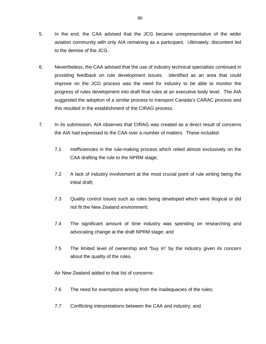- 5. In the end, the CAA advised that the JCG became unrepresentative of the wider aviation community with only AIA remaining as a participant. Ultimately, discontent led to the demise of the JCG.
- 6. Nevertheless, the CAA advised that the use of industry technical specialists continued in providing feedback on rule development issues. Identified as an area that could improve on the JCG process was the need for industry to be able to monitor the progress of rules development into draft final rules at an executive body level. The AIA suggested the adoption of a similar process to transport Canada's CARAC process and this resulted in the establishment of the CIRAG process.
- 7. In its submission, AIA observes that CIRAG was created as a direct result of concerns the AIA had expressed to the CAA over a number of matters. These included:
	- 7.1 Inefficiencies in the rule-making process which relied almost exclusively on the CAA drafting the rule to the NPRM stage;
	- 7.2 A lack of industry involvement at the most crucial point of rule writing being the initial draft;
	- 7.3 Quality control issues such as rules being developed which were illogical or did not fit the New Zealand environment;
	- 7.4 The significant amount of time industry was spending on researching and advocating change at the draft NPRM stage; and
	- 7.5 The limited level of ownership and "buy in" by the industry given its concern about the quality of the rules.

Air New Zealand added to that list of concerns:

- 7.6 The need for exemptions arising from the inadequacies of the rules;
- 7.7 Conflicting interpretations between the CAA and industry; and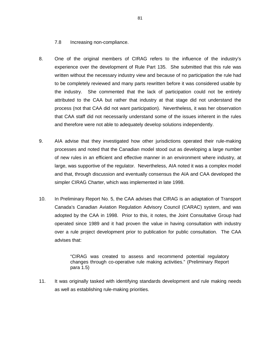7.8 Increasing non-compliance.

- 8. One of the original members of CIRAG refers to the influence of the industry's experience over the development of Rule Part 135. She submitted that this rule was written without the necessary industry view and because of no participation the rule had to be completely reviewed and many parts rewritten before it was considered usable by the industry. She commented that the lack of participation could not be entirely attributed to the CAA but rather that industry at that stage did not understand the process (not that CAA did not want participation). Nevertheless, it was her observation that CAA staff did not necessarily understand some of the issues inherent in the rules and therefore were not able to adequately develop solutions independently.
- 9. AIA advise that they investigated how other jurisdictions operated their rule-making processes and noted that the Canadian model stood out as developing a large number of new rules in an efficient and effective manner in an environment where industry, at large, was supportive of the regulator. Nevertheless, AIA noted it was a complex model and that, through discussion and eventually consensus the AIA and CAA developed the simpler CIRAG Charter, which was implemented in late 1998.
- 10. In Preliminary Report No. 5, the CAA advises that CIRAG is an adaptation of Transport Canada's Canadian Aviation Regulation Advisory Council (CARAC) system, and was adopted by the CAA in 1998. Prior to this, it notes, the Joint Consultative Group had operated since 1989 and it had proven the value in having consultation with industry over a rule project development prior to publication for public consultation. The CAA advises that:

"CIRAG was created to assess and recommend potential regulatory changes through co-operative rule making activities." (Preliminary Report para 1.5)

11. It was originally tasked with identifying standards development and rule making needs as well as establishing rule-making priorities.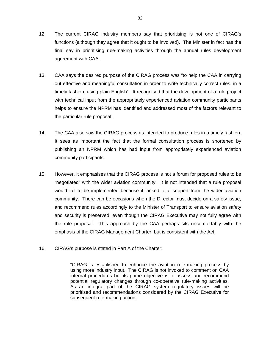- 12. The current CIRAG industry members say that prioritising is not one of CIRAG's functions (although they agree that it ought to be involved). The Minister in fact has the final say in prioritising rule-making activities through the annual rules development agreement with CAA.
- 13. CAA says the desired purpose of the CIRAG process was "to help the CAA in carrying out effective and meaningful consultation in order to write technically correct rules, in a timely fashion, using plain English". It recognised that the development of a rule project with technical input from the appropriately experienced aviation community participants helps to ensure the NPRM has identified and addressed most of the factors relevant to the particular rule proposal.
- 14. The CAA also saw the CIRAG process as intended to produce rules in a timely fashion. It sees as important the fact that the formal consultation process is shortened by publishing an NPRM which has had input from appropriately experienced aviation community participants.
- 15. However, it emphasises that the CIRAG process is not a forum for proposed rules to be "negotiated" with the wider aviation community. It is not intended that a rule proposal would fail to be implemented because it lacked total support from the wider aviation community. There can be occasions when the Director must decide on a safety issue, and recommend rules accordingly to the Minister of Transport to ensure aviation safety and security is preserved, even though the CIRAG Executive may not fully agree with the rule proposal. This approach by the CAA perhaps sits uncomfortably with the emphasis of the CIRAG Management Charter, but is consistent with the Act.
- 16. CIRAG's purpose is stated in Part A of the Charter:

"CIRAG is established to enhance the aviation rule-making process by using more industry input. The CIRAG is not invoked to comment on CAA internal procedures but its prime objective is to assess and recommend potential regulatory changes through co-operative rule-making activities. As an integral part of the CIRAG system regulatory issues will be prioritised and recommendations considered by the CIRAG Executive for subsequent rule-making action."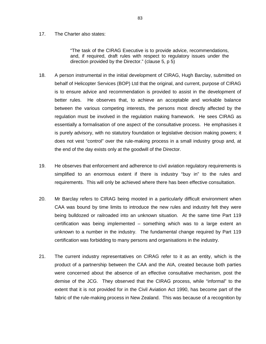#### 17. The Charter also states:

"The task of the CIRAG Executive is to provide advice, recommendations, and, if required, draft rules with respect to regulatory issues under the direction provided by the Director." (clause 5, p 5)

- 18. A person instrumental in the initial development of CIRAG, Hugh Barclay, submitted on behalf of Helicopter Services (BOP) Ltd that the original, and current, purpose of CIRAG is to ensure advice and recommendation is provided to assist in the development of better rules. He observes that, to achieve an acceptable and workable balance between the various competing interests, the persons most directly affected by the regulation must be involved in the regulation making framework. He sees CIRAG as essentially a formalisation of one aspect of the consultative process. He emphasises it is purely advisory, with no statutory foundation or legislative decision making powers; it does not vest "control" over the rule-making process in a small industry group and, at the end of the day exists only at the goodwill of the Director.
- 19. He observes that enforcement and adherence to civil aviation regulatory requirements is simplified to an enormous extent if there is industry "buy in" to the rules and requirements. This will only be achieved where there has been effective consultation.
- 20. Mr Barclay refers to CIRAG being mooted in a particularly difficult environment when CAA was bound by time limits to introduce the new rules and industry felt they were being bulldozed or railroaded into an unknown situation. At the same time Part 119 certification was being implemented – something which was to a large extent an unknown to a number in the industry. The fundamental change required by Part 119 certification was forbidding to many persons and organisations in the industry.
- 21. The current industry representatives on CIRAG refer to it as an entity, which is the product of a partnership between the CAA and the AIA, created because both parties were concerned about the absence of an effective consultative mechanism, post the demise of the JCG. They observed that the CIRAG process, while "informal" to the extent that it is not provided for in the Civil Aviation Act 1990, has become part of the fabric of the rule-making process in New Zealand. This was because of a recognition by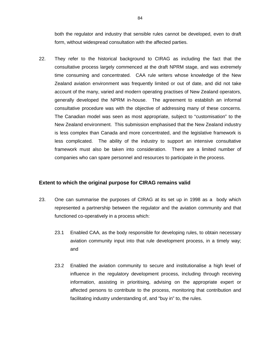both the regulator and industry that sensible rules cannot be developed, even to draft form, without widespread consultation with the affected parties.

22. They refer to the historical background to CIRAG as including the fact that the consultative process largely commenced at the draft NPRM stage, and was extremely time consuming and concentrated. CAA rule writers whose knowledge of the New Zealand aviation environment was frequently limited or out of date, and did not take account of the many, varied and modern operating practises of New Zealand operators, generally developed the NPRM in-house. The agreement to establish an informal consultative procedure was with the objective of addressing many of these concerns. The Canadian model was seen as most appropriate, subject to "customisation" to the New Zealand environment. This submission emphasised that the New Zealand industry is less complex than Canada and more concentrated, and the legislative framework is less complicated. The ability of the industry to support an intensive consultative framework must also be taken into consideration. There are a limited number of companies who can spare personnel and resources to participate in the process.

## **Extent to which the original purpose for CIRAG remains valid**

- 23. One can summarise the purposes of CIRAG at its set up in 1998 as a body which represented a partnership between the regulator and the aviation community and that functioned co-operatively in a process which:
	- 23.1 Enabled CAA, as the body responsible for developing rules, to obtain necessary aviation community input into that rule development process, in a timely way; and
	- 23.2 Enabled the aviation community to secure and institutionalise a high level of influence in the regulatory development process, including through receiving information, assisting in prioritising, advising on the appropriate expert or affected persons to contribute to the process, monitoring that contribution and facilitating industry understanding of, and "buy in" to, the rules.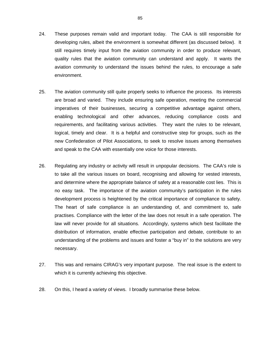- 24. These purposes remain valid and important today. The CAA is still responsible for developing rules, albeit the environment is somewhat different (as discussed below). It still requires timely input from the aviation community in order to produce relevant, quality rules that the aviation community can understand and apply. It wants the aviation community to understand the issues behind the rules, to encourage a safe environment.
- 25. The aviation community still quite properly seeks to influence the process. Its interests are broad and varied. They include ensuring safe operation, meeting the commercial imperatives of their businesses, securing a competitive advantage against others, enabling technological and other advances, reducing compliance costs and requirements, and facilitating various activities. They want the rules to be relevant, logical, timely and clear. It is a helpful and constructive step for groups, such as the new Confederation of Pilot Associations, to seek to resolve issues among themselves and speak to the CAA with essentially one voice for those interests.
- 26. Regulating any industry or activity will result in unpopular decisions. The CAA's role is to take all the various issues on board, recognising and allowing for vested interests, and determine where the appropriate balance of safety at a reasonable cost lies. This is no easy task. The importance of the aviation community's participation in the rules development process is heightened by the critical importance of compliance to safety. The heart of safe compliance is an understanding of, and commitment to, safe practises. Compliance with the letter of the law does not result in a safe operation. The law will never provide for all situations. Accordingly, systems which best facilitate the distribution of information, enable effective participation and debate, contribute to an understanding of the problems and issues and foster a "buy in" to the solutions are very necessary.
- 27. This was and remains CIRAG's very important purpose. The real issue is the extent to which it is currently achieving this objective.
- 28. On this, I heard a variety of views. I broadly summarise these below.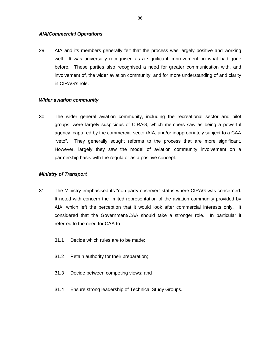#### *AIA/Commercial Operations*

29. AIA and its members generally felt that the process was largely positive and working well. It was universally recognised as a significant improvement on what had gone before. These parties also recognised a need for greater communication with, and involvement of, the wider aviation community, and for more understanding of and clarity in CIRAG's role.

#### *Wider aviation community*

30. The wider general aviation community, including the recreational sector and pilot groups, were largely suspicious of CIRAG, which members saw as being a powerful agency, captured by the commercial sector/AIA, and/or inappropriately subject to a CAA "veto". They generally sought reforms to the process that are more significant. However, largely they saw the model of aviation community involvement on a partnership basis with the regulator as a positive concept.

## *Ministry of Transport*

- 31. The Ministry emphasised its "non party observer" status where CIRAG was concerned. It noted with concern the limited representation of the aviation community provided by AIA, which left the perception that it would look after commercial interests only. It considered that the Government/CAA should take a stronger role. In particular it referred to the need for CAA to:
	- 31.1 Decide which rules are to be made;
	- 31.2 Retain authority for their preparation;
	- 31.3 Decide between competing views; and
	- 31.4 Ensure strong leadership of Technical Study Groups.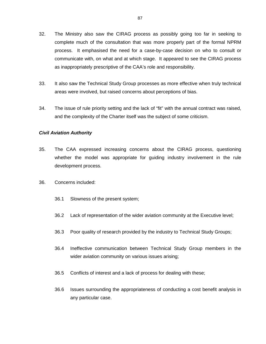- 32. The Ministry also saw the CIRAG process as possibly going too far in seeking to complete much of the consultation that was more properly part of the formal NPRM process. It emphasised the need for a case-by-case decision on who to consult or communicate with, on what and at which stage. It appeared to see the CIRAG process as inappropriately prescriptive of the CAA's role and responsibility.
- 33. It also saw the Technical Study Group processes as more effective when truly technical areas were involved, but raised concerns about perceptions of bias.
- 34. The issue of rule priority setting and the lack of "fit" with the annual contract was raised, and the complexity of the Charter itself was the subject of some criticism.

#### *Civil Aviation Authority*

- 35. The CAA expressed increasing concerns about the CIRAG process, questioning whether the model was appropriate for guiding industry involvement in the rule development process.
- 36. Concerns included:
	- 36.1 Slowness of the present system;
	- 36.2 Lack of representation of the wider aviation community at the Executive level;
	- 36.3 Poor quality of research provided by the industry to Technical Study Groups;
	- 36.4 Ineffective communication between Technical Study Group members in the wider aviation community on various issues arising;
	- 36.5 Conflicts of interest and a lack of process for dealing with these;
	- 36.6 Issues surrounding the appropriateness of conducting a cost benefit analysis in any particular case.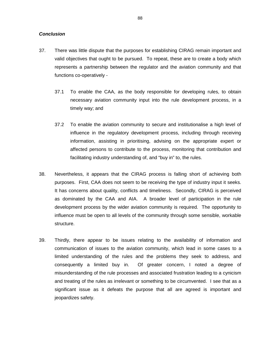#### *Conclusion*

- 37. There was little dispute that the purposes for establishing CIRAG remain important and valid objectives that ought to be pursued. To repeat, these are to create a body which represents a partnership between the regulator and the aviation community and that functions co-operatively -
	- 37.1 To enable the CAA, as the body responsible for developing rules, to obtain necessary aviation community input into the rule development process, in a timely way; and
	- 37.2 To enable the aviation community to secure and institutionalise a high level of influence in the regulatory development process, including through receiving information, assisting in prioritising, advising on the appropriate expert or affected persons to contribute to the process, monitoring that contribution and facilitating industry understanding of, and "buy in" to, the rules.
- 38. Nevertheless, it appears that the CIRAG process is falling short of achieving both purposes. First, CAA does not seem to be receiving the type of industry input it seeks. It has concerns about quality, conflicts and timeliness. Secondly, CIRAG is perceived as dominated by the CAA and AIA. A broader level of participation in the rule development process by the wider aviation community is required. The opportunity to influence must be open to all levels of the community through some sensible, workable structure.
- 39. Thirdly, there appear to be issues relating to the availability of information and communication of issues to the aviation community, which lead in some cases to a limited understanding of the rules and the problems they seek to address, and consequently a limited buy in. Of greater concern, I noted a degree of misunderstanding of the rule processes and associated frustration leading to a cynicism and treating of the rules as irrelevant or something to be circumvented. I see that as a significant issue as it defeats the purpose that all are agreed is important and jeopardizes safety.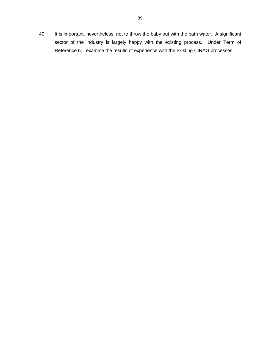40. It is important, nevertheless, not to throw the baby out with the bath water. A significant sector of the industry is largely happy with the existing process. Under Term of Reference 6, I examine the results of experience with the existing CIRAG processes.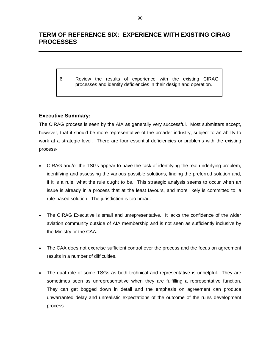# **TERM OF REFERENCE SIX: EXPERIENCE WITH EXISTING CIRAG PROCESSES**

6. Review the results of experience with the existing CIRAG processes and identify deficiencies in their design and operation.

# **Executive Summary:**

The CIRAG process is seen by the AIA as generally very successful. Most submitters accept, however, that it should be more representative of the broader industry, subject to an ability to work at a strategic level. There are four essential deficiencies or problems with the existing process-

- CIRAG and/or the TSGs appear to have the task of identifying the real underlying problem, identifying and assessing the various possible solutions, finding the preferred solution and, if it is a rule, what the rule ought to be. This strategic analysis seems to occur when an issue is already in a process that at the least favours, and more likely is committed to, a rule-based solution. The jurisdiction is too broad.
- - The CIRAG Executive is small and unrepresentative. It lacks the confidence of the wider aviation community outside of AIA membership and is not seen as sufficiently inclusive by the Ministry or the CAA.
- The CAA does not exercise sufficient control over the process and the focus on agreement results in a number of difficulties.
- $\bullet$  The dual role of some TSGs as both technical and representative is unhelpful. They are sometimes seen as unrepresentative when they are fulfilling a representative function. They can get bogged down in detail and the emphasis on agreement can produce unwarranted delay and unrealistic expectations of the outcome of the rules development process.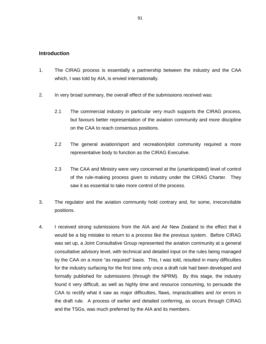### **Introduction**

- 1. The CIRAG process is essentially a partnership between the industry and the CAA which, I was told by AIA, is envied internationally.
- 2. In very broad summary, the overall effect of the submissions received was:
	- 2.1 The commercial industry in particular very much supports the CIRAG process, but favours better representation of the aviation community and more discipline on the CAA to reach consensus positions.
	- 2.2 The general aviation/sport and recreation/pilot community required a more representative body to function as the CIRAG Executive.
	- 2.3 The CAA and Ministry were very concerned at the (unanticipated) level of control of the rule-making process given to industry under the CIRAG Charter. They saw it as essential to take more control of the process.
- 3. The regulator and the aviation community hold contrary and, for some, irreconcilable positions.
- 4. I received strong submissions from the AIA and Air New Zealand to the effect that it would be a big mistake to return to a process like the previous system. Before CIRAG was set up, a Joint Consultative Group represented the aviation community at a general consultative advisory level, with technical and detailed input on the rules being managed by the CAA on a more "as required" basis. This, I was told, resulted in many difficulties for the industry surfacing for the first time only once a draft rule had been developed and formally published for submissions (through the NPRM). By this stage, the industry found it very difficult, as well as highly time and resource consuming, to persuade the CAA to rectify what it saw as major difficulties, flaws, impracticalities and /or errors in the draft rule. A process of earlier and detailed conferring, as occurs through CIRAG and the TSGs, was much preferred by the AIA and its members.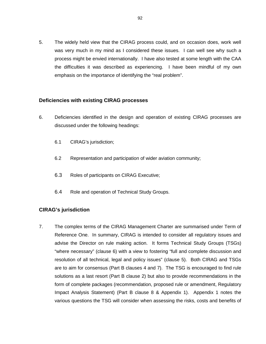5. The widely held view that the CIRAG process could, and on occasion does, work well was very much in my mind as I considered these issues. I can well see why such a process might be envied internationally. I have also tested at some length with the CAA the difficulties it was described as experiencing. I have been mindful of my own emphasis on the importance of identifying the "real problem".

## **Deficiencies with existing CIRAG processes**

- 6. Deficiencies identified in the design and operation of existing CIRAG processes are discussed under the following headings:
	- 6.1 CIRAG's jurisdiction;
	- 6.2 Representation and participation of wider aviation community;
	- 6.3 Roles of participants on CIRAG Executive;
	- 6.4 Role and operation of Technical Study Groups.

## **CIRAG's jurisdiction**

7. The complex terms of the CIRAG Management Charter are summarised under Term of Reference One. In summary, CIRAG is intended to consider all regulatory issues and advise the Director on rule making action. It forms Technical Study Groups (TSGs) "where necessary" (clause 6) with a view to fostering "full and complete discussion and resolution of all technical, legal and policy issues" (clause 5). Both CIRAG and TSGs are to aim for consensus (Part B clauses 4 and 7). The TSG is encouraged to find rule solutions as a last resort (Part B clause 2) but also to provide recommendations in the form of complete packages (recommendation, proposed rule or amendment, Regulatory Impact Analysis Statement) (Part B clause 8 & Appendix 1). Appendix 1 notes the various questions the TSG will consider when assessing the risks, costs and benefits of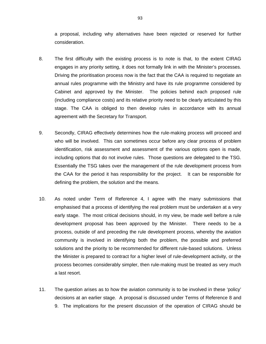a proposal, including why alternatives have been rejected or reserved for further consideration.

- 8. The first difficulty with the existing process is to note is that, to the extent CIRAG engages in any priority setting, it does not formally link in with the Minister's processes. Driving the prioritisation process now is the fact that the CAA is required to negotiate an annual rules programme with the Ministry and have its rule programme considered by Cabinet and approved by the Minister. The policies behind each proposed rule (including compliance costs) and its relative priority need to be clearly articulated by this stage. The CAA is obliged to then develop rules in accordance with its annual agreement with the Secretary for Transport.
- 9. Secondly, CIRAG effectively determines how the rule-making process will proceed and who will be involved. This can sometimes occur before any clear process of problem identification, risk assessment and assessment of the various options open is made, including options that do not involve rules. Those questions are delegated to the TSG. Essentially the TSG takes over the management of the rule development process from the CAA for the period it has responsibility for the project. It can be responsible for defining the problem, the solution and the means.
- 10. As noted under Term of Reference 4, I agree with the many submissions that emphasised that a process of identifying the real problem must be undertaken at a very early stage. The most critical decisions should, in my view, be made well before a rule development proposal has been approved by the Minister. There needs to be a process, outside of and preceding the rule development process, whereby the aviation community is involved in identifying both the problem, the possible and preferred solutions and the priority to be recommended for different rule-based solutions. Unless the Minister is prepared to contract for a higher level of rule-development activity, or the process becomes considerably simpler, then rule-making must be treated as very much a last resort.
- 11. The question arises as to how the aviation community is to be involved in these 'policy' decisions at an earlier stage. A proposal is discussed under Terms of Reference 8 and 9. The implications for the present discussion of the operation of CIRAG should be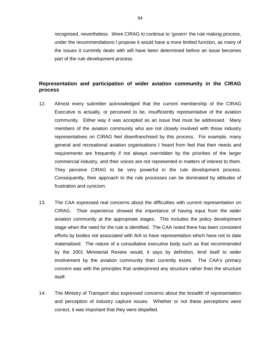recognised, nevertheless. Were CIRAG to continue to 'govern' the rule making process, under the recommendations I propose it would have a more limited function, as many of the issues it currently deals with will have been determined before an issue becomes part of the rule development process.

# **Representation and participation of wider aviation community in the CIRAG process**

- 12. Almost every submitter acknowledged that the current membership of the CIRAG Executive is actually, or perceived to be, insufficiently representative of the aviation community. Either way it was accepted as an issue that must be addressed. Many members of the aviation community who are not closely involved with those industry representatives on CIRAG feel disenfranchised by this process. For example, many general and recreational aviation organisations I heard from feel that their needs and requirements are frequently if not always overridden by the priorities of the larger commercial industry, and their voices are not represented in matters of interest to them. They perceive CIRAG to be very powerful in the rule development process. Consequently, their approach to the rule processes can be dominated by attitudes of frustration and cynicism.
- 13. The CAA expressed real concerns about the difficulties with current representation on CIRAG. Their experience showed the importance of having input from the wider aviation community at the appropriate stages. This includes the policy development stage when the need for the rule is identified. The CAA noted there has been consistent efforts by bodies not associated with AIA to have representation which have not to date materialised. The nature of a consultative executive body such as that recommended by the 2001 Ministerial Review would, it says by definition, lend itself to wider involvement by the aviation community than currently exists. The CAA's primary concern was with the principles that underpinned any structure rather than the structure itself.
- 14. The Ministry of Transport also expressed concerns about the breadth of representation and perception of industry capture issues. Whether or not these perceptions were correct, it was important that they were dispelled.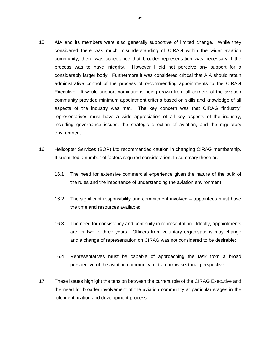- 15. AIA and its members were also generally supportive of limited change. While they considered there was much misunderstanding of CIRAG within the wider aviation community, there was acceptance that broader representation was necessary if the process was to have integrity. However I did not perceive any support for a considerably larger body. Furthermore it was considered critical that AIA should retain administrative control of the process of recommending appointments to the CIRAG Executive. It would support nominations being drawn from all corners of the aviation community provided minimum appointment criteria based on skills and knowledge of all aspects of the industry was met. The key concern was that CIRAG "industry" representatives must have a wide appreciation of all key aspects of the industry, including governance issues, the strategic direction of aviation, and the regulatory environment.
- 16. Helicopter Services (BOP) Ltd recommended caution in changing CIRAG membership. It submitted a number of factors required consideration. In summary these are:
	- 16.1 The need for extensive commercial experience given the nature of the bulk of the rules and the importance of understanding the aviation environment;
	- 16.2 The significant responsibility and commitment involved appointees must have the time and resources available;
	- 16.3 The need for consistency and continuity in representation. Ideally, appointments are for two to three years. Officers from voluntary organisations may change and a change of representation on CIRAG was not considered to be desirable;
	- 16.4 Representatives must be capable of approaching the task from a broad perspective of the aviation community, not a narrow sectorial perspective.
- 17. These issues highlight the tension between the current role of the CIRAG Executive and the need for broader involvement of the aviation community at particular stages in the rule identification and development process.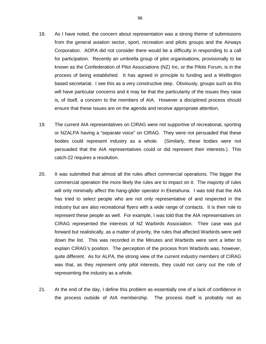- 18. As I have noted, the concern about representation was a strong theme of submissions from the general aviation sector, sport, recreation and pilots groups and the Airways Corporation. AOPA did not consider there would be a difficulty in responding to a call for participation. Recently an umbrella group of pilot organisations, provisionally to be known as the Confederation of Pilot Associations (NZ) Inc, or the Pilots Forum, is in the process of being established. It has agreed in principle to funding and a Wellington based secretariat. I see this as a very constructive step. Obviously, groups such as this will have particular concerns and it may be that the particularity of the issues they raise is, of itself, a concern to the members of AIA. However a disciplined process should ensure that these issues are on the agenda and receive appropriate attention.
- 19. The current AIA representatives on CIRAG were not supportive of recreational, sporting or NZALPA having a "separate voice" on CIRAG. They were not persuaded that these bodies could represent industry as a whole. (Similarly, these bodies were not persuaded that the AIA representatives could or did represent their interests.) This catch-22 requires a resolution.
- 20. It was submitted that almost all the rules affect commercial operations. The bigger the commercial operation the more likely the rules are to impact on it. The majority of rules will only minimally affect the hang-glider operator in Eketahuna. I was told that the AIA has tried to select people who are not only representative of and respected in the industry but are also recreational flyers with a wide range of contacts. It is their role to represent these people as well. For example, I was told that the AIA representatives on CIRAG represented the interests of NZ Warbirds Association. Their case was put forward but realistically, as a matter of priority, the rules that affected Warbirds were well down the list. This was recorded in the Minutes and Warbirds were sent a letter to explain CIRAG's position. The perception of the process from Warbirds was, however, quite different. As for ALPA, the strong view of the current industry members of CIRAG was that, as they represent only pilot interests, they could not carry out the role of representing the industry as a whole.
- 21. At the end of the day, I define this problem as essentially one of a lack of confidence in the process outside of AIA membership. The process itself is probably not as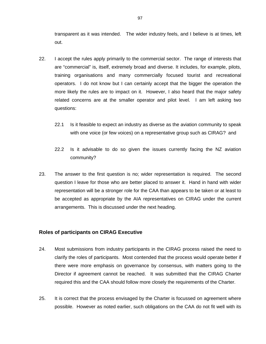transparent as it was intended. The wider industry feels, and I believe is at times, left out.

- 22. I accept the rules apply primarily to the commercial sector. The range of interests that are "commercial" is, itself, extremely broad and diverse. It includes, for example, pilots, training organisations and many commercially focused tourist and recreational operators. I do not know but I can certainly accept that the bigger the operation the more likely the rules are to impact on it. However, I also heard that the major safety related concerns are at the smaller operator and pilot level. I am left asking two questions:
	- 22.1 Is it feasible to expect an industry as diverse as the aviation community to speak with one voice (or few voices) on a representative group such as CIRAG? and
	- 22.2 Is it advisable to do so given the issues currently facing the NZ aviation community?
- 23. The answer to the first question is no; wider representation is required. The second question I leave for those who are better placed to answer it. Hand in hand with wider representation will be a stronger role for the CAA than appears to be taken or at least to be accepted as appropriate by the AIA representatives on CIRAG under the current arrangements. This is discussed under the next heading.

## **Roles of participants on CIRAG Executive**

- 24. Most submissions from industry participants in the CIRAG process raised the need to clarify the roles of participants. Most contended that the process would operate better if there were more emphasis on governance by consensus, with matters going to the Director if agreement cannot be reached. It was submitted that the CIRAG Charter required this and the CAA should follow more closely the requirements of the Charter.
- 25. It is correct that the process envisaged by the Charter is focussed on agreement where possible. However as noted earlier, such obligations on the CAA do not fit well with its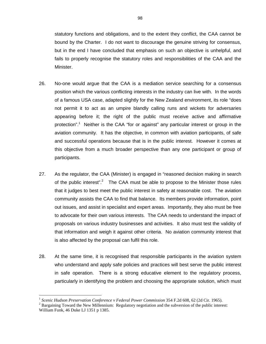statutory functions and obligations, and to the extent they conflict, the CAA cannot be bound by the Charter. I do not want to discourage the genuine striving for consensus, but in the end I have concluded that emphasis on such an objective is unhelpful, and fails to properly recognise the statutory roles and responsibilities of the CAA and the Minister.

- 26. No-one would argue that the CAA is a mediation service searching for a consensus position which the various conflicting interests in the industry can live with. In the words of a famous USA case, adapted slightly for the New Zealand environment, its role "does not permit it to act as an umpire blandly calling runs and wickets for adversaries appearing before it; the right of the public must receive active and affirmative protection".<sup>1</sup> Neither is the CAA "for or against" any particular interest or group in the aviation community. It has the objective, in common with aviation participants, of safe and successful operations because that is in the public interest. However it comes at this objective from a much broader perspective than any one participant or group of participants.
- 27. As the regulator, the CAA (Minister) is engaged in "reasoned decision making in search of the public interest".<sup>2</sup> The CAA must be able to propose to the Minister those rules that it judges to best meet the public interest in safety at reasonable cost. The aviation community assists the CAA to find that balance. Its members provide information, point out issues, and assist in specialist and expert areas. Importantly, they also must be free to advocate for their own various interests. The CAA needs to understand the impact of proposals on various industry businesses and activities. It also must test the validity of that information and weigh it against other criteria. No aviation community interest that is also affected by the proposal can fulfil this role.
- 28. At the same time, it is recognised that responsible participants in the aviation system who understand and apply safe policies and practices will best serve the public interest in safe operation. There is a strong educative element to the regulatory process, particularly in identifying the problem and choosing the appropriate solution, which must

 $\overline{a}$ 

<sup>&</sup>lt;sup>1</sup> Scenic Hudson Preservation Conference v Federal Power Commission 354 F.2d 608, 62 (2d Cir. 1965).

 $<sup>2</sup>$  Bargaining Toward the New Millennium: Regulatory negotiation and the subversion of the public interest:</sup> William Funk, 46 Duke LJ 1351 p 1385.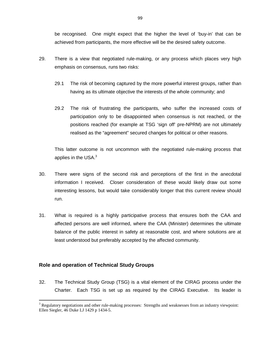be recognised. One might expect that the higher the level of 'buy-in' that can be achieved from participants, the more effective will be the desired safety outcome.

- 29. There is a view that negotiated rule-making, or any process which places very high emphasis on consensus, runs two risks:
	- 29.1 The risk of becoming captured by the more powerful interest groups, rather than having as its ultimate objective the interests of the whole community; and
	- 29.2 The risk of frustrating the participants, who suffer the increased costs of participation only to be disappointed when consensus is not reached, or the positions reached (for example at TSG 'sign off' pre-NPRM) are not ultimately realised as the "agreement" secured changes for political or other reasons.

This latter outcome is not uncommon with the negotiated rule-making process that applies in the USA.<sup>3</sup>

- 30. There were signs of the second risk and perceptions of the first in the anecdotal information I received. Closer consideration of these would likely draw out some interesting lessons, but would take considerably longer that this current review should run.
- 31. What is required is a highly participative process that ensures both the CAA and affected persons are well informed, where the CAA (Minister) determines the ultimate balance of the public interest in safety at reasonable cost, and where solutions are at least understood but preferably accepted by the affected community.

## **Role and operation of Technical Study Groups**

 $\overline{a}$ 

32. The Technical Study Group (TSG) is a vital element of the CIRAG process under the Charter. Each TSG is set up as required by the CIRAG Executive. Its leader is

 $3$  Regulatory negotiations and other rule-making processes: Strengths and weaknesses from an industry viewpoint: Ellen Siegler, 46 Duke LJ 1429 p 1434-5.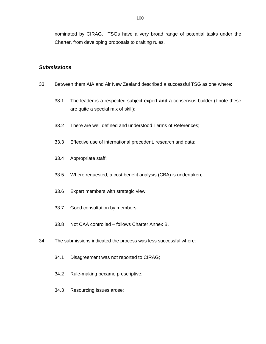nominated by CIRAG. TSGs have a very broad range of potential tasks under the Charter, from developing proposals to drafting rules.

# *Submissions*

- 33. Between them AIA and Air New Zealand described a successful TSG as one where:
	- 33.1 The leader is a respected subject expert **and** a consensus builder (I note these are quite a special mix of skill);
	- 33.2 There are well defined and understood Terms of References;
	- 33.3 Effective use of international precedent, research and data;
	- 33.4 Appropriate staff;
	- 33.5 Where requested, a cost benefit analysis (CBA) is undertaken;
	- 33.6 Expert members with strategic view;
	- 33.7 Good consultation by members;
	- 33.8 Not CAA controlled follows Charter Annex B.
- 34. The submissions indicated the process was less successful where:
	- 34.1 Disagreement was not reported to CIRAG;
	- 34.2 Rule-making became prescriptive;
	- 34.3 Resourcing issues arose;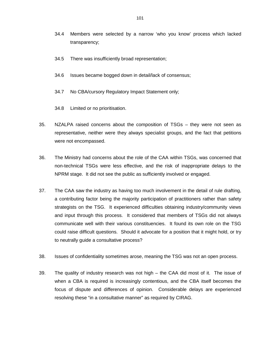- 34.4 Members were selected by a narrow 'who you know' process which lacked transparency;
- 34.5 There was insufficiently broad representation;
- 34.6 Issues became bogged down in detail/lack of consensus;
- 34.7 No CBA/cursory Regulatory Impact Statement only;
- 34.8 Limited or no prioritisation.
- 35. NZALPA raised concerns about the composition of TSGs they were not seen as representative, neither were they always specialist groups, and the fact that petitions were not encompassed.
- 36. The Ministry had concerns about the role of the CAA within TSGs, was concerned that non-technical TSGs were less effective, and the risk of inappropriate delays to the NPRM stage. It did not see the public as sufficiently involved or engaged.
- 37. The CAA saw the industry as having too much involvement in the detail of rule drafting, a contributing factor being the majority participation of practitioners rather than safety strategists on the TSG. It experienced difficulties obtaining industry/community views and input through this process. It considered that members of TSGs did not always communicate well with their various constituencies. It found its own role on the TSG could raise difficult questions. Should it advocate for a position that it might hold, or try to neutrally guide a consultative process?
- 38. Issues of confidentiality sometimes arose, meaning the TSG was not an open process.
- 39. The quality of industry research was not high the CAA did most of it. The issue of when a CBA is required is increasingly contentious, and the CBA itself becomes the focus of dispute and differences of opinion. Considerable delays are experienced resolving these "in a consultative manner" as required by CIRAG.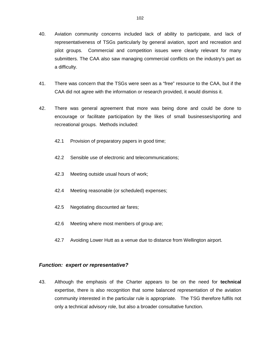- 40. Aviation community concerns included lack of ability to participate, and lack of representativeness of TSGs particularly by general aviation, sport and recreation and pilot groups. Commercial and competition issues were clearly relevant for many submitters. The CAA also saw managing commercial conflicts on the industry's part as a difficulty.
- 41. There was concern that the TSGs were seen as a "free" resource to the CAA, but if the CAA did not agree with the information or research provided, it would dismiss it.
- 42. There was general agreement that more was being done and could be done to encourage or facilitate participation by the likes of small businesses/sporting and recreational groups. Methods included:
	- 42.1 Provision of preparatory papers in good time;
	- 42.2 Sensible use of electronic and telecommunications;
	- 42.3 Meeting outside usual hours of work;
	- 42.4 Meeting reasonable (or scheduled) expenses;
	- 42.5 Negotiating discounted air fares;
	- 42.6 Meeting where most members of group are;
	- 42.7 Avoiding Lower Hutt as a venue due to distance from Wellington airport.

#### *Function: expert or representative?*

43. Although the emphasis of the Charter appears to be on the need for **technical** expertise, there is also recognition that some balanced representation of the aviation community interested in the particular rule is appropriate. The TSG therefore fulfils not only a technical advisory role, but also a broader consultative function.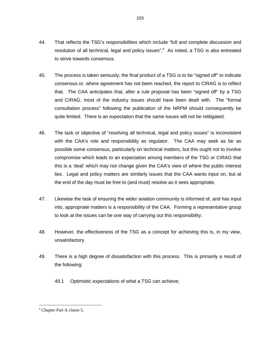- 44. That reflects the TSG's responsibilities which include "full and complete discussion and resolution of all technical, legal and policy issues".<sup>4</sup> As noted, a TSG is also entreated to strive towards consensus.
- 45. The process is taken seriously; the final product of a TSG is to be "signed off" to indicate consensus or, where agreement has not been reached, the report to CIRAG is to reflect that. The CAA anticipates that, after a rule proposal has been "signed off" by a TSG and CIRAG, most of the industry issues should have been dealt with. The "formal consultation process" following the publication of the NRPM should consequently be quite limited. There is an expectation that the same issues will not be relitigated.
- 46. The task or objective of "resolving all technical, legal and policy issues" is inconsistent with the CAA's role and responsibility as regulator. The CAA may seek as far as possible some consensus, particularly on technical matters, but this ought not to involve compromise which leads to an expectation among members of the TSG or CIRAG that this is a 'deal' which may not change given the CAA's view of where the public interest lies. Legal and policy matters are similarly issues that the CAA wants input on, but at the end of the day must be free to (and must) resolve as it sees appropriate.
- 47. Likewise the task of ensuring the wider aviation community is informed of, and has input into, appropriate matters is a responsibility of the CAA. Forming a representative group to look at the issues can be one way of carrying out this responsibility.
- 48. However, the effectiveness of the TSG as a concept for achieving this is, in my view, unsatisfactory.
- 49. There is a high degree of dissatisfaction with this process. This is primarily a result of the following:
	- 49.1 Optimistic expectations of what a TSG can achieve;

 $\overline{a}$ 

<sup>4</sup> Chapter Part A clause 5.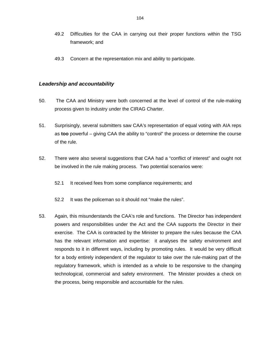- 49.2 Difficulties for the CAA in carrying out their proper functions within the TSG framework; and
- 49.3 Concern at the representation mix and ability to participate.

## *Leadership and accountability*

- 50. The CAA and Ministry were both concerned at the level of control of the rule-making process given to industry under the CIRAG Charter.
- 51. Surprisingly, several submitters saw CAA's representation of equal voting with AIA reps as **too** powerful – giving CAA the ability to "control" the process or determine the course of the rule.
- 52. There were also several suggestions that CAA had a "conflict of interest" and ought not be involved in the rule making process. Two potential scenarios were:
	- 52.1 It received fees from some compliance requirements; and
	- 52.2 It was the policeman so it should not "make the rules".
- 53. Again, this misunderstands the CAA's role and functions. The Director has independent powers and responsibilities under the Act and the CAA supports the Director in their exercise. The CAA is contracted by the Minister to prepare the rules because the CAA has the relevant information and expertise: it analyses the safety environment and responds to it in different ways, including by promoting rules. It would be very difficult for a body entirely independent of the regulator to take over the rule-making part of the regulatory framework, which is intended as a whole to be responsive to the changing technological, commercial and safety environment. The Minister provides a check on the process, being responsible and accountable for the rules.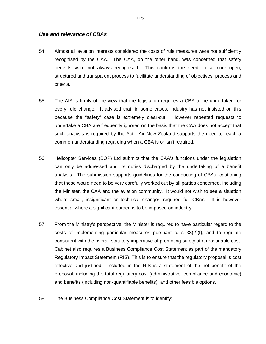#### *Use and relevance of CBAs*

- 54. Almost all aviation interests considered the costs of rule measures were not sufficiently recognised by the CAA. The CAA, on the other hand, was concerned that safety benefits were not always recognised. This confirms the need for a more open, structured and transparent process to facilitate understanding of objectives, process and criteria.
- 55. The AIA is firmly of the view that the legislation requires a CBA to be undertaken for every rule change. It advised that, in some cases, industry has not insisted on this because the "safety" case is extremely clear-cut. However repeated requests to undertake a CBA are frequently ignored on the basis that the CAA does not accept that such analysis is required by the Act. Air New Zealand supports the need to reach a common understanding regarding when a CBA is or isn't required.
- 56. Helicopter Services (BOP) Ltd submits that the CAA's functions under the legislation can only be addressed and its duties discharged by the undertaking of a benefit analysis. The submission supports guidelines for the conducting of CBAs, cautioning that these would need to be very carefully worked out by all parties concerned, including the Minister, the CAA and the aviation community. It would not wish to see a situation where small, insignificant or technical changes required full CBAs. It is however essential where a significant burden is to be imposed on industry.
- 57. From the Ministry's perspective, the Minister is required to have particular regard to the costs of implementing particular measures pursuant to  $s$  33(2)(f), and to regulate consistent with the overall statutory imperative of promoting safety at a reasonable cost. Cabinet also requires a Business Compliance Cost Statement as part of the mandatory Regulatory Impact Statement (RIS). This is to ensure that the regulatory proposal is cost effective and justified. Included in the RIS is a statement of the net benefit of the proposal, including the total regulatory cost (administrative, compliance and economic) and benefits (including non-quantifiable benefits), and other feasible options.
- 58. The Business Compliance Cost Statement is to identify: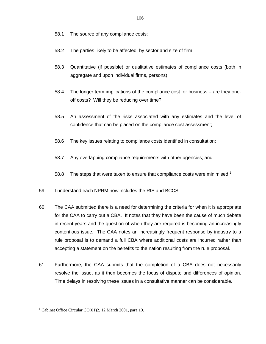- 58.1 The source of any compliance costs;
- 58.2 The parties likely to be affected, by sector and size of firm;
- 58.3 Quantitative (if possible) or qualitative estimates of compliance costs (both in aggregate and upon individual firms, persons);
- 58.4 The longer term implications of the compliance cost for business are they oneoff costs? Will they be reducing over time?
- 58.5 An assessment of the risks associated with any estimates and the level of confidence that can be placed on the compliance cost assessment;
- 58.6 The key issues relating to compliance costs identified in consultation;
- 58.7 Any overlapping compliance requirements with other agencies; and
- 58.8 The steps that were taken to ensure that compliance costs were minimised.<sup>5</sup>
- 59. I understand each NPRM now includes the RIS and BCCS.
- 60. The CAA submitted there is a need for determining the criteria for when it is appropriate for the CAA to carry out a CBA. It notes that they have been the cause of much debate in recent years and the question of when they are required is becoming an increasingly contentious issue. The CAA notes an increasingly frequent response by industry to a rule proposal is to demand a full CBA where additional costs are incurred rather than accepting a statement on the benefits to the nation resulting from the rule proposal.
- 61. Furthermore, the CAA submits that the completion of a CBA does not necessarily resolve the issue, as it then becomes the focus of dispute and differences of opinion. Time delays in resolving these issues in a consultative manner can be considerable.

 $\overline{a}$ 

<sup>&</sup>lt;sup>5</sup> Cabinet Office Circular CO(01)2, 12 March 2001, para 10.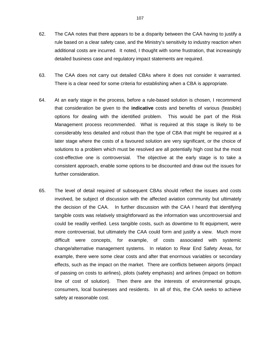- 62. The CAA notes that there appears to be a disparity between the CAA having to justify a rule based on a clear safety case, and the Ministry's sensitivity to industry reaction when additional costs are incurred. It noted, I thought with some frustration, that increasingly detailed business case and regulatory impact statements are required.
- 63. The CAA does not carry out detailed CBAs where it does not consider it warranted. There is a clear need for some criteria for establishing when a CBA is appropriate.
- 64. At an early stage in the process, before a rule-based solution is chosen, I recommend that consideration be given to the **indicative** costs and benefits of various (feasible) options for dealing with the identified problem. This would be part of the Risk Management process recommended. What is required at this stage is likely to be considerably less detailed and robust than the type of CBA that might be required at a later stage where the costs of a favoured solution are very significant, or the choice of solutions to a problem which must be resolved are all potentially high cost but the most cost-effective one is controversial. The objective at the early stage is to take a consistent approach, enable some options to be discounted and draw out the issues for further consideration.
- 65. The level of detail required of subsequent CBAs should reflect the issues and costs involved, be subject of discussion with the affected aviation community but ultimately the decision of the CAA. In further discussion with the CAA I heard that identifying tangible costs was relatively straightforward as the information was uncontroversial and could be readily verified. Less tangible costs, such as downtime to fit equipment, were more controversial, but ultimately the CAA could form and justify a view. Much more difficult were concepts, for example, of costs associated with systemic change/alternative management systems. In relation to Rear End Safety Areas, for example, there were some clear costs and after that enormous variables or secondary effects, such as the impact on the market. There are conflicts between airports (impact of passing on costs to airlines), pilots (safety emphasis) and airlines (impact on bottom line of cost of solution). Then there are the interests of environmental groups, consumers, local businesses and residents. In all of this, the CAA seeks to achieve safety at reasonable cost.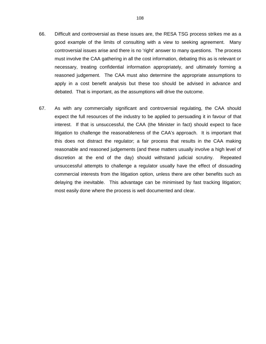- 66. Difficult and controversial as these issues are, the RESA TSG process strikes me as a good example of the limits of consulting with a view to seeking agreement. Many controversial issues arise and there is no 'right' answer to many questions. The process must involve the CAA gathering in all the cost information, debating this as is relevant or necessary, treating confidential information appropriately, and ultimately forming a reasoned judgement. The CAA must also determine the appropriate assumptions to apply in a cost benefit analysis but these too should be advised in advance and debated. That is important, as the assumptions will drive the outcome.
- 67. As with any commercially significant and controversial regulating, the CAA should expect the full resources of the industry to be applied to persuading it in favour of that interest. If that is unsuccessful, the CAA (the Minister in fact) should expect to face litigation to challenge the reasonableness of the CAA's approach. It is important that this does not distract the regulator; a fair process that results in the CAA making reasonable and reasoned judgements (and these matters usually involve a high level of discretion at the end of the day) should withstand judicial scrutiny. Repeated unsuccessful attempts to challenge a regulator usually have the effect of dissuading commercial interests from the litigation option, unless there are other benefits such as delaying the inevitable. This advantage can be minimised by fast tracking litigation; most easily done where the process is well documented and clear.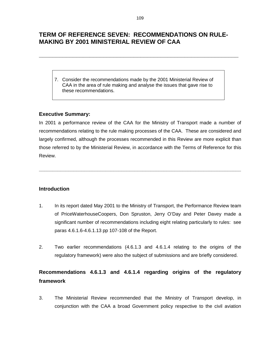## **TERM OF REFERENCE SEVEN: RECOMMENDATIONS ON RULE-MAKING BY 2001 MINISTERIAL REVIEW OF CAA**

7. Consider the recommendations made by the 2001 Ministerial Review of CAA in the area of rule making and analyse the issues that gave rise to these recommendations.

## **Executive Summary:**

In 2001 a performance review of the CAA for the Ministry of Transport made a number of recommendations relating to the rule making processes of the CAA. These are considered and largely confirmed, although the processes recommended in this Review are more explicit than those referred to by the Ministerial Review, in accordance with the Terms of Reference for this Review.

**\_\_\_\_\_\_\_\_\_\_\_\_\_\_\_\_\_\_\_\_\_\_\_\_\_\_\_\_\_\_\_\_\_\_\_\_\_\_\_\_\_\_\_\_\_\_\_\_\_\_\_\_\_\_\_\_\_\_\_\_\_\_\_\_\_\_\_\_\_\_\_\_\_\_\_\_** 

## **Introduction**

- 1. In its report dated May 2001 to the Ministry of Transport, the Performance Review team of PriceWaterhouseCoopers, Don Spruston, Jerry O'Day and Peter Davey made a significant number of recommendations including eight relating particularly to rules: see paras 4.6.1.6-4.6.1.13 pp 107-108 of the Report.
- 2. Two earlier recommendations (4.6.1.3 and 4.6.1.4 relating to the origins of the regulatory framework) were also the subject of submissions and are briefly considered.

# **Recommendations 4.6.1.3 and 4.6.1.4 regarding origins of the regulatory framework**

3. The Ministerial Review recommended that the Ministry of Transport develop, in conjunction with the CAA a broad Government policy respective to the civil aviation

**\_\_\_\_\_\_\_\_\_\_\_\_\_\_\_\_\_\_\_\_\_\_\_\_\_\_\_\_\_\_\_\_\_\_\_\_\_\_\_\_\_\_\_\_\_\_\_\_\_\_\_\_\_\_\_\_\_\_\_**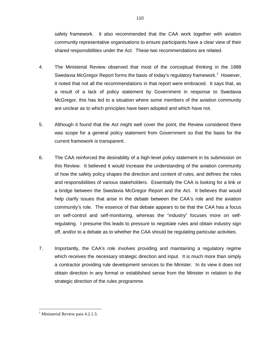safety framework. It also recommended that the CAA work together with aviation community representative organisations to ensure participants have a clear view of their shared responsibilities under the Act. These two recommendations are related.

- 4. The Ministerial Review observed that most of the conceptual thinking in the 1988 Swedavia McGregor Report forms the basis of today's regulatory framework.<sup>1</sup> However, it noted that not all the recommendations in that report were embraced. It says that, as a result of a lack of policy statement by Government in response to Swedavia McGregor, this has led to a situation where some members of the aviation community are unclear as to which principles have been adopted and which have not.
- 5. Although it found that the Act might well cover the point, the Review considered there was scope for a general policy statement from Government so that the basis for the current framework is transparent.
- 6. The CAA reinforced the desirability of a high-level policy statement in its submission on this Review. It believed it would increase the understanding of the aviation community of how the safety policy shapes the direction and content of rules, and defines the roles and responsibilities of various stakeholders. Essentially the CAA is looking for a link or a bridge between the Swedavia McGregor Report and the Act. It believes that would help clarify issues that arise in the debate between the CAA's role and the aviation community's role. The essence of that debate appears to be that the CAA has a focus on self-control and self-monitoring, whereas the "industry" focuses more on selfregulating. I presume this leads to pressure to negotiate rules and obtain industry sign off, and/or to a debate as to whether the CAA should be regulating particular activities.
- 7. Importantly, the CAA's role involves providing and maintaining a regulatory regime which receives the necessary strategic direction and input. It is much more than simply a contractor providing rule development services to the Minister. In its view it does not obtain direction in any formal or established sense from the Minister in relation to the strategic direction of the rules programme.

 $\overline{a}$ 

<sup>&</sup>lt;sup>1</sup> Ministerial Review para 4.2.1.3.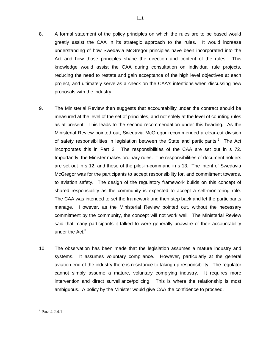- 8. A formal statement of the policy principles on which the rules are to be based would greatly assist the CAA in its strategic approach to the rules. It would increase understanding of how Swedavia McGregor principles have been incorporated into the Act and how those principles shape the direction and content of the rules. This knowledge would assist the CAA during consultation on individual rule projects, reducing the need to restate and gain acceptance of the high level objectives at each project, and ultimately serve as a check on the CAA's intentions when discussing new proposals with the industry.
- 9. The Ministerial Review then suggests that accountability under the contract should be measured at the level of the set of principles, and not solely at the level of counting rules as at present. This leads to the second recommendation under this heading. As the Ministerial Review pointed out, Swedavia McGregor recommended a clear-cut division of safety responsibilities in legislation between the State and participants. $2$  The Act incorporates this in Part 2. The responsibilities of the CAA are set out in s 72. Importantly, the Minister makes ordinary rules. The responsibilities of document holders are set out in s 12, and those of the pilot-in-command in s 13. The intent of Swedavia McGregor was for the participants to accept responsibility for, and commitment towards, to aviation safety. The design of the regulatory framework builds on this concept of shared responsibility as the community is expected to accept a self-monitoring role. The CAA was intended to set the framework and then step back and let the participants manage. However, as the Ministerial Review pointed out, without the necessary commitment by the community, the concept will not work well. The Ministerial Review said that many participants it talked to were generally unaware of their accountability under the  $Act.^3$
- 10. The observation has been made that the legislation assumes a mature industry and systems. It assumes voluntary compliance. However, particularly at the general aviation end of the industry there is resistance to taking up responsibility. The regulator cannot simply assume a mature, voluntary complying industry. It requires more intervention and direct surveillance/policing. This is where the relationship is most ambiguous. A policy by the Minister would give CAA the confidence to proceed.

 $\overline{a}$  $2$  Para 4.2.4.1.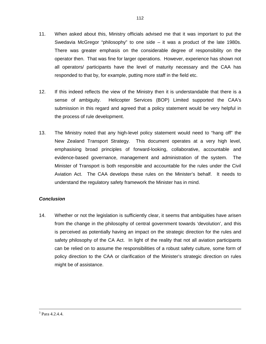- 11. When asked about this, Ministry officials advised me that it was important to put the Swedavia McGregor "philosophy" to one side – it was a product of the late 1980s. There was greater emphasis on the considerable degree of responsibility on the operator then. That was fine for larger operations. However, experience has shown not all operators/ participants have the level of maturity necessary and the CAA has responded to that by, for example, putting more staff in the field etc.
- 12. If this indeed reflects the view of the Ministry then it is understandable that there is a sense of ambiguity. Helicopter Services (BOP) Limited supported the CAA's submission in this regard and agreed that a policy statement would be very helpful in the process of rule development.
- 13. The Ministry noted that any high-level policy statement would need to "hang off" the New Zealand Transport Strategy. This document operates at a very high level, emphasising broad principles of forward-looking, collaborative, accountable and evidence-based governance, management and administration of the system. The Minister of Transport is both responsible and accountable for the rules under the Civil Aviation Act. The CAA develops these rules on the Minister's behalf. It needs to understand the regulatory safety framework the Minister has in mind.

## *Conclusion*

14. Whether or not the legislation is sufficiently clear, it seems that ambiguities have arisen from the change in the philosophy of central government towards 'devolution', and this is perceived as potentially having an impact on the strategic direction for the rules and safety philosophy of the CA Act. In light of the reality that not all aviation participants can be relied on to assume the responsibilities of a robust safety culture, some form of policy direction to the CAA or clarification of the Minister's strategic direction on rules might be of assistance.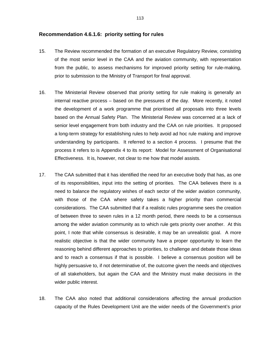#### **Recommendation 4.6.1.6: priority setting for rules**

- 15. The Review recommended the formation of an executive Regulatory Review, consisting of the most senior level in the CAA and the aviation community, with representation from the public, to assess mechanisms for improved priority setting for rule-making, prior to submission to the Ministry of Transport for final approval.
- 16. The Ministerial Review observed that priority setting for rule making is generally an internal reactive process – based on the pressures of the day. More recently, it noted the development of a work programme that prioritised all proposals into three levels based on the Annual Safety Plan. The Ministerial Review was concerned at a lack of senior level engagement from both industry and the CAA on rule priorities. It proposed a long-term strategy for establishing rules to help avoid ad hoc rule making and improve understanding by participants. It referred to a section 4 process. I presume that the process it refers to is Appendix 4 to its report: Model for Assessment of Organisational Effectiveness. It is, however, not clear to me how that model assists.
- 17. The CAA submitted that it has identified the need for an executive body that has, as one of its responsibilities, input into the setting of priorities. The CAA believes there is a need to balance the regulatory wishes of each sector of the wider aviation community, with those of the CAA where safety takes a higher priority than commercial considerations. The CAA submitted that if a realistic rules programme sees the creation of between three to seven rules in a 12 month period, there needs to be a consensus among the wider aviation community as to which rule gets priority over another. At this point, I note that while consensus is desirable, it may be an unrealistic goal. A more realistic objective is that the wider community have a proper opportunity to learn the reasoning behind different approaches to priorities, to challenge and debate those ideas and to reach a consensus if that is possible. I believe a consensus position will be highly persuasive to, if not determinative of, the outcome given the needs and objectives of all stakeholders, but again the CAA and the Ministry must make decisions in the wider public interest.
- 18. The CAA also noted that additional considerations affecting the annual production capacity of the Rules Development Unit are the wider needs of the Government's prior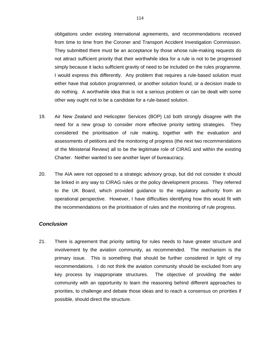obligations under existing international agreements, and recommendations received from time to time from the Coroner and Transport Accident Investigation Commission. They submitted there must be an acceptance by those whose rule-making requests do not attract sufficient priority that their worthwhile idea for a rule is not to be progressed simply because it lacks sufficient gravity of need to be included on the rules programme. I would express this differently. Any problem that requires a rule-based solution must either have that solution programmed, or another solution found, or a decision made to do nothing. A worthwhile idea that is not a serious problem or can be dealt with some other way ought not to be a candidate for a rule-based solution.

- 19. Air New Zealand and Helicopter Services (BOP) Ltd both strongly disagree with the need for a new group to consider more effective priority setting strategies. They considered the prioritisation of rule making, together with the evaluation and assessments of petitions and the monitoring of progress (the next two recommendations of the Ministerial Review) all to be the legitimate role of CIRAG and within the existing Charter. Neither wanted to see another layer of bureaucracy.
- 20. The AIA were not opposed to a strategic advisory group, but did not consider it should be linked in any way to CIRAG rules or the policy development process. They referred to the UK Board, which provided guidance to the regulatory authority from an operational perspective. However, I have difficulties identifying how this would fit with the recommendations on the prioritisation of rules and the monitoring of rule progress.

#### *Conclusion*

21. There is agreement that priority setting for rules needs to have greater structure and involvement by the aviation community, as recommended. The mechanism is the primary issue. This is something that should be further considered in light of my recommendations. I do not think the aviation community should be excluded from any key process by inappropriate structures. The objective of providing the wider community with an opportunity to learn the reasoning behind different approaches to priorities, to challenge and debate those ideas and to reach a consensus on priorities if possible, should direct the structure.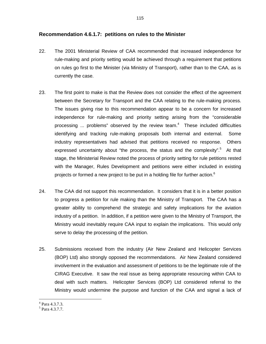## **Recommendation 4.6.1.7: petitions on rules to the Minister**

- 22. The 2001 Ministerial Review of CAA recommended that increased independence for rule-making and priority setting would be achieved through a requirement that petitions on rules go first to the Minister (via Ministry of Transport), rather than to the CAA, as is currently the case.
- 23. The first point to make is that the Review does not consider the effect of the agreement between the Secretary for Transport and the CAA relating to the rule-making process. The issues giving rise to this recommendation appear to be a concern for increased independence for rule-making and priority setting arising from the "considerable processing  $\ldots$  problems" observed by the review team.<sup>4</sup> These included difficulties identifying and tracking rule-making proposals both internal and external. Some industry representatives had advised that petitions received no response. Others expressed uncertainty about "the process, the status and the complexity".<sup>5</sup> At that stage, the Ministerial Review noted the process of priority setting for rule petitions rested with the Manager, Rules Development and petitions were either included in existing projects or formed a new project to be put in a holding file for further action.<sup>6</sup>
- 24. The CAA did not support this recommendation. It considers that it is in a better position to progress a petition for rule making than the Ministry of Transport. The CAA has a greater ability to comprehend the strategic and safety implications for the aviation industry of a petition. In addition, if a petition were given to the Ministry of Transport, the Ministry would inevitably require CAA input to explain the implications. This would only serve to delay the processing of the petition.
- 25. Submissions received from the industry (Air New Zealand and Helicopter Services (BOP) Ltd) also strongly opposed the recommendations. Air New Zealand considered involvement in the evaluation and assessment of petitions to be the legitimate role of the CIRAG Executive. It saw the real issue as being appropriate resourcing within CAA to deal with such matters. Helicopter Services (BOP) Ltd considered referral to the Ministry would undermine the purpose and function of the CAA and signal a lack of

 $\overline{a}$ 4 Para 4.3.7.3.

<sup>5</sup> Para 4.3.7.7.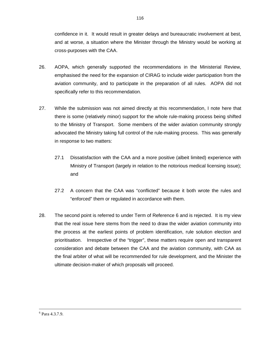confidence in it. It would result in greater delays and bureaucratic involvement at best, and at worse, a situation where the Minister through the Ministry would be working at cross-purposes with the CAA.

- 26. AOPA, which generally supported the recommendations in the Ministerial Review, emphasised the need for the expansion of CIRAG to include wider participation from the aviation community, and to participate in the preparation of all rules. AOPA did not specifically refer to this recommendation.
- 27. While the submission was not aimed directly at this recommendation, I note here that there is some (relatively minor) support for the whole rule-making process being shifted to the Ministry of Transport. Some members of the wider aviation community strongly advocated the Ministry taking full control of the rule-making process. This was generally in response to two matters:
	- 27.1 Dissatisfaction with the CAA and a more positive (albeit limited) experience with Ministry of Transport (largely in relation to the notorious medical licensing issue); and
	- 27.2 A concern that the CAA was "conflicted" because it both wrote the rules and "enforced" them or regulated in accordance with them.
- 28. The second point is referred to under Term of Reference 6 and is rejected. It is my view that the real issue here stems from the need to draw the wider aviation community into the process at the earliest points of problem identification, rule solution election and prioritisation. Irrespective of the "trigger", these matters require open and transparent consideration and debate between the CAA and the aviation community, with CAA as the final arbiter of what will be recommended for rule development, and the Minister the ultimate decision-maker of which proposals will proceed.

 $\frac{1}{6}$  $6$  Para 4.3.7.9.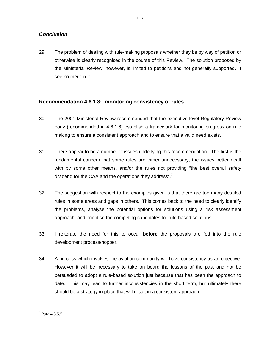## *Conclusion*

29. The problem of dealing with rule-making proposals whether they be by way of petition or otherwise is clearly recognised in the course of this Review. The solution proposed by the Ministerial Review, however, is limited to petitions and not generally supported. I see no merit in it.

## **Recommendation 4.6.1.8: monitoring consistency of rules**

- 30. The 2001 Ministerial Review recommended that the executive level Regulatory Review body (recommended in 4.6.1.6) establish a framework for monitoring progress on rule making to ensure a consistent approach and to ensure that a valid need exists.
- 31. There appear to be a number of issues underlying this recommendation. The first is the fundamental concern that some rules are either unnecessary, the issues better dealt with by some other means, and/or the rules not providing "the best overall safety dividend for the CAA and the operations they address". $7$
- 32. The suggestion with respect to the examples given is that there are too many detailed rules in some areas and gaps in others. This comes back to the need to clearly identify the problems, analyse the potential options for solutions using a risk assessment approach, and prioritise the competing candidates for rule-based solutions.
- 33. I reiterate the need for this to occur **before** the proposals are fed into the rule development process/hopper.
- 34. A process which involves the aviation community will have consistency as an objective. However it will be necessary to take on board the lessons of the past and not be persuaded to adopt a rule-based solution just because that has been the approach to date. This may lead to further inconsistencies in the short term, but ultimately there should be a strategy in place that will result in a consistent approach.

 7 Para 4.3.5.5.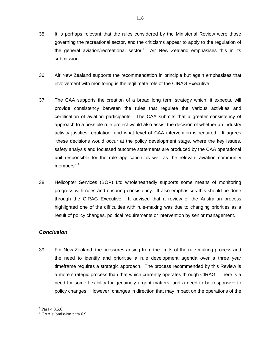- 35. It is perhaps relevant that the rules considered by the Ministerial Review were those governing the recreational sector, and the criticisms appear to apply to the regulation of the general aviation/recreational sector. $8$  Air New Zealand emphasises this in its submission.
- 36. Air New Zealand supports the recommendation in principle but again emphasises that involvement with monitoring is the legitimate role of the CIRAG Executive.
- 37. The CAA supports the creation of a broad long term strategy which, it expects, will provide consistency between the rules that regulate the various activities and certification of aviation participants. The CAA submits that a greater consistency of approach to a possible rule project would also assist the decision of whether an industry activity justifies regulation, and what level of CAA intervention is required. It agrees "these decisions would occur at the policy development stage, where the key issues, safety analysis and focussed outcome statements are produced by the CAA operational unit responsible for the rule application as well as the relevant aviation community members".<sup>9</sup>
- 38. Helicopter Services (BOP) Ltd wholeheartedly supports some means of monitoring progress with rules and ensuring consistency. It also emphasises this should be done through the CIRAG Executive. It advised that a review of the Australian process highlighted one of the difficulties with rule-making was due to changing priorities as a result of policy changes, political requirements or intervention by senior management.

## *Conclusion*

39. For New Zealand, the pressures arising from the limits of the rule-making process and the need to identify and prioritise a rule development agenda over a three year timeframe requires a strategic approach. The process recommended by this Review is a more strategic process than that which currently operates through CIRAG. There is a need for some flexibility for genuinely urgent matters, and a need to be responsive to policy changes. However, changes in direction that may impact on the operations of the

 $\overline{a}$ 8 Para 4.3.5.6.

<sup>&</sup>lt;sup>9</sup> CAA submission para 6.9.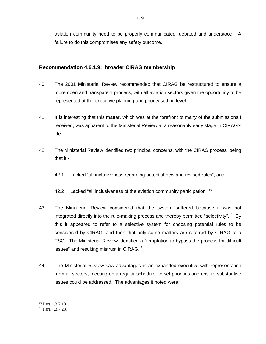aviation community need to be properly communicated, debated and understood. A failure to do this compromises any safety outcome.

## **Recommendation 4.6.1.9: broader CIRAG membership**

- 40. The 2001 Ministerial Review recommended that CIRAG be restructured to ensure a more open and transparent process, with all aviation sectors given the opportunity to be represented at the executive planning and priority setting level.
- 41. It is interesting that this matter, which was at the forefront of many of the submissions I received, was apparent to the Ministerial Review at a reasonably early stage in CIRAG's life.
- 42. The Ministerial Review identified two principal concerns, with the CIRAG process, being that it -
	- 42.1 Lacked "all-inclusiveness regarding potential new and revised rules"; and
	- 42.2 Lacked "all inclusiveness of the aviation community participation".<sup>10</sup>
- 43. The Ministerial Review considered that the system suffered because it was not integrated directly into the rule-making process and thereby permitted "selectivity".<sup>11</sup> By this it appeared to refer to a selective system for choosing potential rules to be considered by CIRAG, and then that only some matters are referred by CIRAG to a TSG. The Ministerial Review identified a "temptation to bypass the process for difficult issues" and resulting mistrust in CIRAG.<sup>12</sup>
- 44. The Ministerial Review saw advantages in an expanded executive with representation from all sectors, meeting on a regular schedule, to set priorities and ensure substantive issues could be addressed. The advantages it noted were:

 $\overline{a}$ 

 $10$  Para 4.3.7.18.

<sup>&</sup>lt;sup>11</sup> Para 4.3.7.23.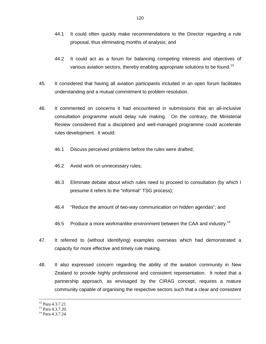- 44.1 It could often quickly make recommendations to the Director regarding a rule proposal, thus eliminating months of analysis; and
- 44.2 It could act as a forum for balancing competing interests and objectives of various aviation sectors, thereby enabling appropriate solutions to be found.<sup>13</sup>
- 45. It considered that having all aviation participants included in an open forum facilitates understanding and a mutual commitment to problem resolution.
- 46. It commented on concerns it had encountered in submissions that an all-inclusive consultation programme would delay rule making. On the contrary, the Ministerial Review considered that a disciplined and well-managed programme could accelerate rules development. It would:
	- 46.1 Discuss perceived problems before the rules were drafted;
	- 46.2 Avoid work on unnecessary rules;
	- 46.3 Eliminate debate about which rules need to proceed to consultation (by which I presume it refers to the "informal" TSG process);
	- 46.4 "Reduce the amount of two-way communication on hidden agendas"; and
	- 46.5 Produce a more workmanlike environment between the CAA and industry.<sup>14</sup>
- 47. It referred to (without identifying) examples overseas which had demonstrated a capacity for more effective and timely rule making.
- 48. It also expressed concern regarding the ability of the aviation community in New Zealand to provide highly professional and consistent representation. It noted that a partnership approach, as envisaged by the CIRAG concept, requires a mature community capable of organising the respective sectors such that a clear and consistent

 <sup>12</sup> Para 4.3.7.21

<sup>&</sup>lt;sup>13</sup> Para 4.3.7.20.

<sup>&</sup>lt;sup>14</sup> Para 4.3.7.24.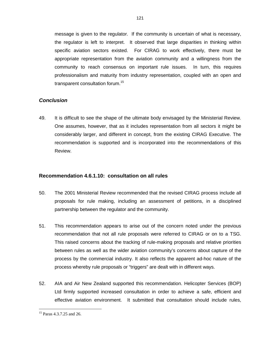message is given to the regulator. If the community is uncertain of what is necessary, the regulator is left to interpret. It observed that large disparities in thinking within specific aviation sectors existed. For CIRAG to work effectively, there must be appropriate representation from the aviation community and a willingness from the community to reach consensus on important rule issues. In turn, this requires professionalism and maturity from industry representation, coupled with an open and transparent consultation forum.15

## *Conclusion*

49. It is difficult to see the shape of the ultimate body envisaged by the Ministerial Review. One assumes, however, that as it includes representation from all sectors it might be considerably larger, and different in concept, from the existing CIRAG Executive. The recommendation is supported and is incorporated into the recommendations of this Review.

## **Recommendation 4.6.1.10: consultation on all rules**

- 50. The 2001 Ministerial Review recommended that the revised CIRAG process include all proposals for rule making, including an assessment of petitions, in a disciplined partnership between the regulator and the community.
- 51. This recommendation appears to arise out of the concern noted under the previous recommendation that not all rule proposals were referred to CIRAG or on to a TSG. This raised concerns about the tracking of rule-making proposals and relative priorities between rules as well as the wider aviation community's concerns about capture of the process by the commercial industry. It also reflects the apparent ad-hoc nature of the process whereby rule proposals or "triggers" are dealt with in different ways.
- 52. AIA and Air New Zealand supported this recommendation. Helicopter Services (BOP) Ltd firmly supported increased consultation in order to achieve a safe, efficient and effective aviation environment. It submitted that consultation should include rules,

 $\overline{a}$ <sup>15</sup> Paras 4.3.7.25 and 26.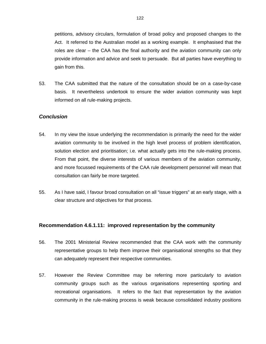petitions, advisory circulars, formulation of broad policy and proposed changes to the Act. It referred to the Australian model as a working example. It emphasised that the roles are clear – the CAA has the final authority and the aviation community can only provide information and advice and seek to persuade. But all parties have everything to gain from this.

53. The CAA submitted that the nature of the consultation should be on a case-by-case basis. It nevertheless undertook to ensure the wider aviation community was kept informed on all rule-making projects.

## *Conclusion*

- 54. In my view the issue underlying the recommendation is primarily the need for the wider aviation community to be involved in the high level process of problem identification, solution election and prioritisation; i.e. what actually gets into the rule-making process. From that point, the diverse interests of various members of the aviation community, and more focussed requirements of the CAA rule development personnel will mean that consultation can fairly be more targeted.
- 55. As I have said, I favour broad consultation on all "issue triggers" at an early stage, with a clear structure and objectives for that process.

#### **Recommendation 4.6.1.11: improved representation by the community**

- 56. The 2001 Ministerial Review recommended that the CAA work with the community representative groups to help them improve their organisational strengths so that they can adequately represent their respective communities.
- 57. However the Review Committee may be referring more particularly to aviation community groups such as the various organisations representing sporting and recreational organisations. It refers to the fact that representation by the aviation community in the rule-making process is weak because consolidated industry positions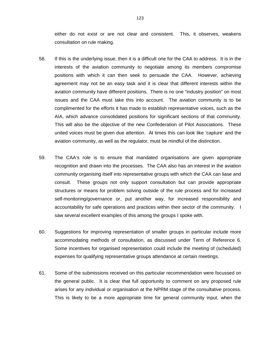either do not exist or are not clear and consistent. This, it observes, weakens consultation on rule making.

- 58. If this is the underlying issue, then it is a difficult one for the CAA to address. It is in the interests of the aviation community to negotiate among its members compromise positions with which it can then seek to persuade the CAA. However, achieving agreement may not be an easy task and it is clear that different interests within the aviation community have different positions. There is no one "industry position" on most issues and the CAA must take this into account. The aviation community is to be complimented for the efforts it has made to establish representative voices, such as the AIA, which advance consolidated positions for significant sections of that community. This will also be the objective of the new Confederation of Pilot Associations. These united voices must be given due attention. At times this can look like 'capture' and the aviation community, as well as the regulator, must be mindful of the distinction.
- 59. The CAA's role is to ensure that mandated organisations are given appropriate recognition and drawn into the processes. The CAA also has an interest in the aviation community organising itself into representative groups with which the CAA can liase and consult. These groups not only support consultation but can provide appropriate structures or means for problem solving outside of the rule process and for increased self-monitoring/governance or, put another way, for increased responsibility and accountability for safe operations and practices within their sector of the community. I saw several excellent examples of this among the groups I spoke with.
- 60. Suggestions for improving representation of smaller groups in particular include more accommodating methods of consultation, as discussed under Term of Reference 6. Some incentives for organised representation could include the meeting of (scheduled) expenses for qualifying representative groups attendance at certain meetings.
- 61. Some of the submissions received on this particular recommendation were focussed on the general public. It is clear that full opportunity to comment on any proposed rule arises for any individual or organisation at the NPRM stage of the consultative process. This is likely to be a more appropriate time for general community input, when the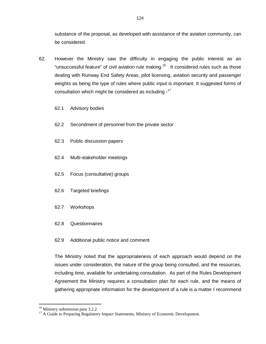substance of the proposal, as developed with assistance of the aviation community, can be considered.

- 62. However the Ministry saw the difficulty in engaging the public interest as an "unsuccessful feature" of civil aviation rule making.<sup>16</sup> It considered rules such as those dealing with Runway End Safety Areas, pilot licensing, aviation security and passenger weights as being the type of rules where public input is important. It suggested forms of consultation which might be considered as including -17
	- 62.1 Advisory bodies
	- 62.2 Secondment of personnel from the private sector
	- 62.3 Public discussion papers
	- 62.4 Multi-stakeholder meetings
	- 62.5 Focus (consultative) groups
	- 62.6 Targeted briefings
	- 62.7 Workshops
	- 62.8 Questionnaires
	- 62.9 Additional public notice and comment

The Ministry noted that the appropriateness of each approach would depend on the issues under consideration, the nature of the group being consulted, and the resources, including time, available for undertaking consultation. As part of the Rules Development Agreement the Ministry requires a consultation plan for each rule, and the means of gathering appropriate information for the development of a rule is a matter I recommend

 $\overline{a}$ 

<sup>&</sup>lt;sup>16</sup> Ministry submission para 3.2.2

<sup>&</sup>lt;sup>17</sup> A Guide to Preparing Regulatory Impact Statements, Ministry of Economic Development.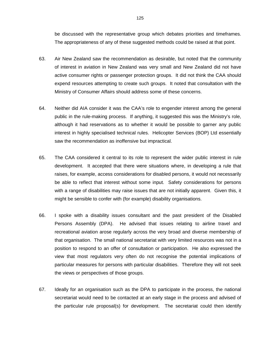be discussed with the representative group which debates priorities and timeframes. The appropriateness of any of these suggested methods could be raised at that point.

- 63. Air New Zealand saw the recommendation as desirable, but noted that the community of interest in aviation in New Zealand was very small and New Zealand did not have active consumer rights or passenger protection groups. It did not think the CAA should expend resources attempting to create such groups. It noted that consultation with the Ministry of Consumer Affairs should address some of these concerns.
- 64. Neither did AIA consider it was the CAA's role to engender interest among the general public in the rule-making process. If anything, it suggested this was the Ministry's role, although it had reservations as to whether it would be possible to garner any public interest in highly specialised technical rules. Helicopter Services (BOP) Ltd essentially saw the recommendation as inoffensive but impractical.
- 65. The CAA considered it central to its role to represent the wider public interest in rule development. It accepted that there were situations where, in developing a rule that raises, for example, access considerations for disabled persons, it would not necessarily be able to reflect that interest without some input. Safety considerations for persons with a range of disabilities may raise issues that are not initially apparent. Given this, it might be sensible to confer with (for example) disability organisations.
- 66. I spoke with a disability issues consultant and the past president of the Disabled Persons Assembly (DPA). He advised that issues relating to airline travel and recreational aviation arose regularly across the very broad and diverse membership of that organisation. The small national secretariat with very limited resources was not in a position to respond to an offer of consultation or participation. He also expressed the view that most regulators very often do not recognise the potential implications of particular measures for persons with particular disabilities. Therefore they will not seek the views or perspectives of those groups.
- 67. Ideally for an organisation such as the DPA to participate in the process, the national secretariat would need to be contacted at an early stage in the process and advised of the particular rule proposal(s) for development. The secretariat could then identify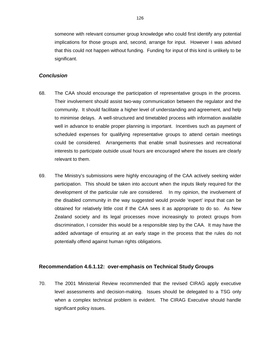someone with relevant consumer group knowledge who could first identify any potential implications for those groups and, second, arrange for input. However I was advised that this could not happen without funding. Funding for input of this kind is unlikely to be significant.

#### *Conclusion*

- 68. The CAA should encourage the participation of representative groups in the process. Their involvement should assist two-way communication between the regulator and the community. It should facilitate a higher level of understanding and agreement, and help to minimise delays. A well-structured and timetabled process with information available well in advance to enable proper planning is important. Incentives such as payment of scheduled expenses for qualifying representative groups to attend certain meetings could be considered. Arrangements that enable small businesses and recreational interests to participate outside usual hours are encouraged where the issues are clearly relevant to them.
- 69. The Ministry's submissions were highly encouraging of the CAA actively seeking wider participation. This should be taken into account when the inputs likely required for the development of the particular rule are considered. In my opinion, the involvement of the disabled community in the way suggested would provide 'expert' input that can be obtained for relatively little cost if the CAA sees it as appropriate to do so. As New Zealand society and its legal processes move increasingly to protect groups from discrimination, I consider this would be a responsible step by the CAA. It may have the added advantage of ensuring at an early stage in the process that the rules do not potentially offend against human rights obligations.

#### **Recommendation 4.6.1.12: over-emphasis on Technical Study Groups**

70. The 2001 Ministerial Review recommended that the revised CIRAG apply executive level assessments and decision-making. Issues should be delegated to a TSG only when a complex technical problem is evident. The CIRAG Executive should handle significant policy issues.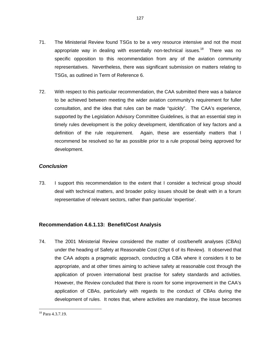- 71. The Ministerial Review found TSGs to be a very resource intensive and not the most appropriate way in dealing with essentially non-technical issues.<sup>18</sup> There was no specific opposition to this recommendation from any of the aviation community representatives. Nevertheless, there was significant submission on matters relating to TSGs, as outlined in Term of Reference 6.
- 72. With respect to this particular recommendation, the CAA submitted there was a balance to be achieved between meeting the wider aviation community's requirement for fuller consultation, and the idea that rules can be made "quickly". The CAA's experience, supported by the Legislation Advisory Committee Guidelines, is that an essential step in timely rules development is the policy development, identification of key factors and a definition of the rule requirement. Again, these are essentially matters that I recommend be resolved so far as possible prior to a rule proposal being approved for development.

## *Conclusion*

73. I support this recommendation to the extent that I consider a technical group should deal with technical matters, and broader policy issues should be dealt with in a forum representative of relevant sectors, rather than particular 'expertise'.

## **Recommendation 4.6.1.13: Benefit/Cost Analysis**

74. The 2001 Ministerial Review considered the matter of cost/benefit analyses (CBAs) under the heading of Safety at Reasonable Cost (Chpt 6 of its Review). It observed that the CAA adopts a pragmatic approach, conducting a CBA where it considers it to be appropriate, and at other times aiming to achieve safety at reasonable cost through the application of proven international best practise for safety standards and activities. However, the Review concluded that there is room for some improvement in the CAA's application of CBAs, particularly with regards to the conduct of CBAs during the development of rules. It notes that, where activities are mandatory, the issue becomes

 $\overline{a}$ <sup>18</sup> Para 4.3.7.19.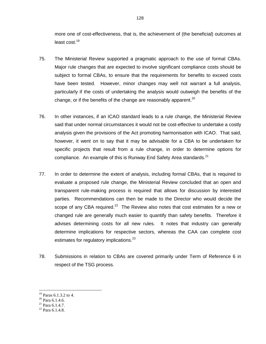more one of cost-effectiveness, that is, the achievement of (the beneficial) outcomes at least cost.<sup>19</sup>

- 75. The Ministerial Review supported a pragmatic approach to the use of formal CBAs. Major rule changes that are expected to involve significant compliance costs should be subject to formal CBAs, to ensure that the requirements for benefits to exceed costs have been tested. However, minor changes may well not warrant a full analysis, particularly if the costs of undertaking the analysis would outweigh the benefits of the change, or if the benefits of the change are reasonably apparent.<sup>20</sup>
- 76. In other instances, if an ICAO standard leads to a rule change, the Ministerial Review said that under normal circumstances it would not be cost-effective to undertake a costly analysis given the provisions of the Act promoting harmonisation with ICAO. That said, however, it went on to say that it may be advisable for a CBA to be undertaken for specific projects that result from a rule change, in order to determine options for compliance. An example of this is Runway End Safety Area standards. $21$
- 77. In order to determine the extent of analysis, including formal CBAs, that is required to evaluate a proposed rule change, the Ministerial Review concluded that an open and transparent rule-making process is required that allows for discussion by interested parties. Recommendations can then be made to the Director who would decide the scope of any CBA required.<sup>22</sup> The Review also notes that cost estimates for a new or changed rule are generally much easier to quantify than safety benefits. Therefore it advises determining costs for all new rules. It notes that industry can generally determine implications for respective sectors, whereas the CAA can complete cost estimates for regulatory implications.<sup>23</sup>
- 78. Submissions in relation to CBAs are covered primarily under Term of Reference 6 in respect of the TSG process.

 $\overline{a}$ 

<sup>&</sup>lt;sup>19</sup> Paras 6.1.3.2 to 4.

 $20$  Para 6.1.4.6.

 $^{21}$  Para 6.1.4.7.

 $22$  Para 6.1.4.8.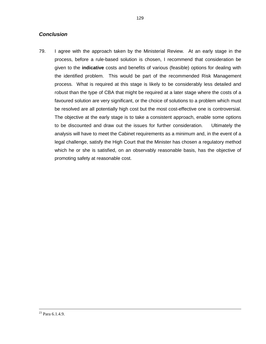## *Conclusion*

79. I agree with the approach taken by the Ministerial Review. At an early stage in the process, before a rule-based solution is chosen, I recommend that consideration be given to the **indicative** costs and benefits of various (feasible) options for dealing with the identified problem. This would be part of the recommended Risk Management process. What is required at this stage is likely to be considerably less detailed and robust than the type of CBA that might be required at a later stage where the costs of a favoured solution are very significant, or the choice of solutions to a problem which must be resolved are all potentially high cost but the most cost-effective one is controversial. The objective at the early stage is to take a consistent approach, enable some options to be discounted and draw out the issues for further consideration. Ultimately the analysis will have to meet the Cabinet requirements as a minimum and, in the event of a legal challenge, satisfy the High Court that the Minister has chosen a regulatory method which he or she is satisfied, on an observably reasonable basis, has the objective of promoting safety at reasonable cost.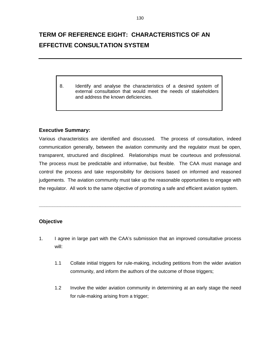# **TERM OF REFERENCE EIGHT: CHARACTERISTICS OF AN EFFECTIVE CONSULTATION SYSTEM**

8. Identify and analyse the characteristics of a desired system of external consultation that would meet the needs of stakeholders and address the known deficiencies.

## **Executive Summary:**

Various characteristics are identified and discussed. The process of consultation, indeed communication generally, between the aviation community and the regulator must be open, transparent, structured and disciplined. Relationships must be courteous and professional. The process must be predictable and informative, but flexible. The CAA must manage and control the process and take responsibility for decisions based on informed and reasoned judgements. The aviation community must take up the reasonable opportunities to engage with the regulator. All work to the same objective of promoting a safe and efficient aviation system.

## **Objective**

1. I agree in large part with the CAA's submission that an improved consultative process will:

**\_\_\_\_\_\_\_\_\_\_\_\_\_\_\_\_\_\_\_\_\_\_\_\_\_\_\_\_\_\_\_\_\_\_\_\_\_\_\_\_\_\_\_\_\_\_\_\_\_\_\_\_\_\_\_\_\_\_\_\_\_\_\_\_\_\_\_\_\_\_\_\_\_\_\_\_** 

- 1.1 Collate initial triggers for rule-making, including petitions from the wider aviation community, and inform the authors of the outcome of those triggers;
- 1.2 Involve the wider aviation community in determining at an early stage the need for rule-making arising from a trigger;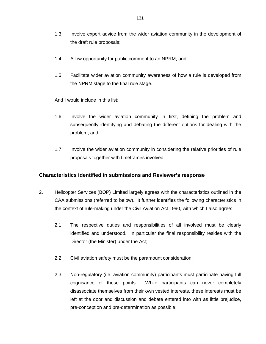- 1.3 Involve expert advice from the wider aviation community in the development of the draft rule proposals;
- 1.4 Allow opportunity for public comment to an NPRM; and
- 1.5 Facilitate wider aviation community awareness of how a rule is developed from the NPRM stage to the final rule stage.

And I would include in this list:

- 1.6 Involve the wider aviation community in first, defining the problem and subsequently identifying and debating the different options for dealing with the problem; and
- 1.7 Involve the wider aviation community in considering the relative priorities of rule proposals together with timeframes involved.

#### **Characteristics identified in submissions and Reviewer's response**

- 2. Helicopter Services (BOP) Limited largely agrees with the characteristics outlined in the CAA submissions (referred to below). It further identifies the following characteristics in the context of rule-making under the Civil Aviation Act 1990, with which I also agree:
	- 2.1 The respective duties and responsibilities of all involved must be clearly identified and understood. In particular the final responsibility resides with the Director (the Minister) under the Act;
	- 2.2 Civil aviation safety must be the paramount consideration;
	- 2.3 Non-regulatory (i.e. aviation community) participants must participate having full cognisance of these points. While participants can never completely disassociate themselves from their own vested interests, these interests must be left at the door and discussion and debate entered into with as little prejudice, pre-conception and pre-determination as possible;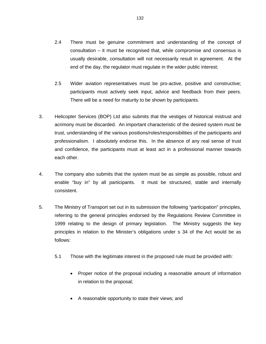- 2.4 There must be genuine commitment and understanding of the concept of consultation – it must be recognised that, while compromise and consensus is usually desirable, consultation will not necessarily result in agreement. At the end of the day, the regulator must regulate in the wider public interest;
- 2.5 Wider aviation representatives must be pro-active, positive and constructive; participants must actively seek input, advice and feedback from their peers. There will be a need for maturity to be shown by participants.
- 3. Helicopter Services (BOP) Ltd also submits that the vestiges of historical mistrust and acrimony must be discarded. An important characteristic of the desired system must be trust, understanding of the various positions/roles/responsibilities of the participants and professionalism. I absolutely endorse this. In the absence of any real sense of trust and confidence, the participants must at least act in a professional manner towards each other.
- 4. The company also submits that the system must be as simple as possible, robust and enable "buy in" by all participants. It must be structured, stable and internally consistent.
- 5. The Ministry of Transport set out in its submission the following "participation" principles, referring to the general principles endorsed by the Regulations Review Committee in 1999 relating to the design of primary legislation. The Ministry suggests the key principles in relation to the Minister's obligations under s 34 of the Act would be as follows:
	- 5.1 Those with the legitimate interest in the proposed rule must be provided with:
		- - Proper notice of the proposal including a reasonable amount of information in relation to the proposal;
		- A reasonable opportunity to state their views; and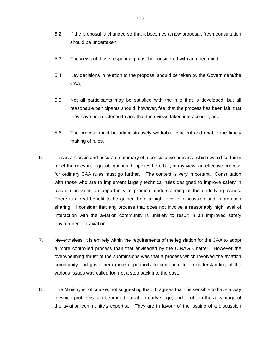- 5.2 If the proposal is changed so that it becomes a new proposal, fresh consultation should be undertaken;
- 5.3 The views of those responding must be considered with an open mind;
- 5.4 Key decisions in relation to the proposal should be taken by the Government/the CAA;
- 5.5 Not all participants may be satisfied with the rule that is developed, but all reasonable participants should, however, feel that the process has been fair, that they have been listened to and that their views taken into account; and
- 5.6 The process must be administratively workable, efficient and enable the timely making of rules.
- 6. This is a classic and accurate summary of a consultative process, which would certainly meet the relevant legal obligations. It applies here but, in my view, an effective process for ordinary CAA rules must go further. The context is very important. Consultation with those who are to implement largely technical rules designed to improve safety in aviation provides an opportunity to promote understanding of the underlying issues. There is a real benefit to be gained from a high level of discussion and information sharing. I consider that any process that does not involve a reasonably high level of interaction with the aviation community is unlikely to result in an improved safety environment for aviation.
- 7. Nevertheless, it is entirely within the requirements of the legislation for the CAA to adopt a more controlled process than that envisaged by the CIRAG Charter. However the overwhelming thrust of the submissions was that a process which involved the aviation community and gave them more opportunity to contribute to an understanding of the various issues was called for, not a step back into the past.
- 8. The Ministry is, of course, not suggesting that. It agrees that it is sensible to have a way in which problems can be ironed out at an early stage, and to obtain the advantage of the aviation community's expertise. They are in favour of the issuing of a discussion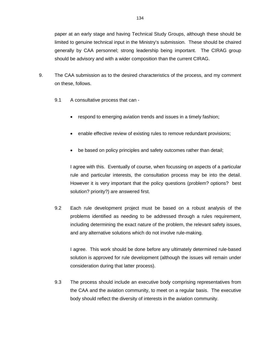paper at an early stage and having Technical Study Groups, although these should be limited to genuine technical input in the Ministry's submission. These should be chaired generally by CAA personnel; strong leadership being important. The CIRAG group should be advisory and with a wider composition than the current CIRAG.

- 9. The CAA submission as to the desired characteristics of the process, and my comment on these, follows.
	- 9.1 A consultative process that can
		- respond to emerging aviation trends and issues in a timely fashion;
		- enable effective review of existing rules to remove redundant provisions;
		- $\bullet$ be based on policy principles and safety outcomes rather than detail;

I agree with this. Eventually of course, when focussing on aspects of a particular rule and particular interests, the consultation process may be into the detail. However it is very important that the policy questions (problem? options? best solution? priority?) are answered first.

9.2 Each rule development project must be based on a robust analysis of the problems identified as needing to be addressed through a rules requirement, including determining the exact nature of the problem, the relevant safety issues, and any alternative solutions which do not involve rule-making.

I agree. This work should be done before any ultimately determined rule-based solution is approved for rule development (although the issues will remain under consideration during that latter process).

9.3 The process should include an executive body comprising representatives from the CAA and the aviation community, to meet on a regular basis. The executive body should reflect the diversity of interests in the aviation community.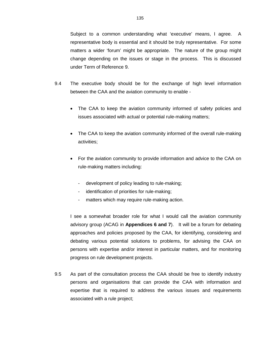Subject to a common understanding what 'executive' means, I agree. A representative body is essential and it should be truly representative. For some matters a wider 'forum' might be appropriate. The nature of the group might change depending on the issues or stage in the process. This is discussed under Term of Reference 9.

- 9.4 The executive body should be for the exchange of high level information between the CAA and the aviation community to enable -
	- $\bullet$  The CAA to keep the aviation community informed of safety policies and issues associated with actual or potential rule-making matters;
	- The CAA to keep the aviation community informed of the overall rule-making activities;
	- For the aviation community to provide information and advice to the CAA on rule-making matters including:
		- development of policy leading to rule-making;
		- identification of priorities for rule-making;
		- matters which may require rule-making action.

I see a somewhat broader role for what I would call the aviation community advisory group (ACAG in **Appendices 6 and 7**). It will be a forum for debating approaches and policies proposed by the CAA, for identifying, considering and debating various potential solutions to problems, for advising the CAA on persons with expertise and/or interest in particular matters, and for monitoring progress on rule development projects.

9.5 As part of the consultation process the CAA should be free to identify industry persons and organisations that can provide the CAA with information and expertise that is required to address the various issues and requirements associated with a rule project;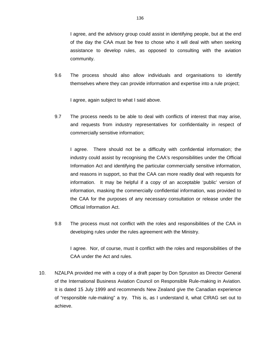I agree, and the advisory group could assist in identifying people, but at the end of the day the CAA must be free to chose who it will deal with when seeking assistance to develop rules, as opposed to consulting with the aviation community.

9.6 The process should also allow individuals and organisations to identify themselves where they can provide information and expertise into a rule project;

I agree, again subject to what I said above.

9.7 The process needs to be able to deal with conflicts of interest that may arise, and requests from industry representatives for confidentiality in respect of commercially sensitive information;

I agree. There should not be a difficulty with confidential information; the industry could assist by recognising the CAA's responsibilities under the Official Information Act and identifying the particular commercially sensitive information, and reasons in support, so that the CAA can more readily deal with requests for information. It may be helpful if a copy of an acceptable 'public' version of information, masking the commercially confidential information, was provided to the CAA for the purposes of any necessary consultation or release under the Official Information Act.

9.8 The process must not conflict with the roles and responsibilities of the CAA in developing rules under the rules agreement with the Ministry.

I agree. Nor, of course, must it conflict with the roles and responsibilities of the CAA under the Act and rules.

10. NZALPA provided me with a copy of a draft paper by Don Spruston as Director General of the International Business Aviation Council on Responsible Rule-making in Aviation. It is dated 15 July 1999 and recommends New Zealand give the Canadian experience of "responsible rule-making" a try. This is, as I understand it, what CIRAG set out to achieve.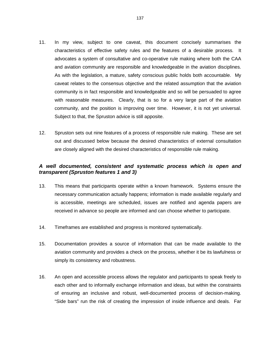- 11. In my view, subject to one caveat, this document concisely summarises the characteristics of effective safety rules and the features of a desirable process. It advocates a system of consultative and co-operative rule making where both the CAA and aviation community are responsible and knowledgeable in the aviation disciplines. As with the legislation, a mature, safety conscious public holds both accountable. My caveat relates to the consensus objective and the related assumption that the aviation community is in fact responsible and knowledgeable and so will be persuaded to agree with reasonable measures. Clearly, that is so for a very large part of the aviation community, and the position is improving over time. However, it is not yet universal. Subject to that, the Spruston advice is still apposite.
- 12. Spruston sets out nine features of a process of responsible rule making. These are set out and discussed below because the desired characteristics of external consultation are closely aligned with the desired characteristics of responsible rule making.

## *A well documented, consistent and systematic process which is open and transparent (Spruston features 1 and 3)*

- 13. This means that participants operate within a known framework. Systems ensure the necessary communication actually happens; information is made available regularly and is accessible, meetings are scheduled, issues are notified and agenda papers are received in advance so people are informed and can choose whether to participate.
- 14. Timeframes are established and progress is monitored systematically.
- 15. Documentation provides a source of information that can be made available to the aviation community and provides a check on the process, whether it be its lawfulness or simply its consistency and robustness.
- 16. An open and accessible process allows the regulator and participants to speak freely to each other and to informally exchange information and ideas, but within the constraints of ensuring an inclusive and robust, well-documented process of decision-making. "Side bars" run the risk of creating the impression of inside influence and deals. Far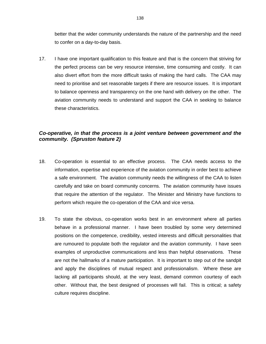better that the wider community understands the nature of the partnership and the need to confer on a day-to-day basis.

17. I have one important qualification to this feature and that is the concern that striving for the perfect process can be very resource intensive, time consuming and costly. It can also divert effort from the more difficult tasks of making the hard calls. The CAA may need to prioritise and set reasonable targets if there are resource issues. It is important to balance openness and transparency on the one hand with delivery on the other. The aviation community needs to understand and support the CAA in seeking to balance these characteristics.

## *Co-operative, in that the process is a joint venture between government and the community. (Spruston feature 2)*

- 18. Co-operation is essential to an effective process. The CAA needs access to the information, expertise and experience of the aviation community in order best to achieve a safe environment. The aviation community needs the willingness of the CAA to listen carefully and take on board community concerns. The aviation community have issues that require the attention of the regulator. The Minister and Ministry have functions to perform which require the co-operation of the CAA and vice versa.
- 19. To state the obvious, co-operation works best in an environment where all parties behave in a professional manner. I have been troubled by some very determined positions on the competence, credibility, vested interests and difficult personalities that are rumoured to populate both the regulator and the aviation community. I have seen examples of unproductive communications and less than helpful observations. These are not the hallmarks of a mature participation. It is important to step out of the sandpit and apply the disciplines of mutual respect and professionalism. Where these are lacking all participants should, at the very least, demand common courtesy of each other. Without that, the best designed of processes will fail. This is critical; a safety culture requires discipline.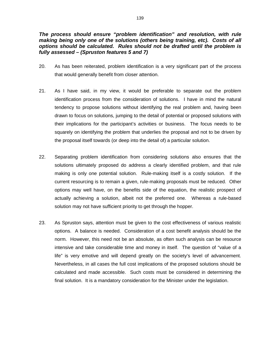## *The process should ensure "problem identification" and resolution, with rule making being only one of the solutions (others being training, etc). Costs of all options should be calculated. Rules should not be drafted until the problem is fully assessed – (Spruston features 5 and 7)*

- 20. As has been reiterated, problem identification is a very significant part of the process that would generally benefit from closer attention.
- 21. As I have said, in my view, it would be preferable to separate out the problem identification process from the consideration of solutions. I have in mind the natural tendency to propose solutions without identifying the real problem and, having been drawn to focus on solutions, jumping to the detail of potential or proposed solutions with their implications for the participant's activities or business. The focus needs to be squarely on identifying the problem that underlies the proposal and not to be driven by the proposal itself towards (or deep into the detail of) a particular solution.
- 22. Separating problem identification from considering solutions also ensures that the solutions ultimately proposed do address a clearly identified problem, and that rule making is only one potential solution. Rule-making itself is a costly solution. If the current resourcing is to remain a given, rule-making proposals must be reduced. Other options may well have, on the benefits side of the equation, the realistic prospect of actually achieving a solution, albeit not the preferred one. Whereas a rule-based solution may not have sufficient priority to get through the hopper.
- 23. As Spruston says, attention must be given to the cost effectiveness of various realistic options. A balance is needed. Consideration of a cost benefit analysis should be the norm. However, this need not be an absolute, as often such analysis can be resource intensive and take considerable time and money in itself. The question of "value of a life" is very emotive and will depend greatly on the society's level of advancement. Nevertheless, in all cases the full cost implications of the proposed solutions should be calculated and made accessible. Such costs must be considered in determining the final solution. It is a mandatory consideration for the Minister under the legislation.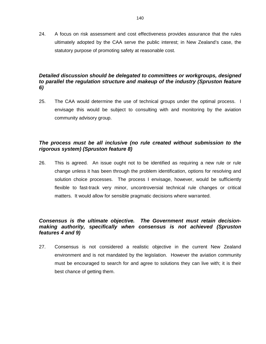24. A focus on risk assessment and cost effectiveness provides assurance that the rules ultimately adopted by the CAA serve the public interest; in New Zealand's case, the statutory purpose of promoting safety at reasonable cost.

## *Detailed discussion should be delegated to committees or workgroups, designed to parallel the regulation structure and makeup of the industry (Spruston feature 6)*

25. The CAA would determine the use of technical groups under the optimal process. I envisage this would be subject to consulting with and monitoring by the aviation community advisory group.

## *The process must be all inclusive (no rule created without submission to the rigorous system) (Spruston feature 8)*

26. This is agreed. An issue ought not to be identified as requiring a new rule or rule change unless it has been through the problem identification, options for resolving and solution choice processes. The process I envisage, however, would be sufficiently flexible to fast-track very minor, uncontroversial technical rule changes or critical matters. It would allow for sensible pragmatic decisions where warranted.

## *Consensus is the ultimate objective. The Government must retain decisionmaking authority, specifically when consensus is not achieved (Spruston features 4 and 9)*

27. Consensus is not considered a realistic objective in the current New Zealand environment and is not mandated by the legislation. However the aviation community must be encouraged to search for and agree to solutions they can live with; it is their best chance of getting them.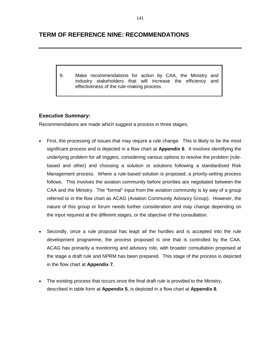#### **TERM OF REFERENCE NINE: RECOMMENDATIONS**

9. Make recommendations for action by CAA, the Ministry and industry stakeholders that will increase the efficiency and effectiveness of the rule-making process.

#### **Executive Summary:**

Recommendations are made which suggest a process in three stages;

- - First, the processing of issues that may require a rule change. This is likely to be the most significant process and is depicted in a flow chart at **Appendix 6**. It involves identifying the underlying problem for all triggers, considering various options to resolve the problem (rulebased and other) and choosing a solution or solutions following a standardised Risk Management process. Where a rule-based solution is proposed, a priority-setting process follows. This involves the aviation community before priorities are negotiated between the CAA and the Ministry. The "formal" input from the aviation community is by way of a group referred to in the flow chart as ACAG (Aviation Community Advisory Group). However, the nature of this group or forum needs further consideration and may change depending on the input required at the different stages, or the objective of the consultation.
- $\bullet$  Secondly, once a rule proposal has leapt all the hurdles and is accepted into the rule development programme, the process proposed is one that is controlled by the CAA. ACAG has primarily a monitoring and advisory role, with broader consultation proposed at the stage a draft rule and NPRM has been prepared. This stage of the process is depicted in the flow chart at **Appendix 7.**
- - The existing process that occurs once the final draft rule is provided to the Ministry, described in table form at **Appendix 5**, is depicted in a flow chart at **Appendix 8**.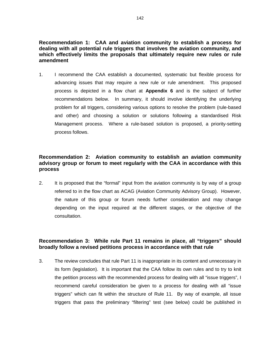#### **Recommendation 1: CAA and aviation community to establish a process for dealing with all potential rule triggers that involves the aviation community, and which effectively limits the proposals that ultimately require new rules or rule amendment**

1. I recommend the CAA establish a documented, systematic but flexible process for advancing issues that may require a new rule or rule amendment. This proposed process is depicted in a flow chart at **Appendix 6** and is the subject of further recommendations below.In summary, it should involve identifying the underlying problem for all triggers, considering various options to resolve the problem (rule-based and other) and choosing a solution or solutions following a standardised Risk Management process. Where a rule-based solution is proposed, a priority-setting process follows.

#### **Recommendation 2: Aviation community to establish an aviation community advisory group or forum to meet regularly with the CAA in accordance with this process**

2. It is proposed that the "formal" input from the aviation community is by way of a group referred to in the flow chart as ACAG (Aviation Community Advisory Group). However, the nature of this group or forum needs further consideration and may change depending on the input required at the different stages, or the objective of the consultation.

#### **Recommendation 3: While rule Part 11 remains in place, all "triggers" should broadly follow a revised petitions process in accordance with that rule**

3. The review concludes that rule Part 11 is inappropriate in its content and unnecessary in its form (legislation). It is important that the CAA follow its own rules and to try to knit the petition process with the recommended process for dealing with all "issue triggers", I recommend careful consideration be given to a process for dealing with all "issue triggers" which can fit within the structure of Rule 11. By way of example, all issue triggers that pass the preliminary "filtering" test (see below) could be published in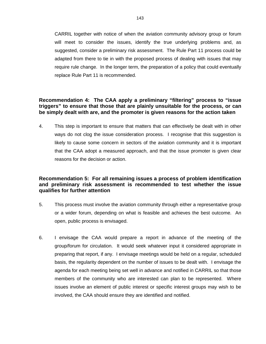CARRIL together with notice of when the aviation community advisory group or forum will meet to consider the issues, identify the true underlying problems and, as suggested, consider a preliminary risk assessment. The Rule Part 11 process could be adapted from there to tie in with the proposed process of dealing with issues that may require rule change. In the longer term, the preparation of a policy that could eventually replace Rule Part 11 is recommended.

#### **Recommendation 4: The CAA apply a preliminary "filtering" process to "issue triggers" to ensure that those that are plainly unsuitable for the process, or can be simply dealt with are, and the promoter is given reasons for the action taken**

4. This step is important to ensure that matters that can effectively be dealt with in other ways do not clog the issue consideration process. I recognise that this suggestion is likely to cause some concern in sectors of the aviation community and it is important that the CAA adopt a measured approach, and that the issue promoter is given clear reasons for the decision or action.

#### **Recommendation 5: For all remaining issues a process of problem identification and preliminary risk assessment is recommended to test whether the issue qualifies for further attention**

- 5. This process must involve the aviation community through either a representative group or a wider forum, depending on what is feasible and achieves the best outcome. An open, public process is envisaged.
- 6. I envisage the CAA would prepare a report in advance of the meeting of the group/forum for circulation. It would seek whatever input it considered appropriate in preparing that report, if any. I envisage meetings would be held on a regular, scheduled basis, the regularity dependent on the number of issues to be dealt with. I envisage the agenda for each meeting being set well in advance and notified in CARRIL so that those members of the community who are interested can plan to be represented. Where issues involve an element of public interest or specific interest groups may wish to be involved, the CAA should ensure they are identified and notified.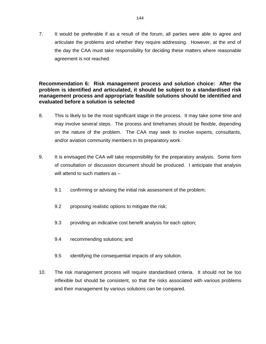7. It would be preferable if as a result of the forum, all parties were able to agree and articulate the problems and whether they require addressing. However, at the end of the day the CAA must take responsibility for deciding these matters where reasonable agreement is not reached.

#### **Recommendation 6: Risk management process and solution choice: After the problem is identified and articulated, it should be subject to a standardised risk management process and appropriate feasible solutions should be identified and evaluated before a solution is selected**

- 8. This is likely to be the most significant stage in the process. It may take some time and may involve several steps. The process and timeframes should be flexible, depending on the nature of the problem. The CAA may seek to involve experts, consultants, and/or aviation community members in its preparatory work.
- 9. It is envisaged the CAA will take responsibility for the preparatory analysis. Some form of consultation or discussion document should be produced. I anticipate that analysis will attend to such matters as  $-$ 
	- 9.1 confirming or advising the initial risk assessment of the problem;
	- 9.2 proposing realistic options to mitigate the risk;
	- 9.3 providing an indicative cost benefit analysis for each option;
	- 9.4 recommending solutions; and
	- 9.5 identifying the consequential impacts of any solution.
- 10. The risk management process will require standardised criteria. It should not be too inflexible but should be consistent, so that the risks associated with various problems and their management by various solutions can be compared.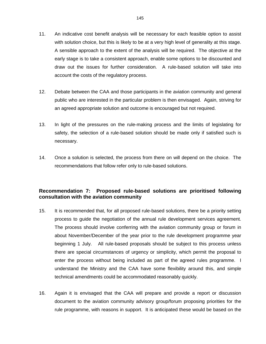- 11. An indicative cost benefit analysis will be necessary for each feasible option to assist with solution choice, but this is likely to be at a very high level of generality at this stage. A sensible approach to the extent of the analysis will be required. The objective at the early stage is to take a consistent approach, enable some options to be discounted and draw out the issues for further consideration. A rule-based solution will take into account the costs of the regulatory process.
- 12. Debate between the CAA and those participants in the aviation community and general public who are interested in the particular problem is then envisaged. Again, striving for an agreed appropriate solution and outcome is encouraged but not required.
- 13. In light of the pressures on the rule-making process and the limits of legislating for safety, the selection of a rule-based solution should be made only if satisfied such is necessary.
- 14. Once a solution is selected, the process from there on will depend on the choice. The recommendations that follow refer only to rule-based solutions.

#### **Recommendation 7: Proposed rule-based solutions are prioritised following consultation with the aviation community**

- 15. It is recommended that, for all proposed rule-based solutions, there be a priority setting process to guide the negotiation of the annual rule development services agreement. The process should involve conferring with the aviation community group or forum in about November/December of the year prior to the rule development programme year beginning 1 July. All rule-based proposals should be subject to this process unless there are special circumstances of urgency or simplicity, which permit the proposal to enter the process without being included as part of the agreed rules programme. I understand the Ministry and the CAA have some flexibility around this, and simple technical amendments could be accommodated reasonably quickly.
- 16. Again it is envisaged that the CAA will prepare and provide a report or discussion document to the aviation community advisory group/forum proposing priorities for the rule programme, with reasons in support. It is anticipated these would be based on the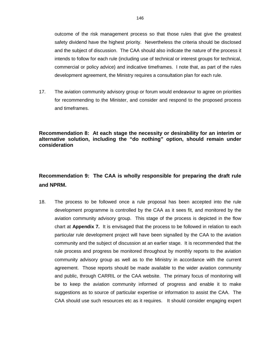outcome of the risk management process so that those rules that give the greatest safety dividend have the highest priority. Nevertheless the criteria should be disclosed and the subject of discussion. The CAA should also indicate the nature of the process it intends to follow for each rule (including use of technical or interest groups for technical, commercial or policy advice) and indicative timeframes. I note that, as part of the rules development agreement, the Ministry requires a consultation plan for each rule.

17. The aviation community advisory group or forum would endeavour to agree on priorities for recommending to the Minister, and consider and respond to the proposed process and timeframes.

#### **Recommendation 8: At each stage the necessity or desirability for an interim or alternative solution, including the "do nothing" option, should remain under consideration**

## **Recommendation 9: The CAA is wholly responsible for preparing the draft rule and NPRM.**

18. The process to be followed once a rule proposal has been accepted into the rule development programme is controlled by the CAA as it sees fit, and monitored by the aviation community advisory group. This stage of the process is depicted in the flow chart at **Appendix 7.** It is envisaged that the process to be followed in relation to each particular rule development project will have been signalled by the CAA to the aviation community and the subject of discussion at an earlier stage. It is recommended that the rule process and progress be monitored throughout by monthly reports to the aviation community advisory group as well as to the Ministry in accordance with the current agreement. Those reports should be made available to the wider aviation community and public, through CARRIL or the CAA website. The primary focus of monitoring will be to keep the aviation community informed of progress and enable it to make suggestions as to source of particular expertise or information to assist the CAA. The CAA should use such resources etc as it requires. It should consider engaging expert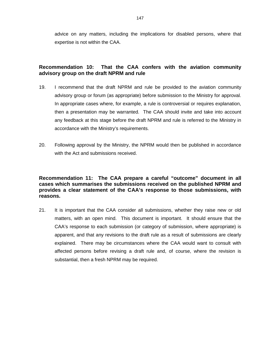advice on any matters, including the implications for disabled persons, where that expertise is not within the CAA.

#### **Recommendation 10: That the CAA confers with the aviation community advisory group on the draft NPRM and rule**

- 19. I recommend that the draft NPRM and rule be provided to the aviation community advisory group or forum (as appropriate) before submission to the Ministry for approval. In appropriate cases where, for example, a rule is controversial or requires explanation, then a presentation may be warranted. The CAA should invite and take into account any feedback at this stage before the draft NPRM and rule is referred to the Ministry in accordance with the Ministry's requirements.
- 20. Following approval by the Ministry, the NPRM would then be published in accordance with the Act and submissions received.

#### **Recommendation 11: The CAA prepare a careful "outcome" document in all cases which summarises the submissions received on the published NPRM and provides a clear statement of the CAA's response to those submissions, with reasons.**

21. It is important that the CAA consider all submissions, whether they raise new or old matters, with an open mind. This document is important. It should ensure that the CAA's response to each submission (or category of submission, where appropriate) is apparent, and that any revisions to the draft rule as a result of submissions are clearly explained. There may be circumstances where the CAA would want to consult with affected persons before revising a draft rule and, of course, where the revision is substantial, then a fresh NPRM may be required.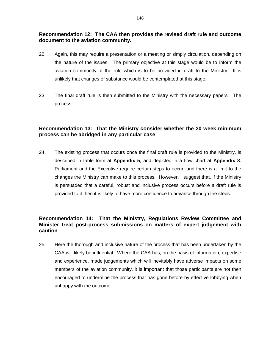#### **Recommendation 12: The CAA then provides the revised draft rule and outcome document to the aviation community.**

- 22. Again, this may require a presentation or a meeting or simply circulation, depending on the nature of the issues. The primary objective at this stage would be to inform the aviation community of the rule which is to be provided in draft to the Ministry. It is unlikely that changes of substance would be contemplated at this stage.
- 23. The final draft rule is then submitted to the Ministry with the necessary papers. The process

#### **Recommendation 13: That the Ministry consider whether the 20 week minimum process can be abridged in any particular case**

24. The existing process that occurs once the final draft rule is provided to the Ministry, is described in table form at **Appendix 5**, and depicted in a flow chart at **Appendix 8**. Parliament and the Executive require certain steps to occur, and there is a limit to the changes the Ministry can make to this process. However, I suggest that, if the Ministry is persuaded that a careful, robust and inclusive process occurs before a draft rule is provided to it then it is likely to have more confidence to advance through the steps.

#### **Recommendation 14: That the Ministry, Regulations Review Committee and Minister treat post-process submissions on matters of expert judgement with caution**

25. Here the thorough and inclusive nature of the process that has been undertaken by the CAA will likely be influential. Where the CAA has, on the basis of information, expertise and experience, made judgements which will inevitably have adverse impacts on some members of the aviation community, it is important that those participants are not then encouraged to undermine the process that has gone before by effective lobbying when unhappy with the outcome.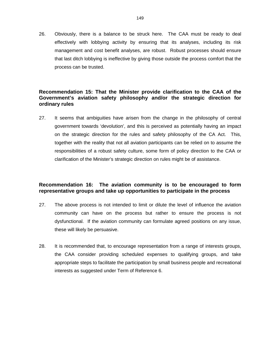26. Obviously, there is a balance to be struck here. The CAA must be ready to deal effectively with lobbying activity by ensuring that its analyses, including its risk management and cost benefit analyses, are robust. Robust processes should ensure that last ditch lobbying is ineffective by giving those outside the process comfort that the process can be trusted.

#### **Recommendation 15: That the Minister provide clarification to the CAA of the Government's aviation safety philosophy and/or the strategic direction for ordinary rules**

27. It seems that ambiguities have arisen from the change in the philosophy of central government towards 'devolution', and this is perceived as potentially having an impact on the strategic direction for the rules and safety philosophy of the CA Act. This, together with the reality that not all aviation participants can be relied on to assume the responsibilities of a robust safety culture, some form of policy direction to the CAA or clarification of the Minister's strategic direction on rules might be of assistance.

#### **Recommendation 16: The aviation community is to be encouraged to form representative groups and take up opportunities to participate in the process**

- 27. The above process is not intended to limit or dilute the level of influence the aviation community can have on the process but rather to ensure the process is not dysfunctional. If the aviation community can formulate agreed positions on any issue, these will likely be persuasive.
- 28. It is recommended that, to encourage representation from a range of interests groups, the CAA consider providing scheduled expenses to qualifying groups, and take appropriate steps to facilitate the participation by small business people and recreational interests as suggested under Term of Reference 6.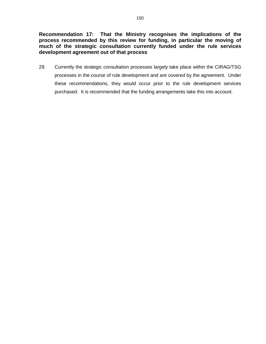**Recommendation 17: That the Ministry recognises the implications of the process recommended by this review for funding, in particular the moving of much of the strategic consultation currently funded under the rule services development agreement out of that process** 

29. Currently the strategic consultation processes largely take place within the CIRAG/TSG processes in the course of rule development and are covered by the agreement. Under these recommendations, they would occur prior to the rule development services purchased. It is recommended that the funding arrangements take this into account.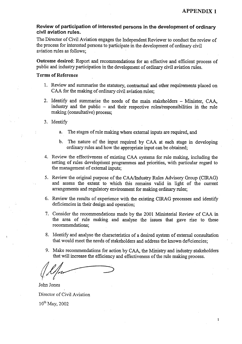$\mathbf{1}$ 

#### Review of participation of interested persons in the development of ordinary civil aviation rules.

The Director of Civil Aviation engages the Independent Reviewer to conduct the review of the process for interested persons to participate in the development of ordinary civil aviation rules as follows:

Outcome desired: Report and recommendations for an effective and efficient process of public and industry participation in the development of ordinary civil aviation rules.

#### **Terms of Reference**

- 1. Review and summarise the statutory, contractual and other requirements placed on CAA for the making of ordinary civil aviation rules;
- 2. Identify and summarise the needs of the main stakeholders Minister, CAA, industry and the public - and their respective roles/responsibilities in the rule making (consultative) process;
- 3. Identify
	- The stages of rule making where external inputs are required, and a.
	- b. The nature of the input required by CAA at each stage in developing ordinary rules and how the appropriate input can be obtained;
- 4. Review the effectiveness of existing CAA systems for rule making, including the setting of rules development programmes and priorities, with particular regard to the management of external inputs;
- 5. Review the original purpose of the CAA/Industry Rules Advisory Group (CIRAG) and assess the extent to which this remains valid in light of the current arrangements and regulatory environment for making ordinary rules;
- 6. Review the results of experience with the existing CIRAG processes and identify deficiencies in their design and operation:
- 7. Consider the recommendations made by the 2001 Ministerial Review of CAA in the area of rule making and analyse the issues that gave rise to these recommendations;
- 8. Identify and analyse the characteristics of a desired system of external consultation that would meet the needs of stakeholders and address the known deficiencies;
- 9. Make recommendations for action by CAA, the Ministry and industry stakeholders that will increase the efficiency and effectiveness of the rule making process.

John Jones Director of Civil Aviation  $10^{th}$  May, 2002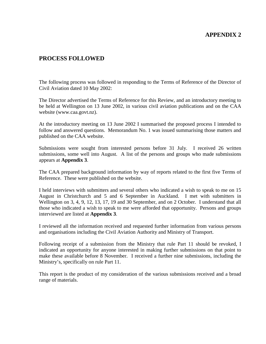#### **APPENDIX 2**

#### **PROCESS FOLLOWED**

The following process was followed in responding to the Terms of Reference of the Director of Civil Aviation dated 10 May 2002:

The Director advertised the Terms of Reference for this Review, and an introductory meeting to be held at Wellington on 13 June 2002, in various civil aviation publications and on the CAA website ([www.caa.govt.nz\).](http://www.caa.govt.nz)/)

At the introductory meeting on 13 June 2002 I summarised the proposed process I intended to follow and answered questions. Memorandum No. 1 was issued summarising those matters and published on the CAA website.

Submissions were sought from interested persons before 31 July. I received 26 written submissions, some well into August. A list of the persons and groups who made submissions appears at **Appendix 3**.

The CAA prepared background information by way of reports related to the first five Terms of Reference. These were published on the website.

I held interviews with submitters and several others who indicated a wish to speak to me on 15 August in Christchurch and 5 and 6 September in Auckland. I met with submitters in Wellington on 3, 4, 9, 12, 13, 17, 19 and 30 September, and on 2 October. I understand that all those who indicated a wish to speak to me were afforded that opportunity. Persons and groups interviewed are listed at **Appendix 3**.

I reviewed all the information received and requested further information from various persons and organisations including the Civil Aviation Authority and Ministry of Transport.

Following receipt of a submission from the Ministry that rule Part 11 should be revoked, I indicated an opportunity for anyone interested in making further submissions on that point to make these available before 8 November. I received a further nine submissions, including the Ministry's, specifically on rule Part 11.

This report is the product of my consideration of the various submissions received and a broad range of materials.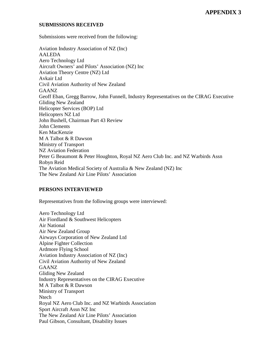#### **SUBMISSIONS RECEIVED**

Submissions were received from the following:

Aviation Industry Association of NZ (Inc) AALEDA Aero Technology Ltd Aircraft Owners' and Pilots' Association (NZ) Inc Aviation Theory Centre (NZ) Ltd Avkair Ltd Civil Aviation Authority of New Zealand **GAANZ** Geoff Eban, Gregg Barrow, John Funnell, Industry Representatives on the CIRAG Executive Gliding New Zealand Helicopter Services (BOP) Ltd Helicopters NZ Ltd John Bushell, Chairman Part 43 Review John Clements Ken MacKenzie M A Talbot & R Dawson Ministry of Transport NZ Aviation Federation Peter G Beaumont & Peter Houghton, Royal NZ Aero Club Inc. and NZ Warbirds Assn Robyn Reid The Aviation Medical Society of Australia & New Zealand (NZ) Inc The New Zealand Air Line Pilots' Association

#### **PERSONS INTERVIEWED**

Representatives from the following groups were interviewed:

Aero Technology Ltd Air Fiordland & Southwest Helicopters Air National Air New Zealand Group Airways Corporation of New Zealand Ltd Alpine Fighter Collection Ardmore Flying School Aviation Industry Association of NZ (Inc) Civil Aviation Authority of New Zealand GAANZ Gliding New Zealand Industry Representatives on the CIRAG Executive M A Talbot & R Dawson Ministry of Transport **Ntech** Royal NZ Aero Club Inc. and NZ Warbirds Association Sport Aircraft Assn NZ Inc The New Zealand Air Line Pilots' Association Paul Gibson, Consultant, Disability Issues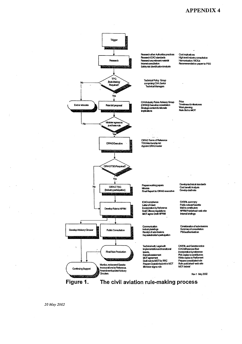#### **APPENDIX 4**

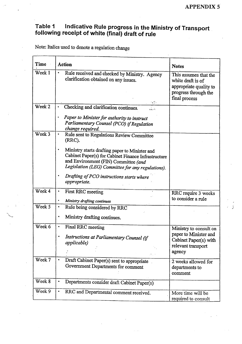Ĵ

# Table 1 Indicative Rule progress in the Ministry of Transport<br>following receipt of white (final) draft of rule

Note: Italics used to denote a regulation change

| Time   | <b>Action</b>                                                                                                                                                                                                   | <b>Notes</b>                                                                                                  |
|--------|-----------------------------------------------------------------------------------------------------------------------------------------------------------------------------------------------------------------|---------------------------------------------------------------------------------------------------------------|
| Week 1 | $\bullet$<br>Rule received and checked by Ministry. Agency<br>clarification obtained on any issues.<br>$\sim 1$ .                                                                                               | This assumes that the<br>white draft is of<br>appropriate quality to<br>progress through the<br>final process |
| Week 2 | Checking and clarification continues.<br>ن<br>تابىر ۋە                                                                                                                                                          |                                                                                                               |
|        | Paper to Minister for authority to instruct<br>Parliamentary Counsel (PCO) if Regulation<br>change required.                                                                                                    |                                                                                                               |
| Week 3 | Rule sent to Regulations Review Committee<br>$\bullet$<br>(RRC).                                                                                                                                                |                                                                                                               |
|        | Ministry starts drafting paper to Minister and<br>$\bullet$<br>Cabinet Paper(s) for Cabinet Finance Infrastructure<br>and Environment (FIN) Committee (and<br>Legislation (LEG) Committee for any regulations). |                                                                                                               |
|        | Drafting of PCO instructions starts where<br>appropriate.                                                                                                                                                       |                                                                                                               |
| Week 4 | First RRC meeting<br>Ministry drafting continues                                                                                                                                                                | RRC require 3 weeks<br>to consider a rule                                                                     |
| Week 5 | Rule being considered by RRC<br>$\bullet$                                                                                                                                                                       |                                                                                                               |
|        | Ministry drafting continues.                                                                                                                                                                                    |                                                                                                               |
| Week 6 | Final RRC meeting                                                                                                                                                                                               | Ministry to consult on<br>paper to Minister and                                                               |
|        | Instructions at Parliamentary Counsel (if<br>applicable)<br>$1.1 - 1.1$                                                                                                                                         | Cabinet Paper(s) with<br>relevant transport<br>agency                                                         |
| Week 7 | Draft Cabinet Paper(s) sent to appropriate<br>$\blacksquare$<br>Government Departments for comment                                                                                                              | 2 weeks allowed for<br>departments to<br>comment                                                              |
| Week 8 | Departments consider draft Cabinet Paper(s)                                                                                                                                                                     |                                                                                                               |
| Week 9 | RRC and Departmental comment received.                                                                                                                                                                          | More time will be<br>required to consult                                                                      |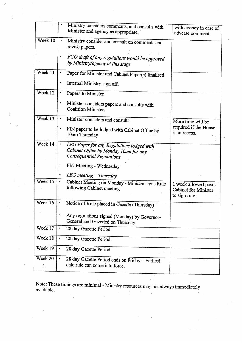|         | Ministry considers comments, and consults with<br>Minister and agency as appropriate.                                        | with agency in case of<br>adverse comment.                     |
|---------|------------------------------------------------------------------------------------------------------------------------------|----------------------------------------------------------------|
| Week 10 | Ministry consider and consult on comments and<br>revise papers.                                                              |                                                                |
|         | PCO draft of any regulations would be approved<br>by Ministry/agency at this stage                                           |                                                                |
| Week 11 | Paper for Minister and Cabinet Paper(s) finalised                                                                            |                                                                |
|         | Internal Ministry sign off.                                                                                                  |                                                                |
| Week 12 | Papers to Minister                                                                                                           |                                                                |
|         | Minister considers papers and consults with<br>Coalition Minister.                                                           |                                                                |
| Week 13 | Minister considers and consults.<br>$\bullet$                                                                                | More time will be                                              |
|         | ٠<br>FIN paper to be lodged with Cabinet Office by<br>10am Thursday                                                          | required if the House<br>is in recess.                         |
| Week 14 | $\bullet$<br>LEG Paper for any Regulations lodged with<br>Cabinet Office by Monday 10am for any<br>Consequential Regulations |                                                                |
|         | FIN Meeting - Wednesday                                                                                                      |                                                                |
|         | LEG meeting - Thursday                                                                                                       |                                                                |
| Week 15 | $\bullet$<br>Cabinet Meeting on Monday - Minister signs Rule<br>following Cabinet meeting.                                   | 1 week allowed post -<br>Cabinet for Minister<br>to sign rule. |
| Week 16 | Notice of Rule placed in Gazette (Thursday)                                                                                  |                                                                |
|         | Any regulations signed (Monday) by Governor-<br>General and Gazetted on Thursday                                             |                                                                |
| Week 17 | ٠<br>28 day Gazette Period                                                                                                   |                                                                |
| Week 18 | $\bullet$<br>28 day Gazette Period                                                                                           |                                                                |
| Week 19 | $\bullet$<br>28 day Gazette Period                                                                                           |                                                                |
| Week 20 | 28 day Gazette Period ends on Friday - Earliest<br>date rule can come into force.                                            |                                                                |

Note: These timings are minimal - Ministry resources may not always immediately available.  $\frac{1}{2}$  $\mathcal{A}^{\text{max}}_{\text{max}}$  $\mathcal{L}^{\pm}$  $\frac{1}{2}$ 

त्त्व<br>संस्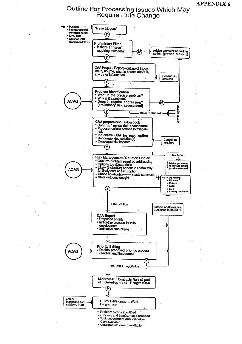**APPENDIX 6** 

### Outline For Processing Issues Which May Require Rule Change

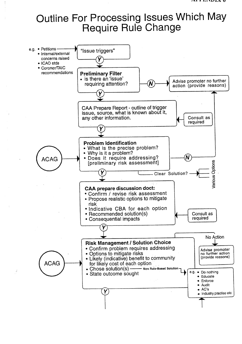# Outline For Processing Issues Which May **Require Rule Change**

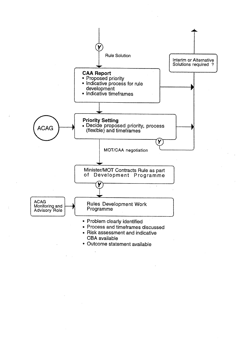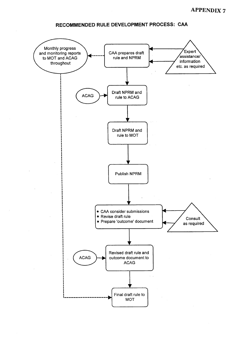#### RECOMMENDED RULE DEVELOPMENT PROCESS: CAA